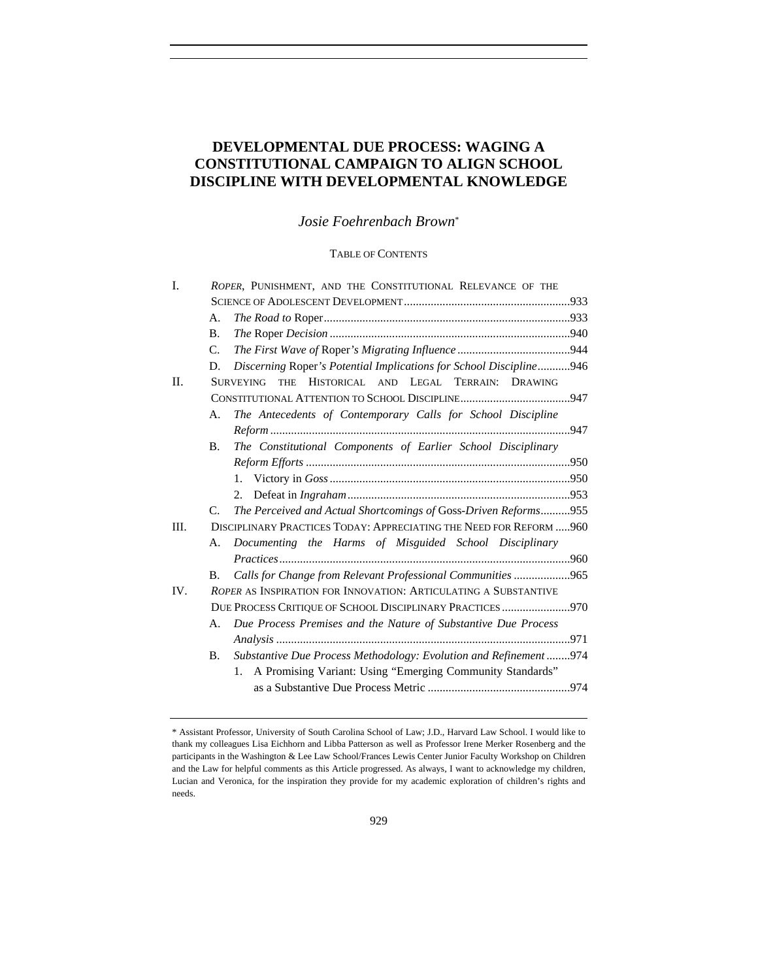# **DEVELOPMENTAL DUE PROCESS: WAGING A CONSTITUTIONAL CAMPAIGN TO ALIGN SCHOOL DISCIPLINE WITH DEVELOPMENTAL KNOWLEDGE**

# *Josie Foehrenbach Brown*\*

# TABLE OF CONTENTS

| $\mathbf{I}$ . |               | ROPER, PUNISHMENT, AND THE CONSTITUTIONAL RELEVANCE OF THE               |  |  |  |  |  |  |
|----------------|---------------|--------------------------------------------------------------------------|--|--|--|--|--|--|
|                |               |                                                                          |  |  |  |  |  |  |
|                | А.            |                                                                          |  |  |  |  |  |  |
|                | <b>B.</b>     |                                                                          |  |  |  |  |  |  |
|                | $C_{\cdot}$   |                                                                          |  |  |  |  |  |  |
|                | D.            | Discerning Roper's Potential Implications for School Discipline946       |  |  |  |  |  |  |
| $\Pi$ .        |               | HISTORICAL AND LEGAL TERRAIN: DRAWING<br><b>SURVEYING</b><br><b>THE</b>  |  |  |  |  |  |  |
|                |               |                                                                          |  |  |  |  |  |  |
|                | А.            | The Antecedents of Contemporary Calls for School Discipline              |  |  |  |  |  |  |
|                |               |                                                                          |  |  |  |  |  |  |
|                | B.            | The Constitutional Components of Earlier School Disciplinary             |  |  |  |  |  |  |
|                |               |                                                                          |  |  |  |  |  |  |
|                |               |                                                                          |  |  |  |  |  |  |
|                |               | 2.                                                                       |  |  |  |  |  |  |
|                | $\mathcal{C}$ | The Perceived and Actual Shortcomings of Goss-Driven Reforms955          |  |  |  |  |  |  |
| III.           |               | DISCIPLINARY PRACTICES TODAY: APPRECIATING THE NEED FOR REFORM  960      |  |  |  |  |  |  |
|                | A.            | Documenting the Harms of Misguided School Disciplinary                   |  |  |  |  |  |  |
|                |               |                                                                          |  |  |  |  |  |  |
|                | B.            | Calls for Change from Relevant Professional Communities 965              |  |  |  |  |  |  |
| IV.            |               | ROPER AS INSPIRATION FOR INNOVATION: ARTICULATING A SUBSTANTIVE          |  |  |  |  |  |  |
|                |               | DUE PROCESS CRITIQUE OF SCHOOL DISCIPLINARY PRACTICES 970                |  |  |  |  |  |  |
|                | A.            | Due Process Premises and the Nature of Substantive Due Process           |  |  |  |  |  |  |
|                |               |                                                                          |  |  |  |  |  |  |
|                | B.            | Substantive Due Process Methodology: Evolution and Refinement 974        |  |  |  |  |  |  |
|                |               | A Promising Variant: Using "Emerging Community Standards"<br>$1_{\cdot}$ |  |  |  |  |  |  |
|                |               |                                                                          |  |  |  |  |  |  |

<sup>\*</sup> Assistant Professor, University of South Carolina School of Law; J.D., Harvard Law School. I would like to thank my colleagues Lisa Eichhorn and Libba Patterson as well as Professor Irene Merker Rosenberg and the participants in the Washington & Lee Law School/Frances Lewis Center Junior Faculty Workshop on Children and the Law for helpful comments as this Article progressed. As always, I want to acknowledge my children, Lucian and Veronica, for the inspiration they provide for my academic exploration of children's rights and needs.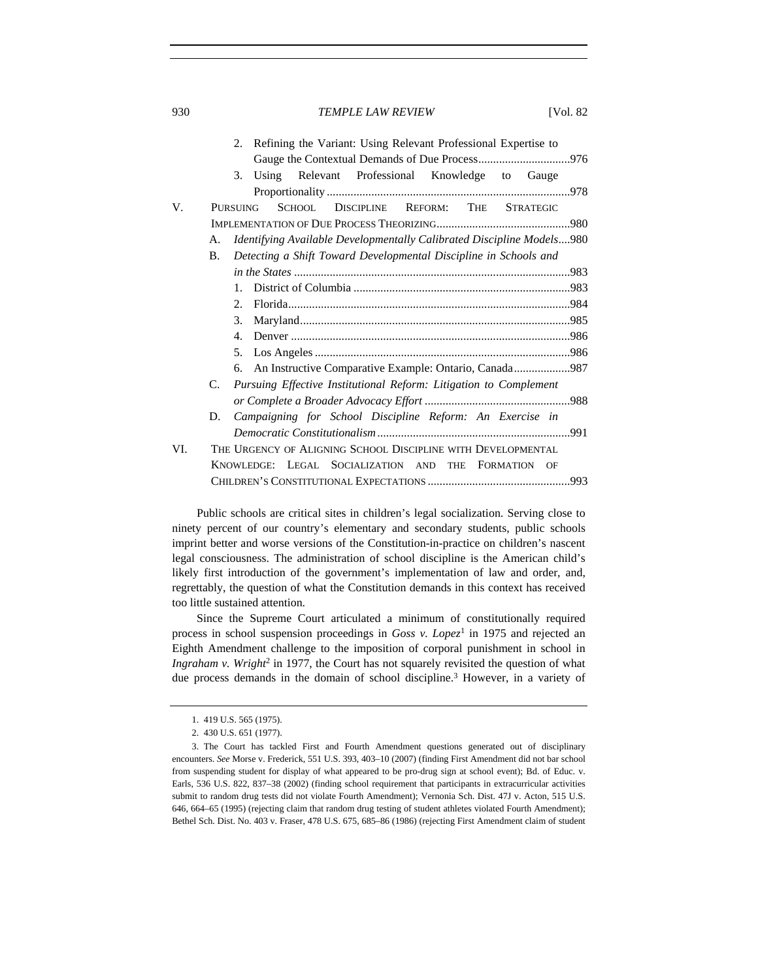| <b>TEMPLE LAW REVIEW</b> | <b>IVol. 82</b> |
|--------------------------|-----------------|
|                          |                 |

|     |                | 2.                                                               |       |         |  | Refining the Variant: Using Relevant Professional Expertise to    |  |  |             |           |                  |                                                                       |
|-----|----------------|------------------------------------------------------------------|-------|---------|--|-------------------------------------------------------------------|--|--|-------------|-----------|------------------|-----------------------------------------------------------------------|
|     |                |                                                                  |       |         |  |                                                                   |  |  |             |           |                  |                                                                       |
|     |                | 3.                                                               | Using |         |  | Relevant Professional Knowledge to Gauge                          |  |  |             |           |                  |                                                                       |
|     |                |                                                                  |       |         |  |                                                                   |  |  |             |           |                  |                                                                       |
| V.  |                | PURSUING                                                         |       | SCHOOL. |  | DISCIPLINE                                                        |  |  | REFORM: THE |           | <b>STRATEGIC</b> |                                                                       |
|     |                |                                                                  |       |         |  |                                                                   |  |  |             |           |                  |                                                                       |
|     | А.             |                                                                  |       |         |  |                                                                   |  |  |             |           |                  | Identifying Available Developmentally Calibrated Discipline Models980 |
|     | B.             | Detecting a Shift Toward Developmental Discipline in Schools and |       |         |  |                                                                   |  |  |             |           |                  |                                                                       |
|     |                |                                                                  |       |         |  |                                                                   |  |  |             |           |                  |                                                                       |
|     |                | 1.                                                               |       |         |  |                                                                   |  |  |             |           |                  |                                                                       |
|     |                | 2.                                                               |       |         |  |                                                                   |  |  |             |           |                  |                                                                       |
|     |                | 3.                                                               |       |         |  |                                                                   |  |  |             |           |                  |                                                                       |
|     | $\mathbf{4}$ . |                                                                  |       |         |  |                                                                   |  |  |             |           |                  |                                                                       |
|     |                | 5.                                                               |       |         |  |                                                                   |  |  |             |           |                  |                                                                       |
|     |                | 6.                                                               |       |         |  |                                                                   |  |  |             |           |                  | An Instructive Comparative Example: Ontario, Canada987                |
|     | $C_{\cdot}$    |                                                                  |       |         |  | Pursuing Effective Institutional Reform: Litigation to Complement |  |  |             |           |                  |                                                                       |
|     |                |                                                                  |       |         |  |                                                                   |  |  |             |           |                  |                                                                       |
|     | D.             |                                                                  |       |         |  | Campaigning for School Discipline Reform: An Exercise in          |  |  |             |           |                  |                                                                       |
|     |                |                                                                  |       |         |  |                                                                   |  |  |             |           |                  |                                                                       |
| VI. |                |                                                                  |       |         |  | THE URGENCY OF ALIGNING SCHOOL DISCIPLINE WITH DEVELOPMENTAL      |  |  |             |           |                  |                                                                       |
|     |                |                                                                  |       |         |  | KNOWLEDGE: LEGAL SOCIALIZATION AND                                |  |  | <b>THE</b>  | FORMATION |                  | OF                                                                    |
|     |                |                                                                  |       |         |  |                                                                   |  |  |             |           |                  |                                                                       |

Public schools are critical sites in children's legal socialization. Serving close to ninety percent of our country's elementary and secondary students, public schools imprint better and worse versions of the Constitution-in-practice on children's nascent legal consciousness. The administration of school discipline is the American child's likely first introduction of the government's implementation of law and order, and, regrettably, the question of what the Constitution demands in this context has received too little sustained attention.

Since the Supreme Court articulated a minimum of constitutionally required process in school suspension proceedings in *Goss v. Lopez*<sup>1</sup> in 1975 and rejected an Eighth Amendment challenge to the imposition of corporal punishment in school in *Ingraham v. Wright<sup>2</sup>* in 1977, the Court has not squarely revisited the question of what due process demands in the domain of school discipline.<sup>3</sup> However, in a variety of

<sup>1. 419</sup> U.S. 565 (1975).

<sup>2. 430</sup> U.S. 651 (1977).

<sup>3.</sup> The Court has tackled First and Fourth Amendment questions generated out of disciplinary encounters. *See* Morse v. Frederick, 551 U.S. 393, 403–10 (2007) (finding First Amendment did not bar school from suspending student for display of what appeared to be pro-drug sign at school event); Bd. of Educ. v. Earls, 536 U.S. 822, 837–38 (2002) (finding school requirement that participants in extracurricular activities submit to random drug tests did not violate Fourth Amendment); Vernonia Sch. Dist. 47J v. Acton, 515 U.S. 646, 664–65 (1995) (rejecting claim that random drug testing of student athletes violated Fourth Amendment); Bethel Sch. Dist. No. 403 v. Fraser, 478 U.S. 675, 685–86 (1986) (rejecting First Amendment claim of student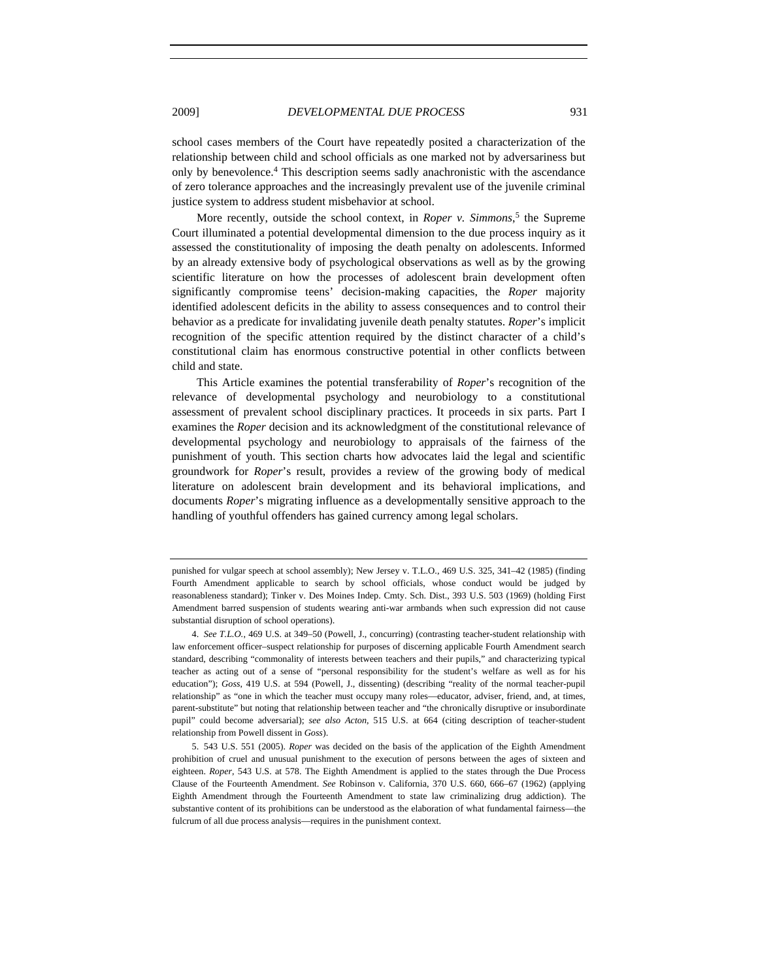school cases members of the Court have repeatedly posited a characterization of the relationship between child and school officials as one marked not by adversariness but only by benevolence.4 This description seems sadly anachronistic with the ascendance of zero tolerance approaches and the increasingly prevalent use of the juvenile criminal justice system to address student misbehavior at school.

More recently, outside the school context, in *Roper v. Simmons*, 5 the Supreme Court illuminated a potential developmental dimension to the due process inquiry as it assessed the constitutionality of imposing the death penalty on adolescents. Informed by an already extensive body of psychological observations as well as by the growing scientific literature on how the processes of adolescent brain development often significantly compromise teens' decision-making capacities, the *Roper* majority identified adolescent deficits in the ability to assess consequences and to control their behavior as a predicate for invalidating juvenile death penalty statutes. *Roper*'s implicit recognition of the specific attention required by the distinct character of a child's constitutional claim has enormous constructive potential in other conflicts between child and state.

This Article examines the potential transferability of *Roper*'s recognition of the relevance of developmental psychology and neurobiology to a constitutional assessment of prevalent school disciplinary practices. It proceeds in six parts. Part I examines the *Roper* decision and its acknowledgment of the constitutional relevance of developmental psychology and neurobiology to appraisals of the fairness of the punishment of youth. This section charts how advocates laid the legal and scientific groundwork for *Roper*'s result, provides a review of the growing body of medical literature on adolescent brain development and its behavioral implications, and documents *Roper*'s migrating influence as a developmentally sensitive approach to the handling of youthful offenders has gained currency among legal scholars.

punished for vulgar speech at school assembly); New Jersey v. T.L.O., 469 U.S. 325, 341–42 (1985) (finding Fourth Amendment applicable to search by school officials, whose conduct would be judged by reasonableness standard); Tinker v. Des Moines Indep. Cmty. Sch. Dist., 393 U.S. 503 (1969) (holding First Amendment barred suspension of students wearing anti-war armbands when such expression did not cause substantial disruption of school operations).

<sup>4.</sup> *See T.L.O.*, 469 U.S. at 349–50 (Powell, J., concurring) (contrasting teacher-student relationship with law enforcement officer–suspect relationship for purposes of discerning applicable Fourth Amendment search standard, describing "commonality of interests between teachers and their pupils," and characterizing typical teacher as acting out of a sense of "personal responsibility for the student's welfare as well as for his education"); *Goss*, 419 U.S. at 594 (Powell, J., dissenting) (describing "reality of the normal teacher-pupil relationship" as "one in which the teacher must occupy many roles—educator, adviser, friend, and, at times, parent-substitute" but noting that relationship between teacher and "the chronically disruptive or insubordinate pupil" could become adversarial); *see also Acton*, 515 U.S. at 664 (citing description of teacher-student relationship from Powell dissent in *Goss*).

<sup>5. 543</sup> U.S. 551 (2005). *Roper* was decided on the basis of the application of the Eighth Amendment prohibition of cruel and unusual punishment to the execution of persons between the ages of sixteen and eighteen. *Roper*, 543 U.S. at 578. The Eighth Amendment is applied to the states through the Due Process Clause of the Fourteenth Amendment. *See* Robinson v. California, 370 U.S. 660, 666–67 (1962) (applying Eighth Amendment through the Fourteenth Amendment to state law criminalizing drug addiction). The substantive content of its prohibitions can be understood as the elaboration of what fundamental fairness—the fulcrum of all due process analysis—requires in the punishment context.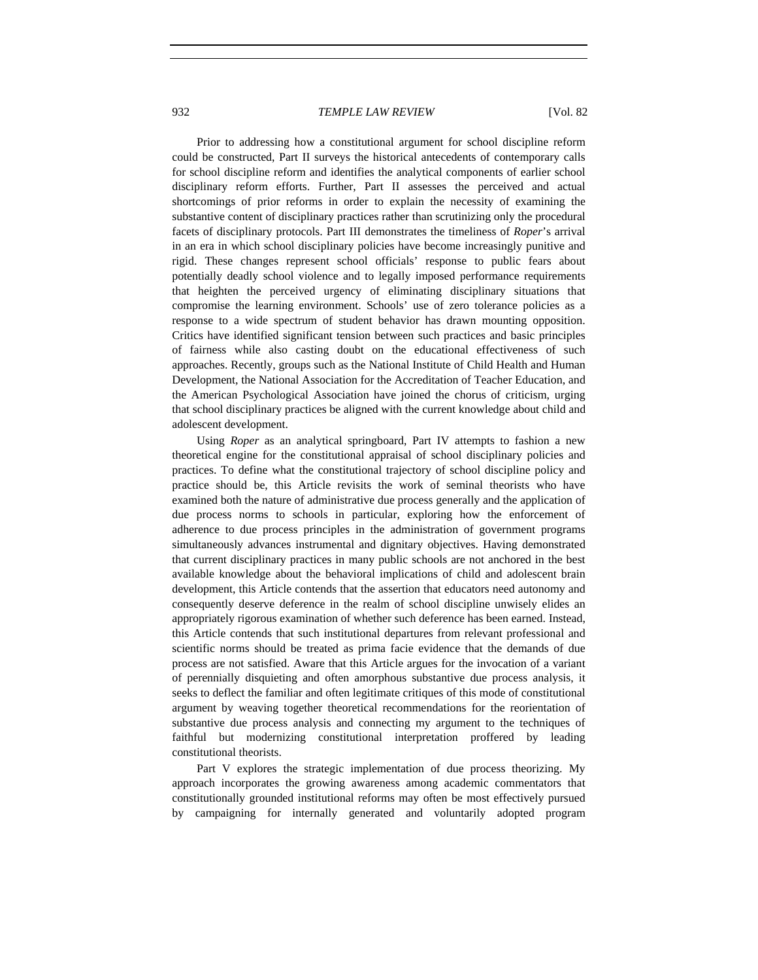Prior to addressing how a constitutional argument for school discipline reform could be constructed, Part II surveys the historical antecedents of contemporary calls for school discipline reform and identifies the analytical components of earlier school disciplinary reform efforts. Further, Part II assesses the perceived and actual shortcomings of prior reforms in order to explain the necessity of examining the substantive content of disciplinary practices rather than scrutinizing only the procedural facets of disciplinary protocols. Part III demonstrates the timeliness of *Roper*'s arrival in an era in which school disciplinary policies have become increasingly punitive and rigid. These changes represent school officials' response to public fears about potentially deadly school violence and to legally imposed performance requirements that heighten the perceived urgency of eliminating disciplinary situations that compromise the learning environment. Schools' use of zero tolerance policies as a response to a wide spectrum of student behavior has drawn mounting opposition. Critics have identified significant tension between such practices and basic principles of fairness while also casting doubt on the educational effectiveness of such approaches. Recently, groups such as the National Institute of Child Health and Human Development, the National Association for the Accreditation of Teacher Education, and the American Psychological Association have joined the chorus of criticism, urging that school disciplinary practices be aligned with the current knowledge about child and adolescent development.

Using *Roper* as an analytical springboard, Part IV attempts to fashion a new theoretical engine for the constitutional appraisal of school disciplinary policies and practices. To define what the constitutional trajectory of school discipline policy and practice should be, this Article revisits the work of seminal theorists who have examined both the nature of administrative due process generally and the application of due process norms to schools in particular, exploring how the enforcement of adherence to due process principles in the administration of government programs simultaneously advances instrumental and dignitary objectives. Having demonstrated that current disciplinary practices in many public schools are not anchored in the best available knowledge about the behavioral implications of child and adolescent brain development, this Article contends that the assertion that educators need autonomy and consequently deserve deference in the realm of school discipline unwisely elides an appropriately rigorous examination of whether such deference has been earned. Instead, this Article contends that such institutional departures from relevant professional and scientific norms should be treated as prima facie evidence that the demands of due process are not satisfied. Aware that this Article argues for the invocation of a variant of perennially disquieting and often amorphous substantive due process analysis, it seeks to deflect the familiar and often legitimate critiques of this mode of constitutional argument by weaving together theoretical recommendations for the reorientation of substantive due process analysis and connecting my argument to the techniques of faithful but modernizing constitutional interpretation proffered by leading constitutional theorists.

Part V explores the strategic implementation of due process theorizing. My approach incorporates the growing awareness among academic commentators that constitutionally grounded institutional reforms may often be most effectively pursued by campaigning for internally generated and voluntarily adopted program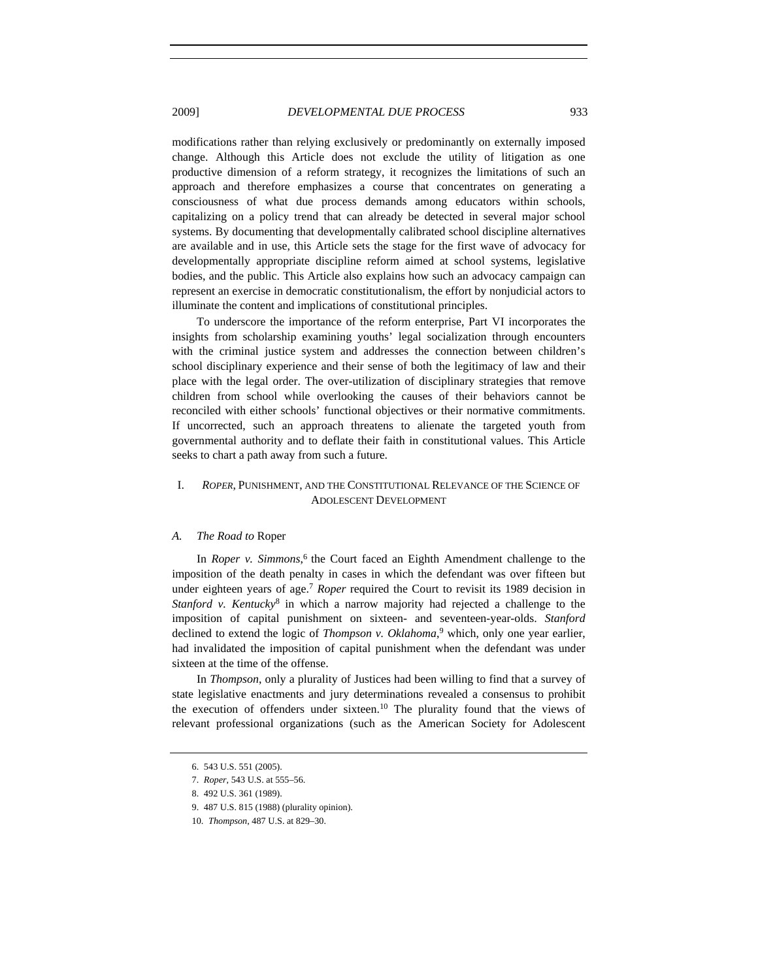## 2009] *DEVELOPMENTAL DUE PROCESS* 933

modifications rather than relying exclusively or predominantly on externally imposed change. Although this Article does not exclude the utility of litigation as one productive dimension of a reform strategy, it recognizes the limitations of such an approach and therefore emphasizes a course that concentrates on generating a consciousness of what due process demands among educators within schools, capitalizing on a policy trend that can already be detected in several major school systems. By documenting that developmentally calibrated school discipline alternatives are available and in use, this Article sets the stage for the first wave of advocacy for developmentally appropriate discipline reform aimed at school systems, legislative bodies, and the public. This Article also explains how such an advocacy campaign can represent an exercise in democratic constitutionalism, the effort by nonjudicial actors to illuminate the content and implications of constitutional principles.

To underscore the importance of the reform enterprise, Part VI incorporates the insights from scholarship examining youths' legal socialization through encounters with the criminal justice system and addresses the connection between children's school disciplinary experience and their sense of both the legitimacy of law and their place with the legal order. The over-utilization of disciplinary strategies that remove children from school while overlooking the causes of their behaviors cannot be reconciled with either schools' functional objectives or their normative commitments. If uncorrected, such an approach threatens to alienate the targeted youth from governmental authority and to deflate their faith in constitutional values. This Article seeks to chart a path away from such a future.

# I. *ROPER*, PUNISHMENT, AND THE CONSTITUTIONAL RELEVANCE OF THE SCIENCE OF ADOLESCENT DEVELOPMENT

## *A. The Road to* Roper

In *Roper v. Simmons*, 6 the Court faced an Eighth Amendment challenge to the imposition of the death penalty in cases in which the defendant was over fifteen but under eighteen years of age.<sup>7</sup> *Roper* required the Court to revisit its 1989 decision in *Stanford v. Kentucky*<sup>8</sup> in which a narrow majority had rejected a challenge to the imposition of capital punishment on sixteen- and seventeen-year-olds. *Stanford*  declined to extend the logic of *Thompson v. Oklahoma*, 9 which, only one year earlier, had invalidated the imposition of capital punishment when the defendant was under sixteen at the time of the offense.

In *Thompson*, only a plurality of Justices had been willing to find that a survey of state legislative enactments and jury determinations revealed a consensus to prohibit the execution of offenders under sixteen.<sup>10</sup> The plurality found that the views of relevant professional organizations (such as the American Society for Adolescent

<sup>6. 543</sup> U.S. 551 (2005).

<sup>7.</sup> *Roper*, 543 U.S. at 555–56.

<sup>8. 492</sup> U.S. 361 (1989).

<sup>9. 487</sup> U.S. 815 (1988) (plurality opinion).

<sup>10.</sup> *Thompson*, 487 U.S. at 829–30.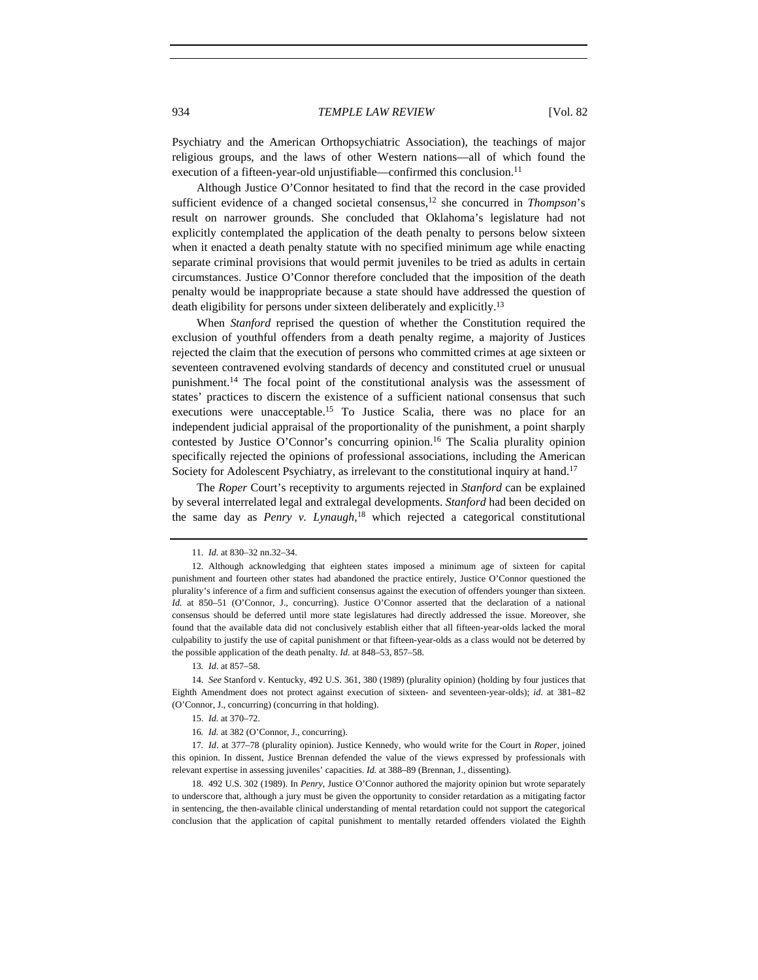Psychiatry and the American Orthopsychiatric Association), the teachings of major religious groups, and the laws of other Western nations—all of which found the execution of a fifteen-year-old unjustifiable—confirmed this conclusion.<sup>11</sup>

Although Justice O'Connor hesitated to find that the record in the case provided sufficient evidence of a changed societal consensus,<sup>12</sup> she concurred in *Thompson*'s result on narrower grounds. She concluded that Oklahoma's legislature had not explicitly contemplated the application of the death penalty to persons below sixteen when it enacted a death penalty statute with no specified minimum age while enacting separate criminal provisions that would permit juveniles to be tried as adults in certain circumstances. Justice O'Connor therefore concluded that the imposition of the death penalty would be inappropriate because a state should have addressed the question of death eligibility for persons under sixteen deliberately and explicitly.<sup>13</sup>

When *Stanford* reprised the question of whether the Constitution required the exclusion of youthful offenders from a death penalty regime, a majority of Justices rejected the claim that the execution of persons who committed crimes at age sixteen or seventeen contravened evolving standards of decency and constituted cruel or unusual punishment.14 The focal point of the constitutional analysis was the assessment of states' practices to discern the existence of a sufficient national consensus that such executions were unacceptable.15 To Justice Scalia, there was no place for an independent judicial appraisal of the proportionality of the punishment, a point sharply contested by Justice O'Connor's concurring opinion.<sup>16</sup> The Scalia plurality opinion specifically rejected the opinions of professional associations, including the American Society for Adolescent Psychiatry, as irrelevant to the constitutional inquiry at hand.<sup>17</sup>

The *Roper* Court's receptivity to arguments rejected in *Stanford* can be explained by several interrelated legal and extralegal developments. *Stanford* had been decided on the same day as *Penry v. Lynaugh*, 18 which rejected a categorical constitutional

13*. Id*. at 857–58.

<sup>11.</sup> *Id.* at 830–32 nn.32–34.

<sup>12.</sup> Although acknowledging that eighteen states imposed a minimum age of sixteen for capital punishment and fourteen other states had abandoned the practice entirely, Justice O'Connor questioned the plurality's inference of a firm and sufficient consensus against the execution of offenders younger than sixteen. *Id.* at 850–51 (O'Connor, J., concurring). Justice O'Connor asserted that the declaration of a national consensus should be deferred until more state legislatures had directly addressed the issue. Moreover, she found that the available data did not conclusively establish either that all fifteen-year-olds lacked the moral culpability to justify the use of capital punishment or that fifteen-year-olds as a class would not be deterred by the possible application of the death penalty. *Id.* at 848–53, 857–58.

<sup>14.</sup> *See* Stanford v. Kentucky, 492 U.S. 361, 380 (1989) (plurality opinion) (holding by four justices that Eighth Amendment does not protect against execution of sixteen- and seventeen-year-olds); *id.* at 381–82 (O'Connor, J., concurring) (concurring in that holding).

<sup>15.</sup> *Id.* at 370–72.

<sup>16</sup>*. Id.* at 382 (O'Connor, J., concurring).

<sup>17</sup>*. Id*. at 377–78 (plurality opinion). Justice Kennedy, who would write for the Court in *Roper*, joined this opinion. In dissent, Justice Brennan defended the value of the views expressed by professionals with relevant expertise in assessing juveniles' capacities. *Id.* at 388–89 (Brennan, J., dissenting).

<sup>18. 492</sup> U.S. 302 (1989). In *Penry*, Justice O'Connor authored the majority opinion but wrote separately to underscore that, although a jury must be given the opportunity to consider retardation as a mitigating factor in sentencing, the then-available clinical understanding of mental retardation could not support the categorical conclusion that the application of capital punishment to mentally retarded offenders violated the Eighth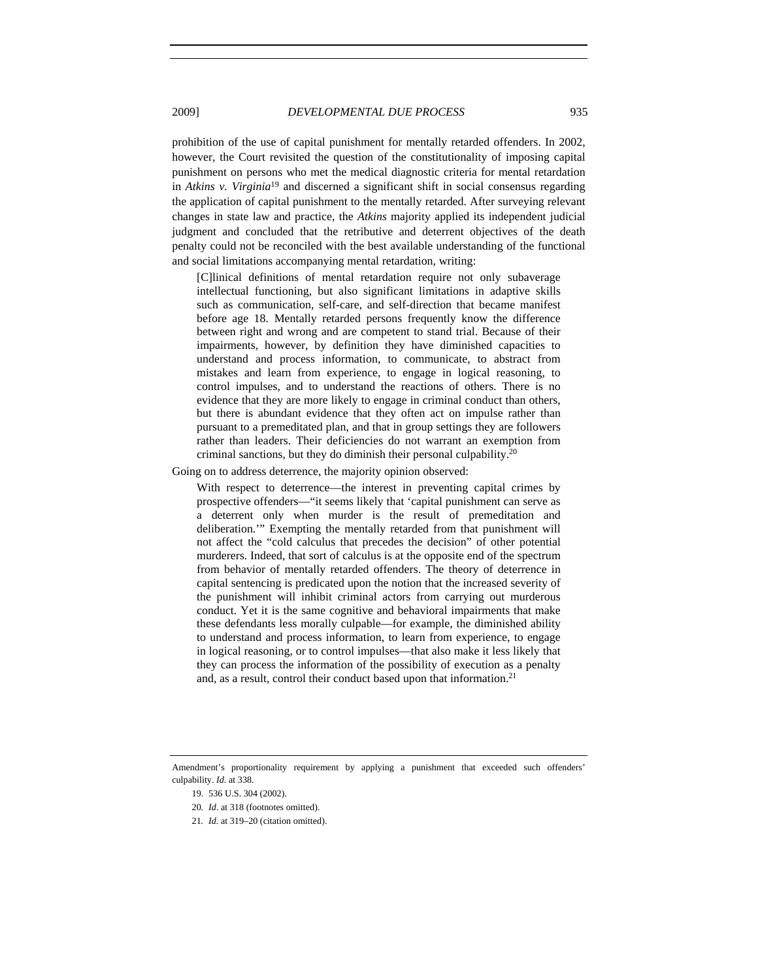prohibition of the use of capital punishment for mentally retarded offenders. In 2002, however, the Court revisited the question of the constitutionality of imposing capital punishment on persons who met the medical diagnostic criteria for mental retardation in *Atkins v. Virginia*19 and discerned a significant shift in social consensus regarding the application of capital punishment to the mentally retarded. After surveying relevant changes in state law and practice, the *Atkins* majority applied its independent judicial judgment and concluded that the retributive and deterrent objectives of the death penalty could not be reconciled with the best available understanding of the functional and social limitations accompanying mental retardation, writing:

[C]linical definitions of mental retardation require not only subaverage intellectual functioning, but also significant limitations in adaptive skills such as communication, self-care, and self-direction that became manifest before age 18. Mentally retarded persons frequently know the difference between right and wrong and are competent to stand trial. Because of their impairments, however, by definition they have diminished capacities to understand and process information, to communicate, to abstract from mistakes and learn from experience, to engage in logical reasoning, to control impulses, and to understand the reactions of others. There is no evidence that they are more likely to engage in criminal conduct than others, but there is abundant evidence that they often act on impulse rather than pursuant to a premeditated plan, and that in group settings they are followers rather than leaders. Their deficiencies do not warrant an exemption from criminal sanctions, but they do diminish their personal culpability.20

Going on to address deterrence, the majority opinion observed:

With respect to deterrence—the interest in preventing capital crimes by prospective offenders—"it seems likely that 'capital punishment can serve as a deterrent only when murder is the result of premeditation and deliberation.'" Exempting the mentally retarded from that punishment will not affect the "cold calculus that precedes the decision" of other potential murderers. Indeed, that sort of calculus is at the opposite end of the spectrum from behavior of mentally retarded offenders. The theory of deterrence in capital sentencing is predicated upon the notion that the increased severity of the punishment will inhibit criminal actors from carrying out murderous conduct. Yet it is the same cognitive and behavioral impairments that make these defendants less morally culpable—for example, the diminished ability to understand and process information, to learn from experience, to engage in logical reasoning, or to control impulses—that also make it less likely that they can process the information of the possibility of execution as a penalty and, as a result, control their conduct based upon that information.<sup>21</sup>

Amendment's proportionality requirement by applying a punishment that exceeded such offenders' culpability. *Id.* at 338.

<sup>19. 536</sup> U.S. 304 (2002).

<sup>20</sup>*. Id*. at 318 (footnotes omitted).

<sup>21</sup>*. Id.* at 319–20 (citation omitted).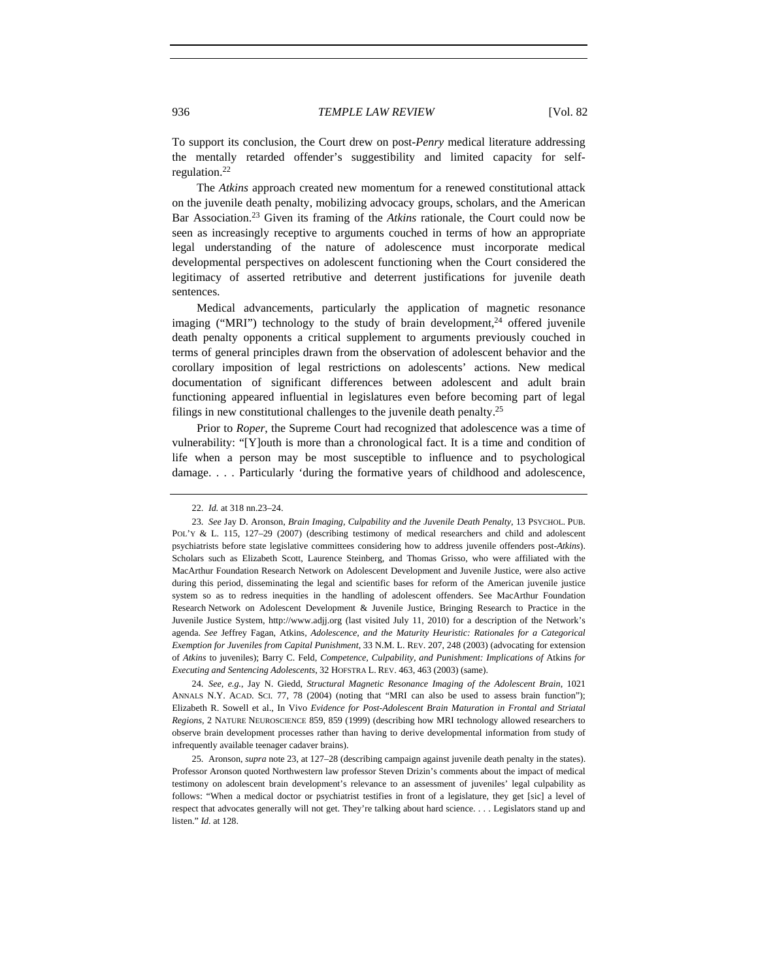To support its conclusion, the Court drew on post-*Penry* medical literature addressing the mentally retarded offender's suggestibility and limited capacity for selfregulation.22

The *Atkins* approach created new momentum for a renewed constitutional attack on the juvenile death penalty, mobilizing advocacy groups, scholars, and the American Bar Association.23 Given its framing of the *Atkins* rationale, the Court could now be seen as increasingly receptive to arguments couched in terms of how an appropriate legal understanding of the nature of adolescence must incorporate medical developmental perspectives on adolescent functioning when the Court considered the legitimacy of asserted retributive and deterrent justifications for juvenile death sentences.

Medical advancements, particularly the application of magnetic resonance imaging ("MRI") technology to the study of brain development,<sup>24</sup> offered juvenile death penalty opponents a critical supplement to arguments previously couched in terms of general principles drawn from the observation of adolescent behavior and the corollary imposition of legal restrictions on adolescents' actions. New medical documentation of significant differences between adolescent and adult brain functioning appeared influential in legislatures even before becoming part of legal filings in new constitutional challenges to the juvenile death penalty.25

Prior to *Roper*, the Supreme Court had recognized that adolescence was a time of vulnerability: "[Y]outh is more than a chronological fact. It is a time and condition of life when a person may be most susceptible to influence and to psychological damage. . . . Particularly 'during the formative years of childhood and adolescence,

24. *See, e.g.*, Jay N. Giedd, *Structural Magnetic Resonance Imaging of the Adolescent Brain*, 1021 ANNALS N.Y. ACAD. SCI. 77, 78 (2004) (noting that "MRI can also be used to assess brain function"); Elizabeth R. Sowell et al., In Vivo *Evidence for Post-Adolescent Brain Maturation in Frontal and Striatal Regions*, 2 NATURE NEUROSCIENCE 859, 859 (1999) (describing how MRI technology allowed researchers to observe brain development processes rather than having to derive developmental information from study of infrequently available teenager cadaver brains).

25. Aronson, *supra* note 23, at 127–28 (describing campaign against juvenile death penalty in the states). Professor Aronson quoted Northwestern law professor Steven Drizin's comments about the impact of medical testimony on adolescent brain development's relevance to an assessment of juveniles' legal culpability as follows: "When a medical doctor or psychiatrist testifies in front of a legislature, they get [sic] a level of respect that advocates generally will not get. They're talking about hard science. . . . Legislators stand up and listen." *Id.* at 128.

<sup>22.</sup> *Id.* at 318 nn.23–24.

<sup>23.</sup> *See* Jay D. Aronson, *Brain Imaging, Culpability and the Juvenile Death Penalty*, 13 PSYCHOL. PUB. POL'Y & L. 115, 127–29 (2007) (describing testimony of medical researchers and child and adolescent psychiatrists before state legislative committees considering how to address juvenile offenders post-*Atkins*). Scholars such as Elizabeth Scott, Laurence Steinberg, and Thomas Grisso, who were affiliated with the MacArthur Foundation Research Network on Adolescent Development and Juvenile Justice, were also active during this period, disseminating the legal and scientific bases for reform of the American juvenile justice system so as to redress inequities in the handling of adolescent offenders. See MacArthur Foundation Research Network on Adolescent Development & Juvenile Justice, Bringing Research to Practice in the Juvenile Justice System, http://www.adjj.org (last visited July 11, 2010) for a description of the Network's agenda. *See* Jeffrey Fagan, Atkins*, Adolescence, and the Maturity Heuristic: Rationales for a Categorical Exemption for Juveniles from Capital Punishment*, 33 N.M. L. REV. 207, 248 (2003) (advocating for extension of *Atkins* to juveniles); Barry C. Feld, *Competence, Culpability, and Punishment: Implications of* Atkins *for Executing and Sentencing Adolescents*, 32 HOFSTRA L. REV. 463, 463 (2003) (same).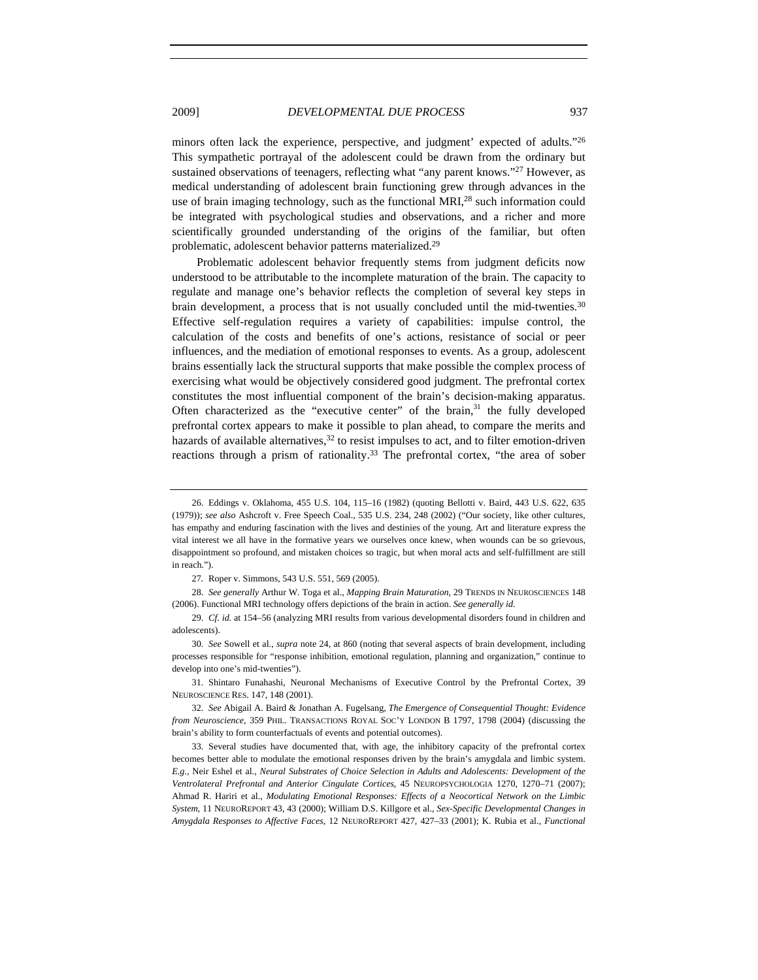minors often lack the experience, perspective, and judgment' expected of adults."26 This sympathetic portrayal of the adolescent could be drawn from the ordinary but sustained observations of teenagers, reflecting what "any parent knows."<sup>27</sup> However, as medical understanding of adolescent brain functioning grew through advances in the use of brain imaging technology, such as the functional MRI $,^{28}$  such information could be integrated with psychological studies and observations, and a richer and more scientifically grounded understanding of the origins of the familiar, but often problematic, adolescent behavior patterns materialized.29

Problematic adolescent behavior frequently stems from judgment deficits now understood to be attributable to the incomplete maturation of the brain. The capacity to regulate and manage one's behavior reflects the completion of several key steps in brain development, a process that is not usually concluded until the mid-twenties.30 Effective self-regulation requires a variety of capabilities: impulse control, the calculation of the costs and benefits of one's actions, resistance of social or peer influences, and the mediation of emotional responses to events. As a group, adolescent brains essentially lack the structural supports that make possible the complex process of exercising what would be objectively considered good judgment. The prefrontal cortex constitutes the most influential component of the brain's decision-making apparatus. Often characterized as the "executive center" of the brain, $31$  the fully developed prefrontal cortex appears to make it possible to plan ahead, to compare the merits and hazards of available alternatives,  $32$  to resist impulses to act, and to filter emotion-driven reactions through a prism of rationality.<sup>33</sup> The prefrontal cortex, "the area of sober

31. Shintaro Funahashi, Neuronal Mechanisms of Executive Control by the Prefrontal Cortex, 39 NEUROSCIENCE RES. 147, 148 (2001).

32. *See* Abigail A. Baird & Jonathan A. Fugelsang, *The Emergence of Consequential Thought: Evidence from Neuroscience*, 359 PHIL. TRANSACTIONS ROYAL SOC'Y LONDON B 1797, 1798 (2004) (discussing the brain's ability to form counterfactuals of events and potential outcomes).

<sup>26.</sup> Eddings v. Oklahoma, 455 U.S. 104, 115–16 (1982) (quoting Bellotti v. Baird, 443 U.S. 622, 635 (1979)); *see also* Ashcroft v. Free Speech Coal., 535 U.S. 234, 248 (2002) ("Our society, like other cultures, has empathy and enduring fascination with the lives and destinies of the young. Art and literature express the vital interest we all have in the formative years we ourselves once knew, when wounds can be so grievous, disappointment so profound, and mistaken choices so tragic, but when moral acts and self-fulfillment are still in reach.").

<sup>27</sup>*.* Roper v. Simmons, 543 U.S. 551, 569 (2005).

<sup>28.</sup> *See generally* Arthur W. Toga et al., *Mapping Brain Maturation*, 29 TRENDS IN NEUROSCIENCES 148 (2006). Functional MRI technology offers depictions of the brain in action. *See generally id.*

<sup>29.</sup> *Cf. id.* at 154–56 (analyzing MRI results from various developmental disorders found in children and adolescents).

<sup>30.</sup> *See* Sowell et al., *supra* note 24, at 860 (noting that several aspects of brain development, including processes responsible for "response inhibition, emotional regulation, planning and organization," continue to develop into one's mid-twenties").

<sup>33.</sup> Several studies have documented that, with age, the inhibitory capacity of the prefrontal cortex becomes better able to modulate the emotional responses driven by the brain's amygdala and limbic system. *E.g.*, Neir Eshel et al., *Neural Substrates of Choice Selection in Adults and Adolescents: Development of the Ventrolateral Prefrontal and Anterior Cingulate Cortices*, 45 NEUROPSYCHOLOGIA 1270, 1270–71 (2007); Ahmad R. Hariri et al., *Modulating Emotional Responses: Effects of a Neocortical Network on the Limbic System*, 11 NEUROREPORT 43, 43 (2000); William D.S. Killgore et al., *Sex-Specific Developmental Changes in Amygdala Responses to Affective Faces*, 12 NEUROREPORT 427, 427–33 (2001); K. Rubia et al., *Functional*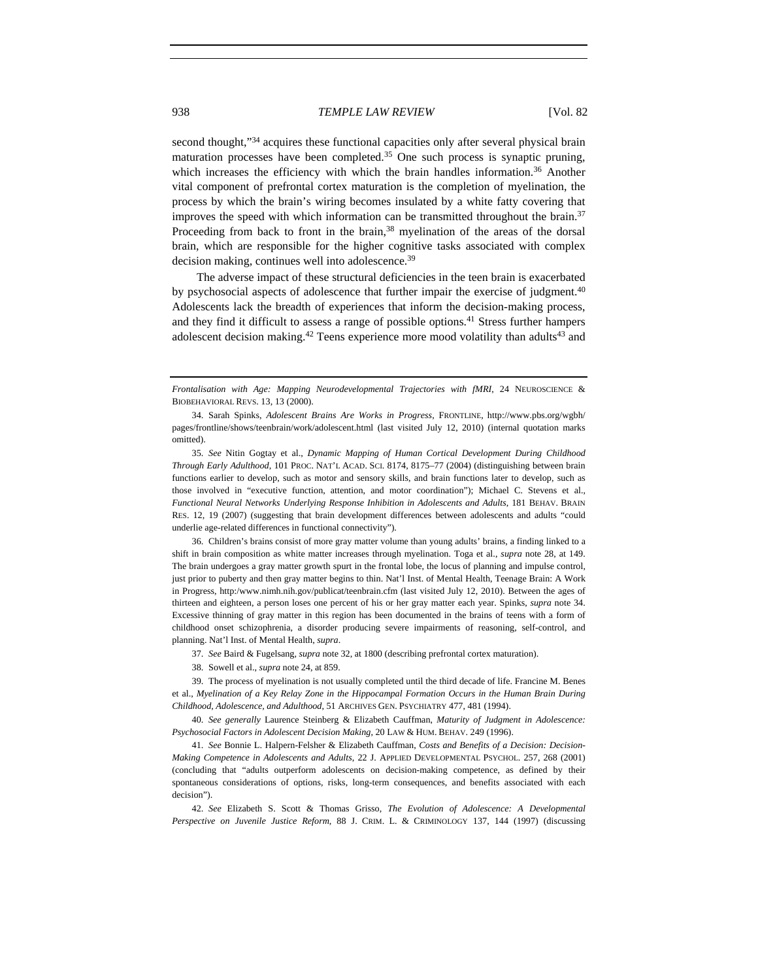second thought,"<sup>34</sup> acquires these functional capacities only after several physical brain maturation processes have been completed.<sup>35</sup> One such process is synaptic pruning, which increases the efficiency with which the brain handles information.<sup>36</sup> Another vital component of prefrontal cortex maturation is the completion of myelination, the process by which the brain's wiring becomes insulated by a white fatty covering that improves the speed with which information can be transmitted throughout the brain.37 Proceeding from back to front in the brain,<sup>38</sup> myelination of the areas of the dorsal brain, which are responsible for the higher cognitive tasks associated with complex decision making, continues well into adolescence.<sup>39</sup>

The adverse impact of these structural deficiencies in the teen brain is exacerbated by psychosocial aspects of adolescence that further impair the exercise of judgment.<sup>40</sup> Adolescents lack the breadth of experiences that inform the decision-making process, and they find it difficult to assess a range of possible options.<sup>41</sup> Stress further hampers adolescent decision making.<sup>42</sup> Teens experience more mood volatility than adults<sup>43</sup> and

37. *See* Baird & Fugelsang, *supra* note 32, at 1800 (describing prefrontal cortex maturation).

38. Sowell et al., *supra* note 24, at 859.

39. The process of myelination is not usually completed until the third decade of life. Francine M. Benes et al., *Myelination of a Key Relay Zone in the Hippocampal Formation Occurs in the Human Brain During Childhood, Adolescence, and Adulthood*, 51 ARCHIVES GEN. PSYCHIATRY 477, 481 (1994).

40. *See generally* Laurence Steinberg & Elizabeth Cauffman, *Maturity of Judgment in Adolescence: Psychosocial Factors in Adolescent Decision Making*, 20 LAW & HUM. BEHAV. 249 (1996).

41. *See* Bonnie L. Halpern-Felsher & Elizabeth Cauffman, *Costs and Benefits of a Decision: Decision-Making Competence in Adolescents and Adults*, 22 J. APPLIED DEVELOPMENTAL PSYCHOL. 257, 268 (2001) (concluding that "adults outperform adolescents on decision-making competence, as defined by their spontaneous considerations of options, risks, long-term consequences, and benefits associated with each decision").

42. *See* Elizabeth S. Scott & Thomas Grisso, *The Evolution of Adolescence: A Developmental Perspective on Juvenile Justice Reform*, 88 J. CRIM. L. & CRIMINOLOGY 137, 144 (1997) (discussing

*Frontalisation with Age: Mapping Neurodevelopmental Trajectories with fMRI*, 24 NEUROSCIENCE & BIOBEHAVIORAL REVS. 13, 13 (2000).

<sup>34.</sup> Sarah Spinks, *Adolescent Brains Are Works in Progress*, FRONTLINE, http://www.pbs.org/wgbh/ pages/frontline/shows/teenbrain/work/adolescent.html (last visited July 12, 2010) (internal quotation marks omitted).

<sup>35.</sup> *See* Nitin Gogtay et al., *Dynamic Mapping of Human Cortical Development During Childhood Through Early Adulthood*, 101 PROC. NAT'L ACAD. SCI. 8174, 8175–77 (2004) (distinguishing between brain functions earlier to develop, such as motor and sensory skills, and brain functions later to develop, such as those involved in "executive function, attention, and motor coordination"); Michael C. Stevens et al., *Functional Neural Networks Underlying Response Inhibition in Adolescents and Adults*, 181 BEHAV. BRAIN RES. 12, 19 (2007) (suggesting that brain development differences between adolescents and adults "could underlie age-related differences in functional connectivity").

<sup>36.</sup> Children's brains consist of more gray matter volume than young adults' brains, a finding linked to a shift in brain composition as white matter increases through myelination. Toga et al., *supra* note 28, at 149. The brain undergoes a gray matter growth spurt in the frontal lobe, the locus of planning and impulse control, just prior to puberty and then gray matter begins to thin. Nat'l Inst. of Mental Health, Teenage Brain: A Work in Progress, http:/www.nimh.nih.gov/publicat/teenbrain.cfm (last visited July 12, 2010). Between the ages of thirteen and eighteen, a person loses one percent of his or her gray matter each year. Spinks, *supra* note 34. Excessive thinning of gray matter in this region has been documented in the brains of teens with a form of childhood onset schizophrenia, a disorder producing severe impairments of reasoning, self-control, and planning. Nat'l Inst. of Mental Health, *supra*.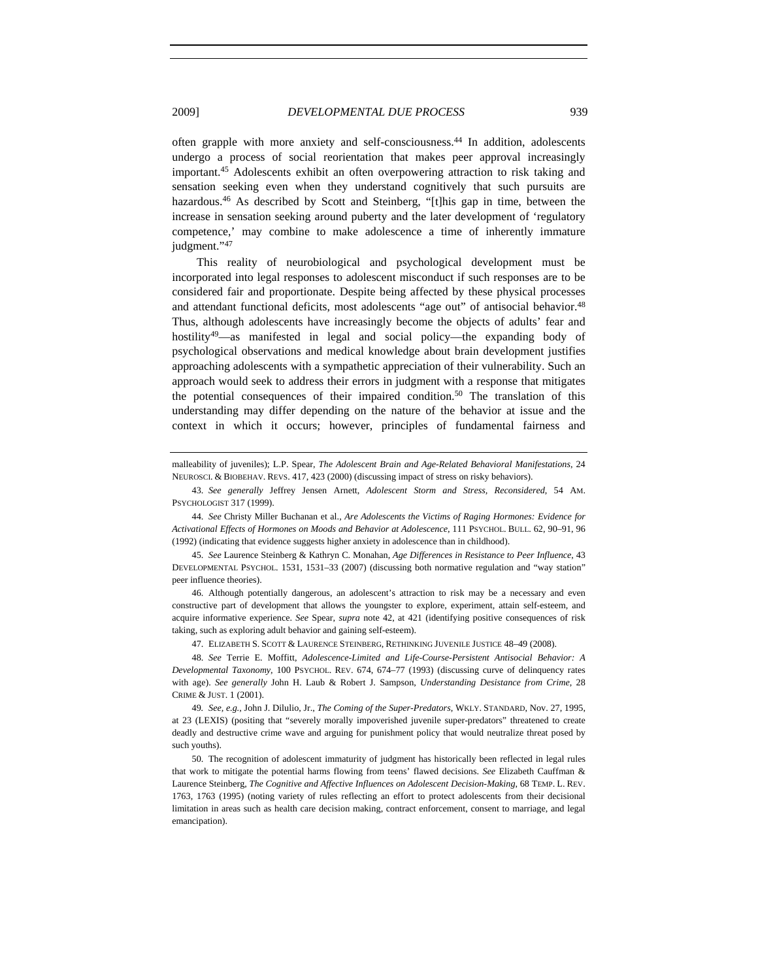often grapple with more anxiety and self-consciousness.44 In addition, adolescents undergo a process of social reorientation that makes peer approval increasingly important.45 Adolescents exhibit an often overpowering attraction to risk taking and sensation seeking even when they understand cognitively that such pursuits are hazardous.46 As described by Scott and Steinberg, "[t]his gap in time, between the increase in sensation seeking around puberty and the later development of 'regulatory competence,' may combine to make adolescence a time of inherently immature judgment."47

This reality of neurobiological and psychological development must be incorporated into legal responses to adolescent misconduct if such responses are to be considered fair and proportionate. Despite being affected by these physical processes and attendant functional deficits, most adolescents "age out" of antisocial behavior.<sup>48</sup> Thus, although adolescents have increasingly become the objects of adults' fear and hostility<sup>49</sup>—as manifested in legal and social policy—the expanding body of psychological observations and medical knowledge about brain development justifies approaching adolescents with a sympathetic appreciation of their vulnerability. Such an approach would seek to address their errors in judgment with a response that mitigates the potential consequences of their impaired condition.<sup>50</sup> The translation of this understanding may differ depending on the nature of the behavior at issue and the context in which it occurs; however, principles of fundamental fairness and

44. *See* Christy Miller Buchanan et al., *Are Adolescents the Victims of Raging Hormones: Evidence for Activational Effects of Hormones on Moods and Behavior at Adolescence*, 111 PSYCHOL. BULL. 62, 90–91, 96 (1992) (indicating that evidence suggests higher anxiety in adolescence than in childhood).

45. *See* Laurence Steinberg & Kathryn C. Monahan, *Age Differences in Resistance to Peer Influence*, 43 DEVELOPMENTAL PSYCHOL. 1531, 1531–33 (2007) (discussing both normative regulation and "way station" peer influence theories).

46. Although potentially dangerous, an adolescent's attraction to risk may be a necessary and even constructive part of development that allows the youngster to explore, experiment, attain self-esteem, and acquire informative experience. *See* Spear, *supra* note 42, at 421 (identifying positive consequences of risk taking, such as exploring adult behavior and gaining self-esteem).

47. ELIZABETH S. SCOTT & LAURENCE STEINBERG, RETHINKING JUVENILE JUSTICE 48–49 (2008).

48. *See* Terrie E. Moffitt, *Adolescence-Limited and Life-Course-Persistent Antisocial Behavior: A Developmental Taxonomy*, 100 PSYCHOL. REV. 674, 674–77 (1993) (discussing curve of delinquency rates with age). *See generally* John H. Laub & Robert J. Sampson, *Understanding Desistance from Crime*, 28 CRIME & JUST. 1 (2001).

49*. See, e.g.*, John J. Dilulio, Jr., *The Coming of the Super-Predators*, WKLY. STANDARD, Nov. 27, 1995, at 23 (LEXIS) (positing that "severely morally impoverished juvenile super-predators" threatened to create deadly and destructive crime wave and arguing for punishment policy that would neutralize threat posed by such youths).

50. The recognition of adolescent immaturity of judgment has historically been reflected in legal rules that work to mitigate the potential harms flowing from teens' flawed decisions. *See* Elizabeth Cauffman & Laurence Steinberg, *The Cognitive and Affective Influences on Adolescent Decision-Making*, 68 TEMP. L. REV. 1763, 1763 (1995) (noting variety of rules reflecting an effort to protect adolescents from their decisional limitation in areas such as health care decision making, contract enforcement, consent to marriage, and legal emancipation).

malleability of juveniles); L.P. Spear, *The Adolescent Brain and Age-Related Behavioral Manifestations*, 24 NEUROSCI. & BIOBEHAV. REVS. 417, 423 (2000) (discussing impact of stress on risky behaviors).

<sup>43.</sup> *See generally* Jeffrey Jensen Arnett, *Adolescent Storm and Stress, Reconsidered*, 54 AM. PSYCHOLOGIST 317 (1999).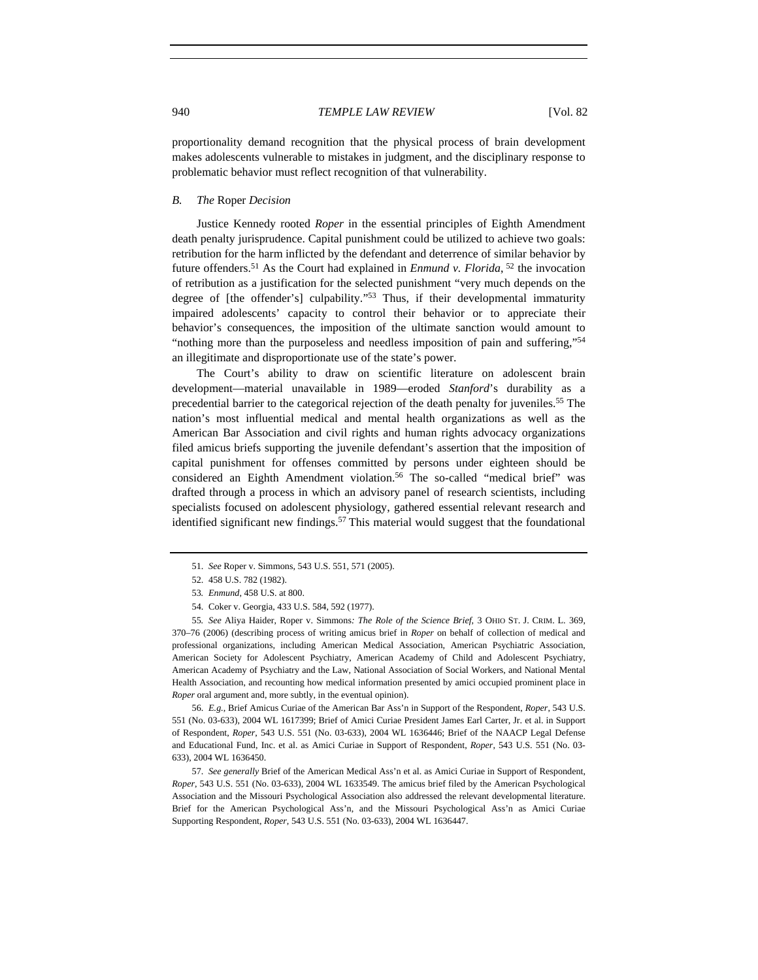proportionality demand recognition that the physical process of brain development makes adolescents vulnerable to mistakes in judgment, and the disciplinary response to problematic behavior must reflect recognition of that vulnerability.

#### *B. The* Roper *Decision*

Justice Kennedy rooted *Roper* in the essential principles of Eighth Amendment death penalty jurisprudence. Capital punishment could be utilized to achieve two goals: retribution for the harm inflicted by the defendant and deterrence of similar behavior by future offenders.<sup>51</sup> As the Court had explained in *Enmund v. Florida*,  $^{52}$  the invocation of retribution as a justification for the selected punishment "very much depends on the degree of [the offender's] culpability."53 Thus, if their developmental immaturity impaired adolescents' capacity to control their behavior or to appreciate their behavior's consequences, the imposition of the ultimate sanction would amount to "nothing more than the purposeless and needless imposition of pain and suffering,"54 an illegitimate and disproportionate use of the state's power.

The Court's ability to draw on scientific literature on adolescent brain development—material unavailable in 1989—eroded *Stanford*'s durability as a precedential barrier to the categorical rejection of the death penalty for juveniles.55 The nation's most influential medical and mental health organizations as well as the American Bar Association and civil rights and human rights advocacy organizations filed amicus briefs supporting the juvenile defendant's assertion that the imposition of capital punishment for offenses committed by persons under eighteen should be considered an Eighth Amendment violation.56 The so-called "medical brief" was drafted through a process in which an advisory panel of research scientists, including specialists focused on adolescent physiology, gathered essential relevant research and identified significant new findings.<sup>57</sup> This material would suggest that the foundational

56. *E.g.*, Brief Amicus Curiae of the American Bar Ass'n in Support of the Respondent, *Roper*, 543 U.S. 551 (No. 03-633), 2004 WL 1617399; Brief of Amici Curiae President James Earl Carter, Jr. et al. in Support of Respondent, *Roper*, 543 U.S. 551 (No. 03-633), 2004 WL 1636446; Brief of the NAACP Legal Defense and Educational Fund, Inc. et al. as Amici Curiae in Support of Respondent, *Roper*, 543 U.S. 551 (No. 03- 633), 2004 WL 1636450.

57. *See generally* Brief of the American Medical Ass'n et al. as Amici Curiae in Support of Respondent, *Roper*, 543 U.S. 551 (No. 03-633), 2004 WL 1633549. The amicus brief filed by the American Psychological Association and the Missouri Psychological Association also addressed the relevant developmental literature. Brief for the American Psychological Ass'n, and the Missouri Psychological Ass'n as Amici Curiae Supporting Respondent, *Roper*, 543 U.S. 551 (No. 03-633), 2004 WL 1636447.

<sup>51.</sup> *See* Roper v. Simmons, 543 U.S. 551, 571 (2005).

<sup>52. 458</sup> U.S. 782 (1982).

<sup>53</sup>*. Enmund*, 458 U.S. at 800.

<sup>54.</sup> Coker v. Georgia, 433 U.S. 584, 592 (1977).

<sup>55</sup>*. See* Aliya Haider, Roper v. Simmons*: The Role of the Science Brief*, 3 OHIO ST. J. CRIM. L. 369, 370–76 (2006) (describing process of writing amicus brief in *Roper* on behalf of collection of medical and professional organizations, including American Medical Association, American Psychiatric Association, American Society for Adolescent Psychiatry, American Academy of Child and Adolescent Psychiatry, American Academy of Psychiatry and the Law, National Association of Social Workers, and National Mental Health Association, and recounting how medical information presented by amici occupied prominent place in *Roper* oral argument and, more subtly, in the eventual opinion).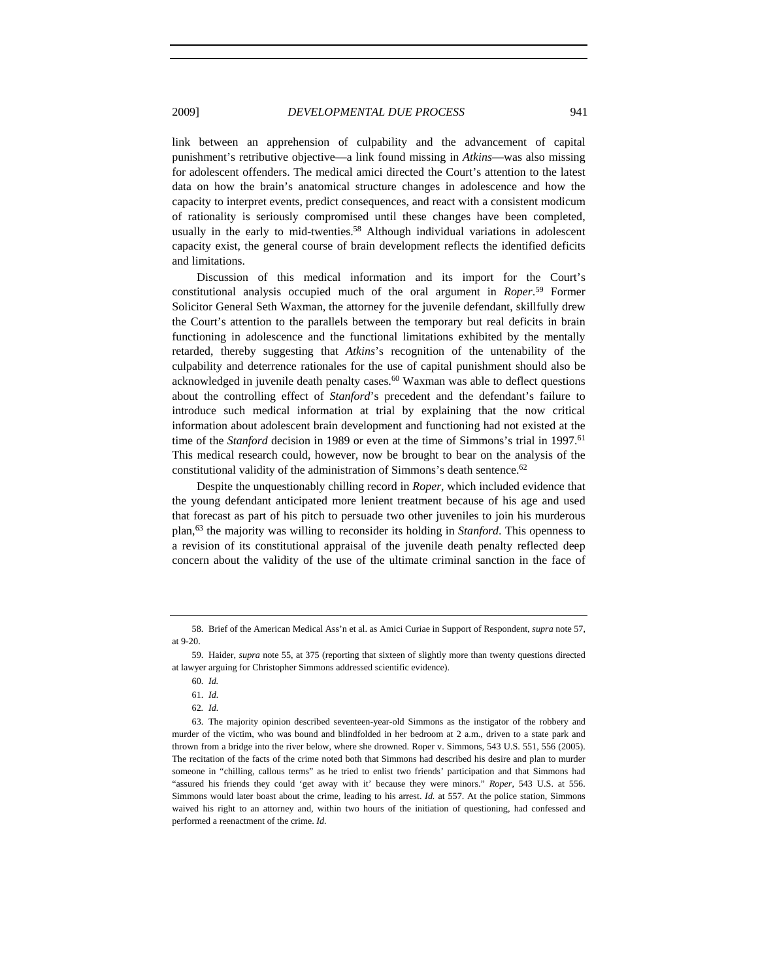link between an apprehension of culpability and the advancement of capital punishment's retributive objective—a link found missing in *Atkins*—was also missing for adolescent offenders. The medical amici directed the Court's attention to the latest data on how the brain's anatomical structure changes in adolescence and how the capacity to interpret events, predict consequences, and react with a consistent modicum of rationality is seriously compromised until these changes have been completed, usually in the early to mid-twenties.58 Although individual variations in adolescent capacity exist, the general course of brain development reflects the identified deficits and limitations.

Discussion of this medical information and its import for the Court's constitutional analysis occupied much of the oral argument in *Roper*. 59 Former Solicitor General Seth Waxman, the attorney for the juvenile defendant, skillfully drew the Court's attention to the parallels between the temporary but real deficits in brain functioning in adolescence and the functional limitations exhibited by the mentally retarded, thereby suggesting that *Atkins*'s recognition of the untenability of the culpability and deterrence rationales for the use of capital punishment should also be acknowledged in juvenile death penalty cases.<sup>60</sup> Waxman was able to deflect questions about the controlling effect of *Stanford*'s precedent and the defendant's failure to introduce such medical information at trial by explaining that the now critical information about adolescent brain development and functioning had not existed at the time of the *Stanford* decision in 1989 or even at the time of Simmons's trial in 1997.<sup>61</sup> This medical research could, however, now be brought to bear on the analysis of the constitutional validity of the administration of Simmons's death sentence.<sup>62</sup>

Despite the unquestionably chilling record in *Roper*, which included evidence that the young defendant anticipated more lenient treatment because of his age and used that forecast as part of his pitch to persuade two other juveniles to join his murderous plan,63 the majority was willing to reconsider its holding in *Stanford*. This openness to a revision of its constitutional appraisal of the juvenile death penalty reflected deep concern about the validity of the use of the ultimate criminal sanction in the face of

<sup>58.</sup> Brief of the American Medical Ass'n et al. as Amici Curiae in Support of Respondent, *supra* note 57, at 9-20.

<sup>59.</sup> Haider, *supra* note 55, at 375 (reporting that sixteen of slightly more than twenty questions directed at lawyer arguing for Christopher Simmons addressed scientific evidence).

<sup>60.</sup> *Id.* 

<sup>61.</sup> *Id.*

<sup>62</sup>*. Id.*

<sup>63.</sup> The majority opinion described seventeen-year-old Simmons as the instigator of the robbery and murder of the victim, who was bound and blindfolded in her bedroom at 2 a.m., driven to a state park and thrown from a bridge into the river below, where she drowned. Roper v. Simmons, 543 U.S. 551, 556 (2005). The recitation of the facts of the crime noted both that Simmons had described his desire and plan to murder someone in "chilling, callous terms" as he tried to enlist two friends' participation and that Simmons had "assured his friends they could 'get away with it' because they were minors." *Roper*, 543 U.S. at 556. Simmons would later boast about the crime, leading to his arrest. *Id.* at 557. At the police station, Simmons waived his right to an attorney and, within two hours of the initiation of questioning, had confessed and performed a reenactment of the crime. *Id.*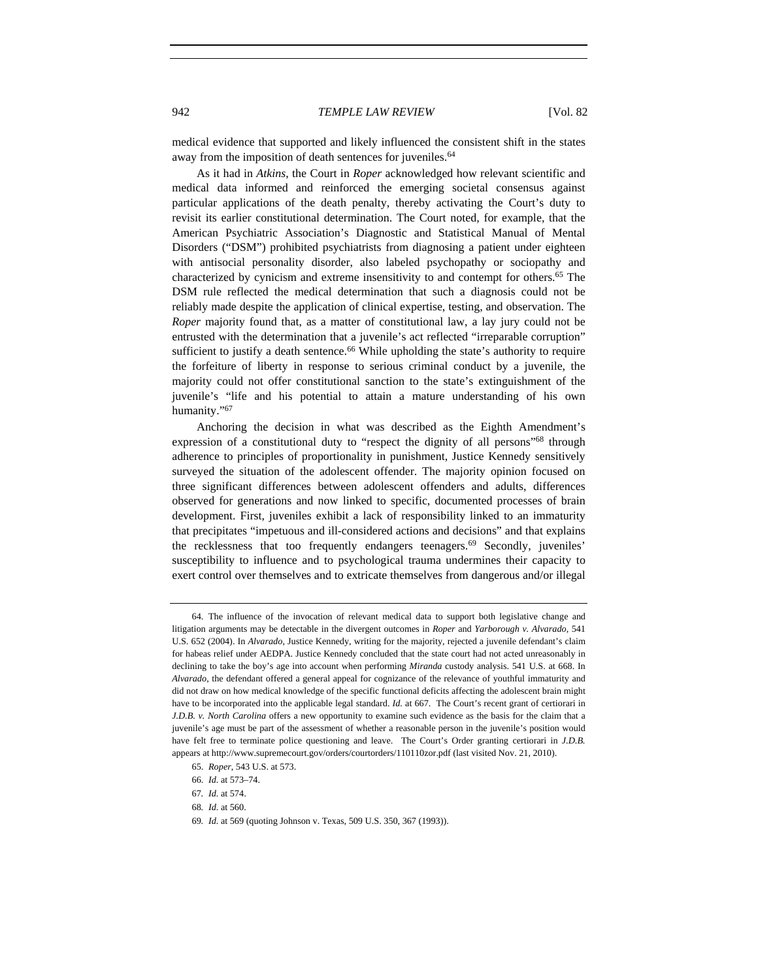medical evidence that supported and likely influenced the consistent shift in the states away from the imposition of death sentences for juveniles.<sup>64</sup>

As it had in *Atkins*, the Court in *Roper* acknowledged how relevant scientific and medical data informed and reinforced the emerging societal consensus against particular applications of the death penalty, thereby activating the Court's duty to revisit its earlier constitutional determination. The Court noted, for example, that the American Psychiatric Association's Diagnostic and Statistical Manual of Mental Disorders ("DSM") prohibited psychiatrists from diagnosing a patient under eighteen with antisocial personality disorder, also labeled psychopathy or sociopathy and characterized by cynicism and extreme insensitivity to and contempt for others.65 The DSM rule reflected the medical determination that such a diagnosis could not be reliably made despite the application of clinical expertise, testing, and observation. The *Roper* majority found that, as a matter of constitutional law, a lay jury could not be entrusted with the determination that a juvenile's act reflected "irreparable corruption" sufficient to justify a death sentence.<sup>66</sup> While upholding the state's authority to require the forfeiture of liberty in response to serious criminal conduct by a juvenile, the majority could not offer constitutional sanction to the state's extinguishment of the juvenile's "life and his potential to attain a mature understanding of his own humanity."<sup>67</sup>

Anchoring the decision in what was described as the Eighth Amendment's expression of a constitutional duty to "respect the dignity of all persons"<sup>68</sup> through adherence to principles of proportionality in punishment, Justice Kennedy sensitively surveyed the situation of the adolescent offender. The majority opinion focused on three significant differences between adolescent offenders and adults, differences observed for generations and now linked to specific, documented processes of brain development. First, juveniles exhibit a lack of responsibility linked to an immaturity that precipitates "impetuous and ill-considered actions and decisions" and that explains the recklessness that too frequently endangers teenagers.69 Secondly, juveniles' susceptibility to influence and to psychological trauma undermines their capacity to exert control over themselves and to extricate themselves from dangerous and/or illegal

<sup>64.</sup> The influence of the invocation of relevant medical data to support both legislative change and litigation arguments may be detectable in the divergent outcomes in *Roper* and *Yarborough v. Alvarado*, 541 U.S. 652 (2004). In *Alvarado*, Justice Kennedy, writing for the majority, rejected a juvenile defendant's claim for habeas relief under AEDPA. Justice Kennedy concluded that the state court had not acted unreasonably in declining to take the boy's age into account when performing *Miranda* custody analysis. 541 U.S. at 668. In *Alvarado*, the defendant offered a general appeal for cognizance of the relevance of youthful immaturity and did not draw on how medical knowledge of the specific functional deficits affecting the adolescent brain might have to be incorporated into the applicable legal standard. *Id.* at 667. The Court's recent grant of certiorari in *J.D.B. v. North Carolina* offers a new opportunity to examine such evidence as the basis for the claim that a juvenile's age must be part of the assessment of whether a reasonable person in the juvenile's position would have felt free to terminate police questioning and leave. The Court's Order granting certiorari in *J.D.B.* appears at http://www.supremecourt.gov/orders/courtorders/110110zor.pdf (last visited Nov. 21, 2010).

<sup>65.</sup> *Roper*, 543 U.S. at 573.

<sup>66.</sup> *Id.* at 573–74.

<sup>67</sup>*. Id.* at 574.

<sup>68</sup>*. Id.* at 560.

<sup>69</sup>*. Id.* at 569 (quoting Johnson v. Texas, 509 U.S. 350, 367 (1993)).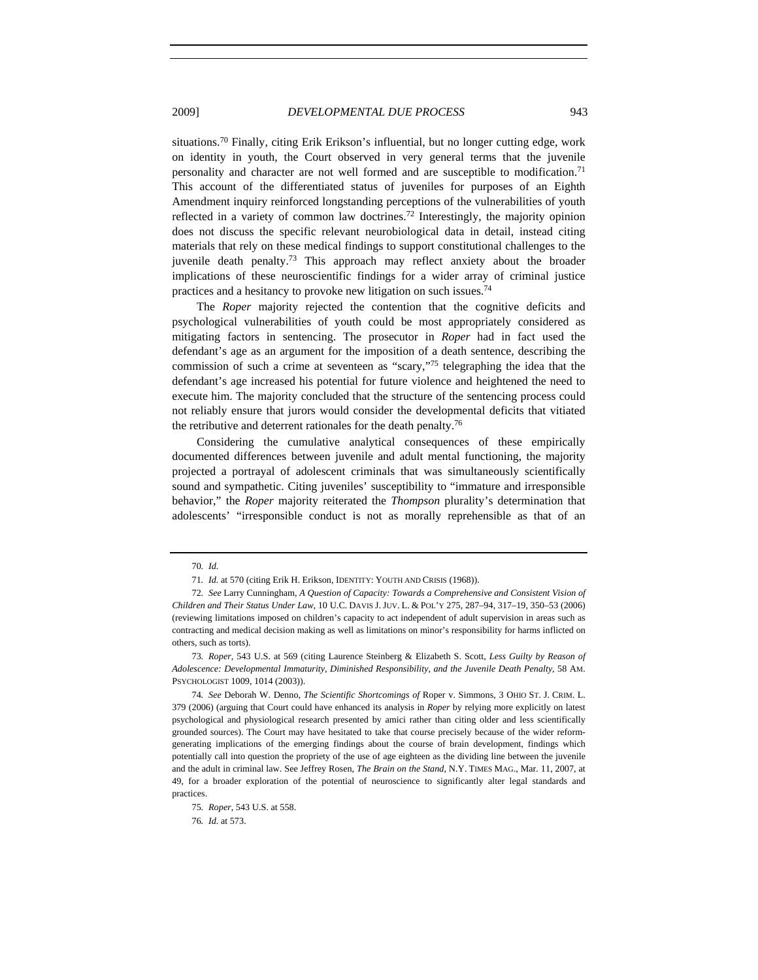situations.70 Finally, citing Erik Erikson's influential, but no longer cutting edge, work on identity in youth, the Court observed in very general terms that the juvenile personality and character are not well formed and are susceptible to modification.71 This account of the differentiated status of juveniles for purposes of an Eighth Amendment inquiry reinforced longstanding perceptions of the vulnerabilities of youth reflected in a variety of common law doctrines.72 Interestingly, the majority opinion does not discuss the specific relevant neurobiological data in detail, instead citing materials that rely on these medical findings to support constitutional challenges to the juvenile death penalty.73 This approach may reflect anxiety about the broader implications of these neuroscientific findings for a wider array of criminal justice practices and a hesitancy to provoke new litigation on such issues.74

The *Roper* majority rejected the contention that the cognitive deficits and psychological vulnerabilities of youth could be most appropriately considered as mitigating factors in sentencing. The prosecutor in *Roper* had in fact used the defendant's age as an argument for the imposition of a death sentence, describing the commission of such a crime at seventeen as "scary,"75 telegraphing the idea that the defendant's age increased his potential for future violence and heightened the need to execute him. The majority concluded that the structure of the sentencing process could not reliably ensure that jurors would consider the developmental deficits that vitiated the retributive and deterrent rationales for the death penalty.76

Considering the cumulative analytical consequences of these empirically documented differences between juvenile and adult mental functioning, the majority projected a portrayal of adolescent criminals that was simultaneously scientifically sound and sympathetic. Citing juveniles' susceptibility to "immature and irresponsible behavior," the *Roper* majority reiterated the *Thompson* plurality's determination that adolescents' "irresponsible conduct is not as morally reprehensible as that of an

73*. Roper*, 543 U.S. at 569 (citing Laurence Steinberg & Elizabeth S. Scott, *Less Guilty by Reason of Adolescence: Developmental Immaturity, Diminished Responsibility, and the Juvenile Death Penalty*, 58 AM. PSYCHOLOGIST 1009, 1014 (2003)).

74*. See* Deborah W. Denno, *The Scientific Shortcomings of* Roper v. Simmons, 3 OHIO ST. J. CRIM. L. 379 (2006) (arguing that Court could have enhanced its analysis in *Roper* by relying more explicitly on latest psychological and physiological research presented by amici rather than citing older and less scientifically grounded sources). The Court may have hesitated to take that course precisely because of the wider reformgenerating implications of the emerging findings about the course of brain development, findings which potentially call into question the propriety of the use of age eighteen as the dividing line between the juvenile and the adult in criminal law. See Jeffrey Rosen, *The Brain on the Stand*, N.Y. TIMES MAG., Mar. 11, 2007, at 49, for a broader exploration of the potential of neuroscience to significantly alter legal standards and practices.

76*. Id.* at 573.

<sup>70</sup>*. Id.*

<sup>71</sup>*. Id.* at 570 (citing Erik H. Erikson, IDENTITY: YOUTH AND CRISIS (1968)).

<sup>72</sup>*. See* Larry Cunningham, *A Question of Capacity: Towards a Comprehensive and Consistent Vision of Children and Their Status Under Law*, 10 U.C. DAVIS J. JUV. L. & POL'Y 275, 287–94, 317–19, 350–53 (2006) (reviewing limitations imposed on children's capacity to act independent of adult supervision in areas such as contracting and medical decision making as well as limitations on minor's responsibility for harms inflicted on others, such as torts).

<sup>75</sup>*. Roper*, 543 U.S. at 558.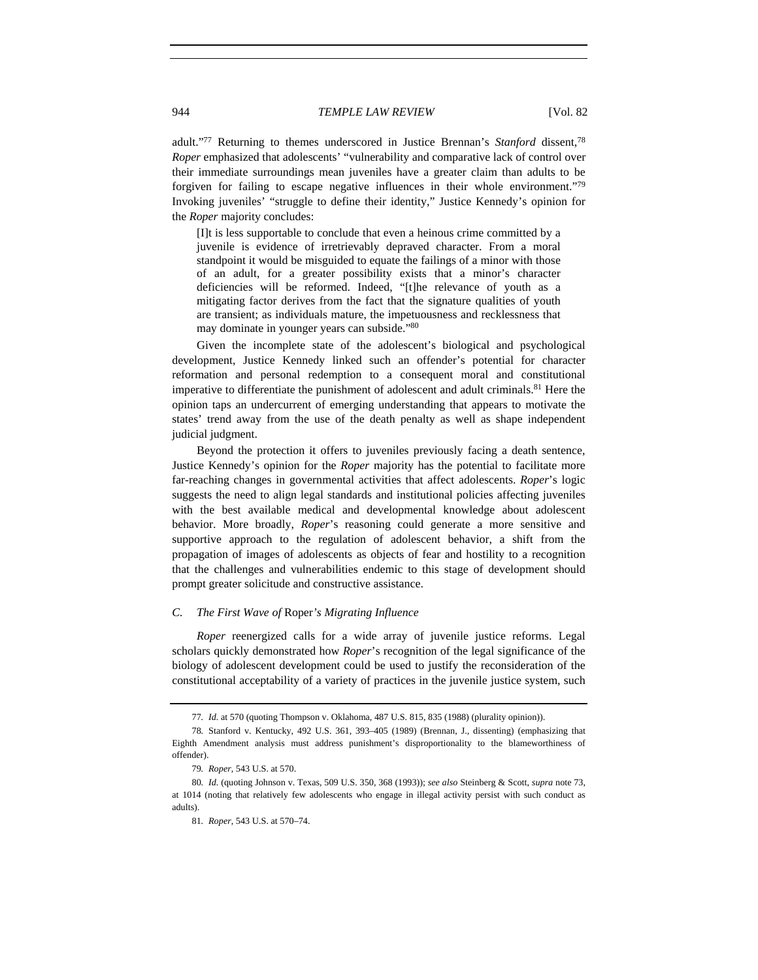adult."77 Returning to themes underscored in Justice Brennan's *Stanford* dissent,78 *Roper* emphasized that adolescents' "vulnerability and comparative lack of control over their immediate surroundings mean juveniles have a greater claim than adults to be forgiven for failing to escape negative influences in their whole environment."79 Invoking juveniles' "struggle to define their identity," Justice Kennedy's opinion for the *Roper* majority concludes:

[I]t is less supportable to conclude that even a heinous crime committed by a juvenile is evidence of irretrievably depraved character. From a moral standpoint it would be misguided to equate the failings of a minor with those of an adult, for a greater possibility exists that a minor's character deficiencies will be reformed. Indeed, "[t]he relevance of youth as a mitigating factor derives from the fact that the signature qualities of youth are transient; as individuals mature, the impetuousness and recklessness that may dominate in younger years can subside."80

Given the incomplete state of the adolescent's biological and psychological development, Justice Kennedy linked such an offender's potential for character reformation and personal redemption to a consequent moral and constitutional imperative to differentiate the punishment of adolescent and adult criminals.<sup>81</sup> Here the opinion taps an undercurrent of emerging understanding that appears to motivate the states' trend away from the use of the death penalty as well as shape independent judicial judgment.

Beyond the protection it offers to juveniles previously facing a death sentence, Justice Kennedy's opinion for the *Roper* majority has the potential to facilitate more far-reaching changes in governmental activities that affect adolescents. *Roper*'s logic suggests the need to align legal standards and institutional policies affecting juveniles with the best available medical and developmental knowledge about adolescent behavior. More broadly, *Roper*'s reasoning could generate a more sensitive and supportive approach to the regulation of adolescent behavior, a shift from the propagation of images of adolescents as objects of fear and hostility to a recognition that the challenges and vulnerabilities endemic to this stage of development should prompt greater solicitude and constructive assistance.

#### *C. The First Wave of* Roper*'s Migrating Influence*

*Roper* reenergized calls for a wide array of juvenile justice reforms. Legal scholars quickly demonstrated how *Roper*'s recognition of the legal significance of the biology of adolescent development could be used to justify the reconsideration of the constitutional acceptability of a variety of practices in the juvenile justice system, such

<sup>77</sup>*. Id.* at 570 (quoting Thompson v. Oklahoma, 487 U.S. 815, 835 (1988) (plurality opinion)).

<sup>78</sup>*.* Stanford v. Kentucky, 492 U.S. 361, 393–405 (1989) (Brennan, J., dissenting) (emphasizing that Eighth Amendment analysis must address punishment's disproportionality to the blameworthiness of offender).

<sup>79</sup>*. Roper*, 543 U.S. at 570.

<sup>80</sup>*. Id.* (quoting Johnson v. Texas, 509 U.S. 350, 368 (1993)); *see also* Steinberg & Scott, *supra* note 73, at 1014 (noting that relatively few adolescents who engage in illegal activity persist with such conduct as adults).

<sup>81</sup>*. Roper*, 543 U.S. at 570–74.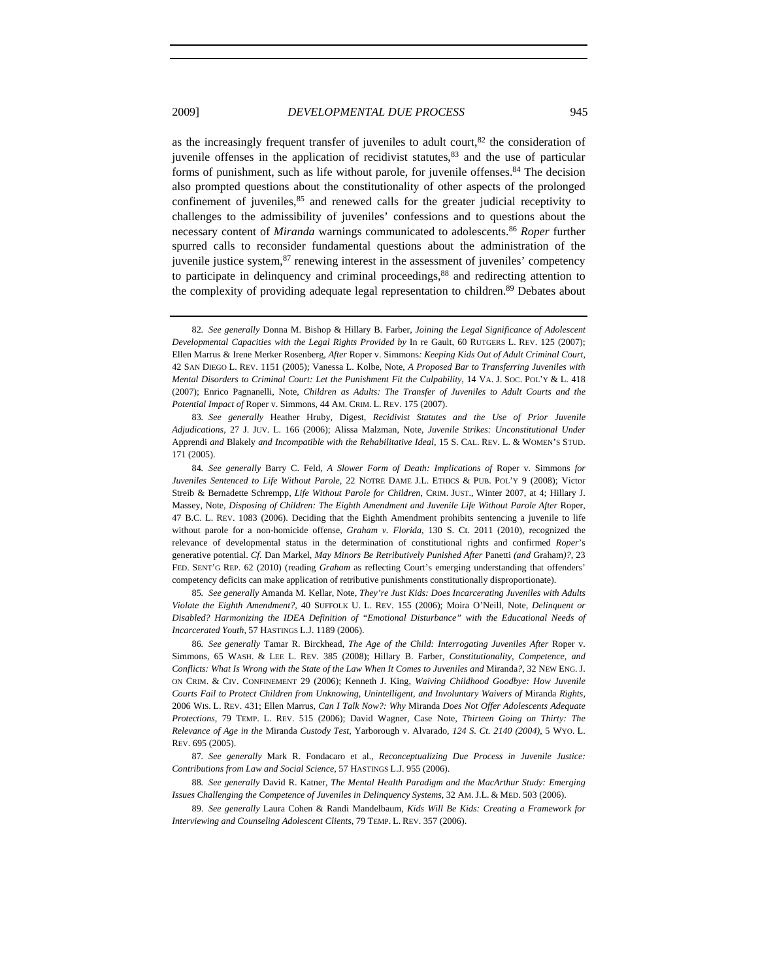as the increasingly frequent transfer of juveniles to adult court, $82$  the consideration of juvenile offenses in the application of recidivist statutes,<sup>83</sup> and the use of particular forms of punishment, such as life without parole, for juvenile offenses.<sup>84</sup> The decision also prompted questions about the constitutionality of other aspects of the prolonged confinement of juveniles,<sup>85</sup> and renewed calls for the greater judicial receptivity to challenges to the admissibility of juveniles' confessions and to questions about the necessary content of *Miranda* warnings communicated to adolescents.86 *Roper* further spurred calls to reconsider fundamental questions about the administration of the juvenile justice system, <sup>87</sup> renewing interest in the assessment of juveniles' competency to participate in delinquency and criminal proceedings,<sup>88</sup> and redirecting attention to the complexity of providing adequate legal representation to children.<sup>89</sup> Debates about

<sup>82</sup>*. See generally* Donna M. Bishop & Hillary B. Farber, *Joining the Legal Significance of Adolescent Developmental Capacities with the Legal Rights Provided by* In re Gault, 60 RUTGERS L. REV. 125 (2007); Ellen Marrus & Irene Merker Rosenberg, *After* Roper v. Simmons*: Keeping Kids Out of Adult Criminal Court*, 42 SAN DIEGO L. REV. 1151 (2005); Vanessa L. Kolbe, Note, *A Proposed Bar to Transferring Juveniles with Mental Disorders to Criminal Court: Let the Punishment Fit the Culpability*, 14 VA. J. SOC. POL'Y & L. 418 (2007); Enrico Pagnanelli, Note, *Children as Adults: The Transfer of Juveniles to Adult Courts and the Potential Impact of* Roper v. Simmons, 44 AM. CRIM. L. REV. 175 (2007).

<sup>83</sup>*. See generally* Heather Hruby, Digest, *Recidivist Statutes and the Use of Prior Juvenile Adjudications*, 27 J. JUV. L. 166 (2006); Alissa Malzman, Note, *Juvenile Strikes: Unconstitutional Under* Apprendi *and* Blakely *and Incompatible with the Rehabilitative Ideal*, 15 S. CAL. REV. L. & WOMEN'S STUD. 171 (2005).

<sup>84</sup>*. See generally* Barry C. Feld, *A Slower Form of Death: Implications of* Roper v. Simmons *for Juveniles Sentenced to Life Without Parole*, 22 NOTRE DAME J.L. ETHICS & PUB. POL'Y 9 (2008); Victor Streib & Bernadette Schrempp, *Life Without Parole for Children*, CRIM. JUST., Winter 2007, at 4; Hillary J. Massey, Note, *Disposing of Children: The Eighth Amendment and Juvenile Life Without Parole After* Roper, 47 B.C. L. REV. 1083 (2006). Deciding that the Eighth Amendment prohibits sentencing a juvenile to life without parole for a non-homicide offense, *Graham v. Florida*, 130 S. Ct. 2011 (2010), recognized the relevance of developmental status in the determination of constitutional rights and confirmed *Roper*'s generative potential. *Cf.* Dan Markel, *May Minors Be Retributively Punished After* Panetti *(and* Graham*)?*, 23 FED. SENT'G REP. 62 (2010) (reading *Graham* as reflecting Court's emerging understanding that offenders' competency deficits can make application of retributive punishments constitutionally disproportionate).

<sup>85</sup>*. See generally* Amanda M. Kellar, Note, *They're Just Kids: Does Incarcerating Juveniles with Adults Violate the Eighth Amendment?*, 40 SUFFOLK U. L. REV. 155 (2006); Moira O'Neill, Note, *Delinquent or Disabled? Harmonizing the IDEA Definition of "Emotional Disturbance" with the Educational Needs of Incarcerated Youth*, 57 HASTINGS L.J. 1189 (2006).

<sup>86</sup>*. See generally* Tamar R. Birckhead, *The Age of the Child: Interrogating Juveniles After* Roper v. Simmons, 65 WASH. & LEE L. REV. 385 (2008); Hillary B. Farber, *Constitutionality, Competence, and Conflicts: What Is Wrong with the State of the Law When It Comes to Juveniles and* Miranda*?*, 32 NEW ENG. J. ON CRIM. & CIV. CONFINEMENT 29 (2006); Kenneth J. King, *Waiving Childhood Goodbye: How Juvenile Courts Fail to Protect Children from Unknowing, Unintelligent, and Involuntary Waivers of* Miranda *Rights*, 2006 WIS. L. REV. 431; Ellen Marrus, *Can I Talk Now?: Why* Miranda *Does Not Offer Adolescents Adequate Protections*, 79 TEMP. L. REV. 515 (2006); David Wagner, Case Note, *Thirteen Going on Thirty: The Relevance of Age in the* Miranda *Custody Test,* Yarborough v. Alvarado*, 124 S. Ct. 2140 (2004)*, 5 WYO. L. REV. 695 (2005).

<sup>87</sup>*. See generally* Mark R. Fondacaro et al., *Reconceptualizing Due Process in Juvenile Justice: Contributions from Law and Social Science*, 57 HASTINGS L.J. 955 (2006).

<sup>88</sup>*. See generally* David R. Katner, *The Mental Health Paradigm and the MacArthur Study: Emerging Issues Challenging the Competence of Juveniles in Delinquency Systems*, 32 AM. J.L. & MED. 503 (2006).

<sup>89.</sup> *See generally* Laura Cohen & Randi Mandelbaum, *Kids Will Be Kids: Creating a Framework for Interviewing and Counseling Adolescent Clients*, 79 TEMP. L. REV. 357 (2006).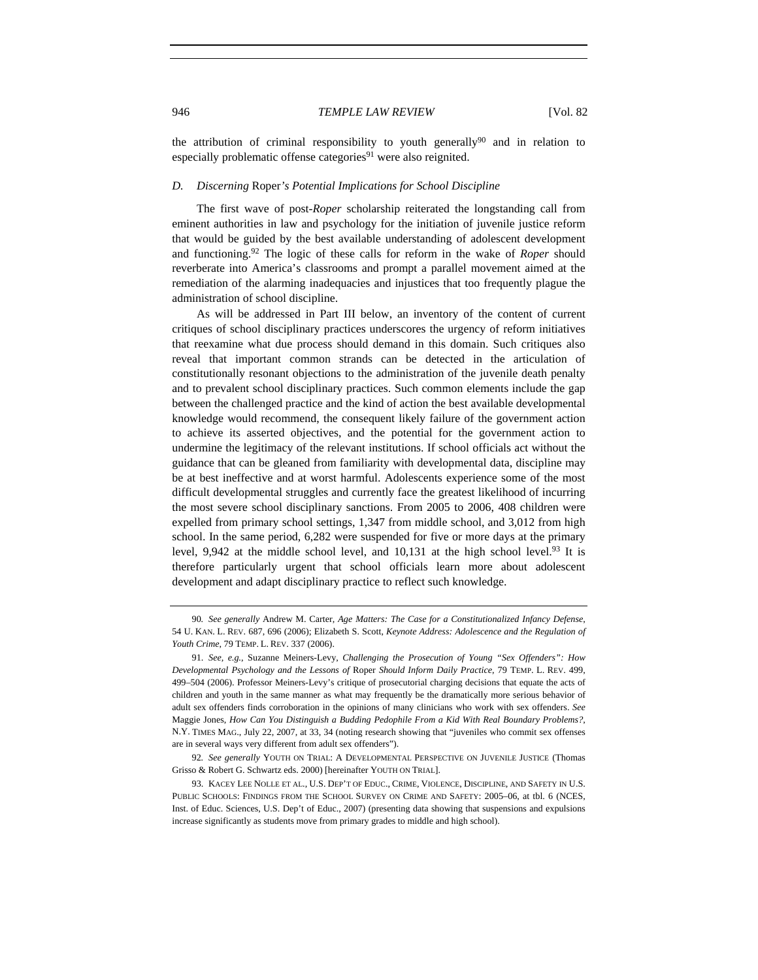the attribution of criminal responsibility to youth generally $90$  and in relation to especially problematic offense categories $91$  were also reignited.

#### *D. Discerning* Roper*'s Potential Implications for School Discipline*

The first wave of post-*Roper* scholarship reiterated the longstanding call from eminent authorities in law and psychology for the initiation of juvenile justice reform that would be guided by the best available understanding of adolescent development and functioning.92 The logic of these calls for reform in the wake of *Roper* should reverberate into America's classrooms and prompt a parallel movement aimed at the remediation of the alarming inadequacies and injustices that too frequently plague the administration of school discipline.

As will be addressed in Part III below, an inventory of the content of current critiques of school disciplinary practices underscores the urgency of reform initiatives that reexamine what due process should demand in this domain. Such critiques also reveal that important common strands can be detected in the articulation of constitutionally resonant objections to the administration of the juvenile death penalty and to prevalent school disciplinary practices. Such common elements include the gap between the challenged practice and the kind of action the best available developmental knowledge would recommend, the consequent likely failure of the government action to achieve its asserted objectives, and the potential for the government action to undermine the legitimacy of the relevant institutions. If school officials act without the guidance that can be gleaned from familiarity with developmental data, discipline may be at best ineffective and at worst harmful. Adolescents experience some of the most difficult developmental struggles and currently face the greatest likelihood of incurring the most severe school disciplinary sanctions. From 2005 to 2006, 408 children were expelled from primary school settings, 1,347 from middle school, and 3,012 from high school. In the same period, 6,282 were suspended for five or more days at the primary level,  $9,942$  at the middle school level, and  $10,131$  at the high school level.<sup>93</sup> It is therefore particularly urgent that school officials learn more about adolescent development and adapt disciplinary practice to reflect such knowledge.

<sup>90</sup>*. See generally* Andrew M. Carter, *Age Matters: The Case for a Constitutionalized Infancy Defense*, 54 U. KAN. L. REV. 687, 696 (2006); Elizabeth S. Scott, *Keynote Address: Adolescence and the Regulation of Youth Crime*, 79 TEMP. L. REV. 337 (2006).

<sup>91.</sup> *See, e.g.*, Suzanne Meiners-Levy, *Challenging the Prosecution of Young "Sex Offenders": How Developmental Psychology and the Lessons of* Roper *Should Inform Daily Practice*, 79 TEMP. L. REV. 499, 499–504 (2006). Professor Meiners-Levy's critique of prosecutorial charging decisions that equate the acts of children and youth in the same manner as what may frequently be the dramatically more serious behavior of adult sex offenders finds corroboration in the opinions of many clinicians who work with sex offenders. *See* Maggie Jones, *How Can You Distinguish a Budding Pedophile From a Kid With Real Boundary Problems?*, N.Y. TIMES MAG., July 22, 2007, at 33, 34 (noting research showing that "juveniles who commit sex offenses are in several ways very different from adult sex offenders").

<sup>92</sup>*. See generally* YOUTH ON TRIAL: A DEVELOPMENTAL PERSPECTIVE ON JUVENILE JUSTICE (Thomas Grisso & Robert G. Schwartz eds. 2000) [hereinafter YOUTH ON TRIAL].

<sup>93.</sup> KACEY LEE NOLLE ET AL., U.S. DEP'T OF EDUC., CRIME, VIOLENCE, DISCIPLINE, AND SAFETY IN U.S. PUBLIC SCHOOLS: FINDINGS FROM THE SCHOOL SURVEY ON CRIME AND SAFETY: 2005–06, at tbl. 6 (NCES, Inst. of Educ. Sciences, U.S. Dep't of Educ., 2007) (presenting data showing that suspensions and expulsions increase significantly as students move from primary grades to middle and high school).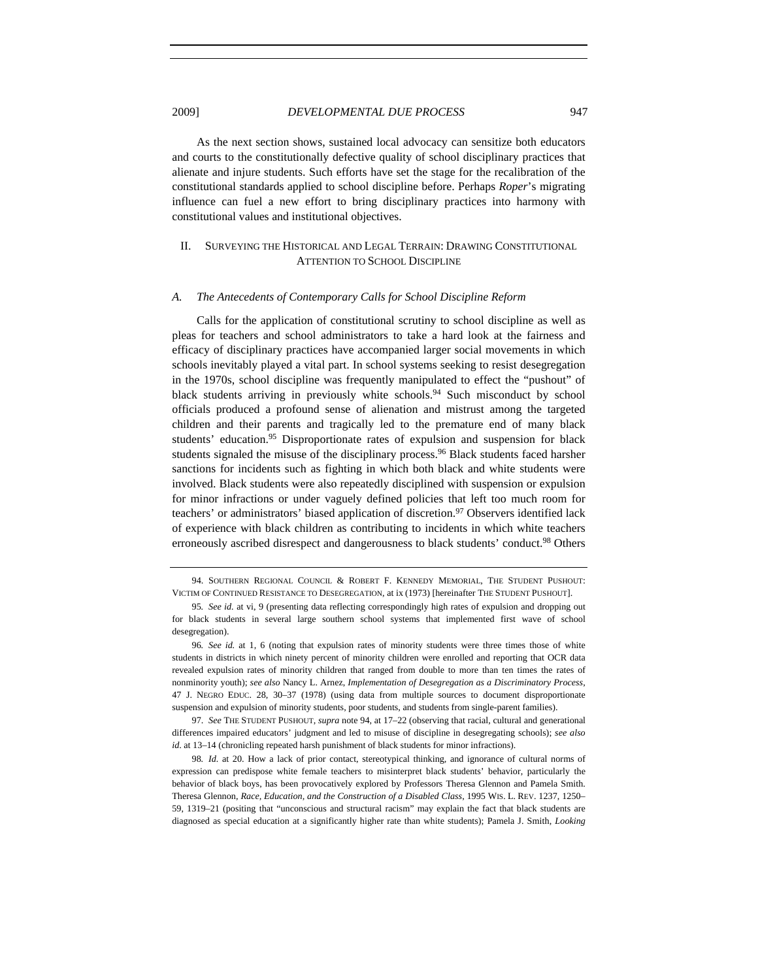As the next section shows, sustained local advocacy can sensitize both educators and courts to the constitutionally defective quality of school disciplinary practices that alienate and injure students. Such efforts have set the stage for the recalibration of the constitutional standards applied to school discipline before. Perhaps *Roper*'s migrating influence can fuel a new effort to bring disciplinary practices into harmony with constitutional values and institutional objectives.

# II. SURVEYING THE HISTORICAL AND LEGAL TERRAIN: DRAWING CONSTITUTIONAL ATTENTION TO SCHOOL DISCIPLINE

#### *A. The Antecedents of Contemporary Calls for School Discipline Reform*

Calls for the application of constitutional scrutiny to school discipline as well as pleas for teachers and school administrators to take a hard look at the fairness and efficacy of disciplinary practices have accompanied larger social movements in which schools inevitably played a vital part. In school systems seeking to resist desegregation in the 1970s, school discipline was frequently manipulated to effect the "pushout" of black students arriving in previously white schools.94 Such misconduct by school officials produced a profound sense of alienation and mistrust among the targeted children and their parents and tragically led to the premature end of many black students' education.<sup>95</sup> Disproportionate rates of expulsion and suspension for black students signaled the misuse of the disciplinary process.<sup>96</sup> Black students faced harsher sanctions for incidents such as fighting in which both black and white students were involved. Black students were also repeatedly disciplined with suspension or expulsion for minor infractions or under vaguely defined policies that left too much room for teachers' or administrators' biased application of discretion.97 Observers identified lack of experience with black children as contributing to incidents in which white teachers erroneously ascribed disrespect and dangerousness to black students' conduct.<sup>98</sup> Others

97. *See* THE STUDENT PUSHOUT, *supra* note 94, at 17–22 (observing that racial, cultural and generational differences impaired educators' judgment and led to misuse of discipline in desegregating schools); *see also id*. at 13–14 (chronicling repeated harsh punishment of black students for minor infractions).

<sup>94.</sup> SOUTHERN REGIONAL COUNCIL & ROBERT F. KENNEDY MEMORIAL, THE STUDENT PUSHOUT: VICTIM OF CONTINUED RESISTANCE TO DESEGREGATION, at ix (1973) [hereinafter THE STUDENT PUSHOUT].

<sup>95</sup>*. See id.* at vi, 9 (presenting data reflecting correspondingly high rates of expulsion and dropping out for black students in several large southern school systems that implemented first wave of school desegregation).

<sup>96</sup>*. See id.* at 1, 6 (noting that expulsion rates of minority students were three times those of white students in districts in which ninety percent of minority children were enrolled and reporting that OCR data revealed expulsion rates of minority children that ranged from double to more than ten times the rates of nonminority youth); *see also* Nancy L. Arnez, *Implementation of Desegregation as a Discriminatory Process*, 47 J. NEGRO EDUC. 28, 30–37 (1978) (using data from multiple sources to document disproportionate suspension and expulsion of minority students, poor students, and students from single-parent families).

<sup>98</sup>*. Id.* at 20. How a lack of prior contact, stereotypical thinking, and ignorance of cultural norms of expression can predispose white female teachers to misinterpret black students' behavior, particularly the behavior of black boys, has been provocatively explored by Professors Theresa Glennon and Pamela Smith. Theresa Glennon, *Race, Education, and the Construction of a Disabled Class*, 1995 WIS. L. REV. 1237, 1250– 59, 1319–21 (positing that "unconscious and structural racism" may explain the fact that black students are diagnosed as special education at a significantly higher rate than white students); Pamela J. Smith, *Looking*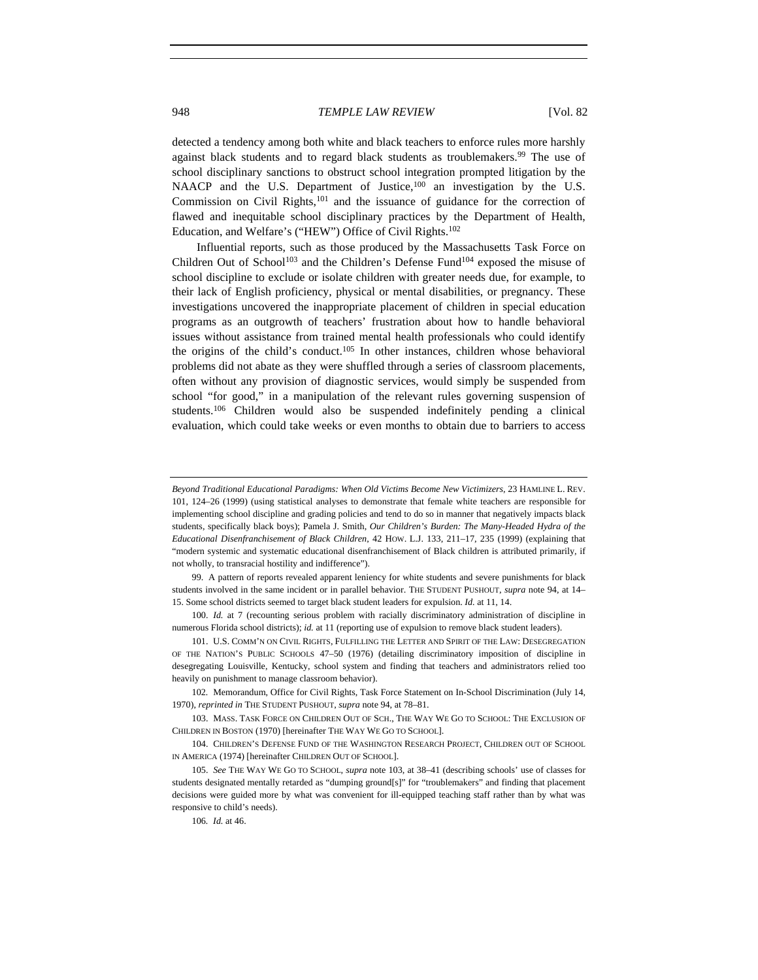detected a tendency among both white and black teachers to enforce rules more harshly against black students and to regard black students as troublemakers.99 The use of school disciplinary sanctions to obstruct school integration prompted litigation by the NAACP and the U.S. Department of Justice,<sup>100</sup> an investigation by the U.S. Commission on Civil Rights, $101$  and the issuance of guidance for the correction of flawed and inequitable school disciplinary practices by the Department of Health, Education, and Welfare's ("HEW") Office of Civil Rights.102

Influential reports, such as those produced by the Massachusetts Task Force on Children Out of School<sup>103</sup> and the Children's Defense Fund<sup>104</sup> exposed the misuse of school discipline to exclude or isolate children with greater needs due, for example, to their lack of English proficiency, physical or mental disabilities, or pregnancy. These investigations uncovered the inappropriate placement of children in special education programs as an outgrowth of teachers' frustration about how to handle behavioral issues without assistance from trained mental health professionals who could identify the origins of the child's conduct.105 In other instances, children whose behavioral problems did not abate as they were shuffled through a series of classroom placements, often without any provision of diagnostic services, would simply be suspended from school "for good," in a manipulation of the relevant rules governing suspension of students.106 Children would also be suspended indefinitely pending a clinical evaluation, which could take weeks or even months to obtain due to barriers to access

100. *Id.* at 7 (recounting serious problem with racially discriminatory administration of discipline in numerous Florida school districts); *id.* at 11 (reporting use of expulsion to remove black student leaders).

102*.* Memorandum, Office for Civil Rights, Task Force Statement on In-School Discrimination (July 14, 1970), *reprinted in* THE STUDENT PUSHOUT, *supra* note 94, at 78–81.

103. MASS. TASK FORCE ON CHILDREN OUT OF SCH., THE WAY WE GO TO SCHOOL: THE EXCLUSION OF CHILDREN IN BOSTON (1970) [hereinafter THE WAY WE GO TO SCHOOL].

104. CHILDREN'S DEFENSE FUND OF THE WASHINGTON RESEARCH PROJECT, CHILDREN OUT OF SCHOOL IN AMERICA (1974) [hereinafter CHILDREN OUT OF SCHOOL].

106*. Id.* at 46.

*Beyond Traditional Educational Paradigms: When Old Victims Become New Victimizers*, 23 HAMLINE L. REV. 101, 124–26 (1999) (using statistical analyses to demonstrate that female white teachers are responsible for implementing school discipline and grading policies and tend to do so in manner that negatively impacts black students, specifically black boys); Pamela J. Smith, *Our Children's Burden: The Many-Headed Hydra of the Educational Disenfranchisement of Black Children*, 42 HOW. L.J. 133, 211–17, 235 (1999) (explaining that "modern systemic and systematic educational disenfranchisement of Black children is attributed primarily, if not wholly, to transracial hostility and indifference").

<sup>99.</sup> A pattern of reports revealed apparent leniency for white students and severe punishments for black students involved in the same incident or in parallel behavior. THE STUDENT PUSHOUT, *supra* note 94, at 14– 15. Some school districts seemed to target black student leaders for expulsion. *Id.* at 11, 14.

<sup>101.</sup> U.S. COMM'N ON CIVIL RIGHTS, FULFILLING THE LETTER AND SPIRIT OF THE LAW: DESEGREGATION OF THE NATION'S PUBLIC SCHOOLS 47–50 (1976) (detailing discriminatory imposition of discipline in desegregating Louisville, Kentucky, school system and finding that teachers and administrators relied too heavily on punishment to manage classroom behavior).

<sup>105.</sup> *See* THE WAY WE GO TO SCHOOL, *supra* note 103, at 38–41 (describing schools' use of classes for students designated mentally retarded as "dumping ground[s]" for "troublemakers" and finding that placement decisions were guided more by what was convenient for ill-equipped teaching staff rather than by what was responsive to child's needs).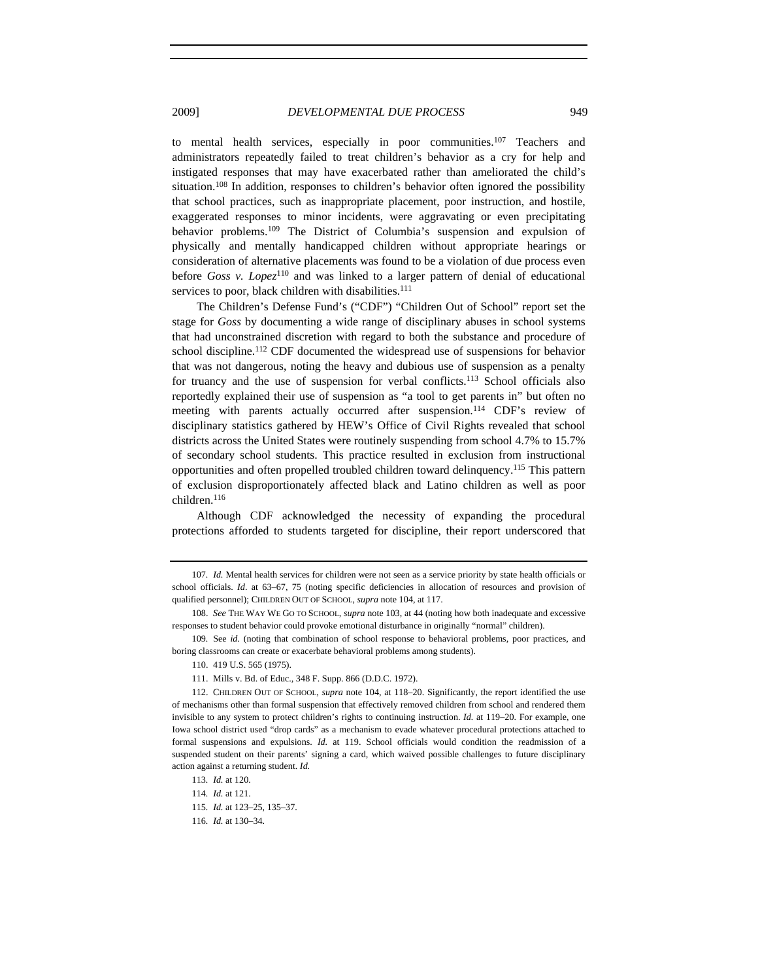to mental health services, especially in poor communities.<sup>107</sup> Teachers and administrators repeatedly failed to treat children's behavior as a cry for help and instigated responses that may have exacerbated rather than ameliorated the child's situation.<sup>108</sup> In addition, responses to children's behavior often ignored the possibility that school practices, such as inappropriate placement, poor instruction, and hostile, exaggerated responses to minor incidents, were aggravating or even precipitating behavior problems.109 The District of Columbia's suspension and expulsion of physically and mentally handicapped children without appropriate hearings or consideration of alternative placements was found to be a violation of due process even before *Goss v. Lopez*<sup>110</sup> and was linked to a larger pattern of denial of educational services to poor, black children with disabilities.<sup>111</sup>

The Children's Defense Fund's ("CDF") "Children Out of School" report set the stage for *Goss* by documenting a wide range of disciplinary abuses in school systems that had unconstrained discretion with regard to both the substance and procedure of school discipline.<sup>112</sup> CDF documented the widespread use of suspensions for behavior that was not dangerous, noting the heavy and dubious use of suspension as a penalty for truancy and the use of suspension for verbal conflicts.<sup>113</sup> School officials also reportedly explained their use of suspension as "a tool to get parents in" but often no meeting with parents actually occurred after suspension.<sup>114</sup> CDF's review of disciplinary statistics gathered by HEW's Office of Civil Rights revealed that school districts across the United States were routinely suspending from school 4.7% to 15.7% of secondary school students. This practice resulted in exclusion from instructional opportunities and often propelled troubled children toward delinquency.115 This pattern of exclusion disproportionately affected black and Latino children as well as poor children.116

Although CDF acknowledged the necessity of expanding the procedural protections afforded to students targeted for discipline, their report underscored that

<sup>107</sup>*. Id.* Mental health services for children were not seen as a service priority by state health officials or school officials. *Id*. at 63–67, 75 (noting specific deficiencies in allocation of resources and provision of qualified personnel); CHILDREN OUT OF SCHOOL, *supra* note 104, at 117.

<sup>108.</sup> *See* THE WAY WE GO TO SCHOOL, *supra* note 103, at 44 (noting how both inadequate and excessive responses to student behavior could provoke emotional disturbance in originally "normal" children).

<sup>109</sup>*.* See *id.* (noting that combination of school response to behavioral problems, poor practices, and boring classrooms can create or exacerbate behavioral problems among students).

<sup>110. 419</sup> U.S. 565 (1975).

<sup>111.</sup> Mills v. Bd. of Educ., 348 F. Supp. 866 (D.D.C. 1972).

<sup>112.</sup> CHILDREN OUT OF SCHOOL, *supra* note 104, at 118–20. Significantly, the report identified the use of mechanisms other than formal suspension that effectively removed children from school and rendered them invisible to any system to protect children's rights to continuing instruction. *Id.* at 119–20. For example, one Iowa school district used "drop cards" as a mechanism to evade whatever procedural protections attached to formal suspensions and expulsions. *Id.* at 119. School officials would condition the readmission of a suspended student on their parents' signing a card, which waived possible challenges to future disciplinary action against a returning student. *Id.*

<sup>113</sup>*. Id.* at 120.

<sup>114</sup>*. Id.* at 121.

<sup>115</sup>*. Id.* at 123–25, 135–37.

<sup>116</sup>*. Id.* at 130–34.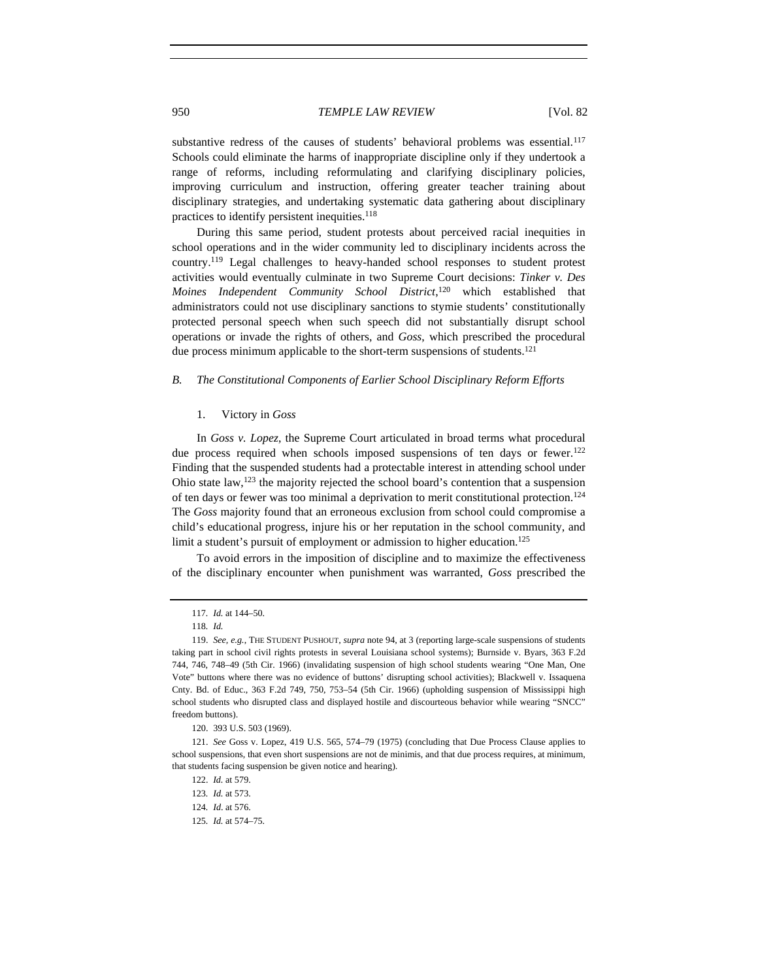substantive redress of the causes of students' behavioral problems was essential.<sup>117</sup> Schools could eliminate the harms of inappropriate discipline only if they undertook a range of reforms, including reformulating and clarifying disciplinary policies, improving curriculum and instruction, offering greater teacher training about disciplinary strategies, and undertaking systematic data gathering about disciplinary practices to identify persistent inequities.<sup>118</sup>

During this same period, student protests about perceived racial inequities in school operations and in the wider community led to disciplinary incidents across the country.119 Legal challenges to heavy-handed school responses to student protest activities would eventually culminate in two Supreme Court decisions: *Tinker v. Des*  Moines Independent Community School District,<sup>120</sup> which established that administrators could not use disciplinary sanctions to stymie students' constitutionally protected personal speech when such speech did not substantially disrupt school operations or invade the rights of others, and *Goss*, which prescribed the procedural due process minimum applicable to the short-term suspensions of students.<sup>121</sup>

## *B. The Constitutional Components of Earlier School Disciplinary Reform Efforts*

#### 1. Victory in *Goss*

In *Goss v. Lopez*, the Supreme Court articulated in broad terms what procedural due process required when schools imposed suspensions of ten days or fewer.122 Finding that the suspended students had a protectable interest in attending school under Ohio state law,123 the majority rejected the school board's contention that a suspension of ten days or fewer was too minimal a deprivation to merit constitutional protection.<sup>124</sup> The *Goss* majority found that an erroneous exclusion from school could compromise a child's educational progress, injure his or her reputation in the school community, and limit a student's pursuit of employment or admission to higher education.<sup>125</sup>

To avoid errors in the imposition of discipline and to maximize the effectiveness of the disciplinary encounter when punishment was warranted, *Goss* prescribed the

<sup>117</sup>*. Id.* at 144–50.

<sup>118</sup>*. Id.*

<sup>119.</sup> *See, e.g.*, THE STUDENT PUSHOUT, *supra* note 94, at 3 (reporting large-scale suspensions of students taking part in school civil rights protests in several Louisiana school systems); Burnside v. Byars, 363 F.2d 744, 746, 748–49 (5th Cir. 1966) (invalidating suspension of high school students wearing "One Man, One Vote" buttons where there was no evidence of buttons' disrupting school activities); Blackwell v. Issaquena Cnty. Bd. of Educ., 363 F.2d 749, 750, 753–54 (5th Cir. 1966) (upholding suspension of Mississippi high school students who disrupted class and displayed hostile and discourteous behavior while wearing "SNCC" freedom buttons).

<sup>120. 393</sup> U.S. 503 (1969).

<sup>121.</sup> *See* Goss v. Lopez, 419 U.S. 565, 574–79 (1975) (concluding that Due Process Clause applies to school suspensions, that even short suspensions are not de minimis, and that due process requires, at minimum, that students facing suspension be given notice and hearing).

<sup>122.</sup> *Id.* at 579.

<sup>123</sup>*. Id.* at 573.

<sup>124</sup>*. Id*. at 576.

<sup>125</sup>*. Id.* at 574–75.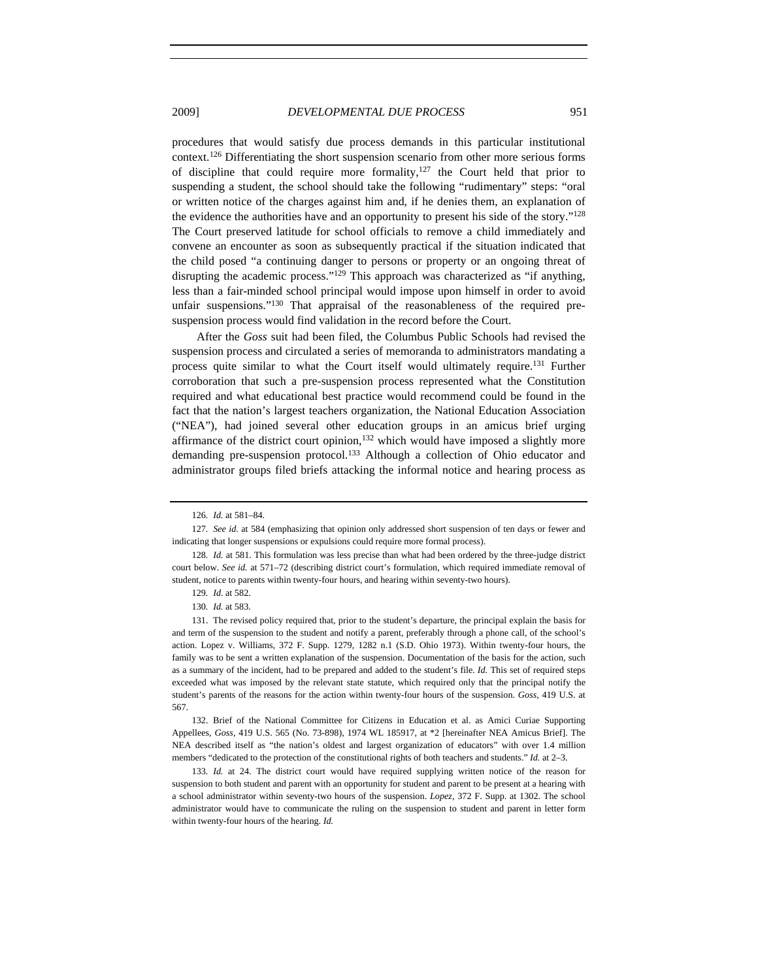procedures that would satisfy due process demands in this particular institutional context.126 Differentiating the short suspension scenario from other more serious forms of discipline that could require more formality, $127$  the Court held that prior to suspending a student, the school should take the following "rudimentary" steps: "oral or written notice of the charges against him and, if he denies them, an explanation of the evidence the authorities have and an opportunity to present his side of the story."<sup>128</sup> The Court preserved latitude for school officials to remove a child immediately and convene an encounter as soon as subsequently practical if the situation indicated that the child posed "a continuing danger to persons or property or an ongoing threat of disrupting the academic process."129 This approach was characterized as "if anything, less than a fair-minded school principal would impose upon himself in order to avoid unfair suspensions."130 That appraisal of the reasonableness of the required presuspension process would find validation in the record before the Court.

After the *Goss* suit had been filed, the Columbus Public Schools had revised the suspension process and circulated a series of memoranda to administrators mandating a process quite similar to what the Court itself would ultimately require.131 Further corroboration that such a pre-suspension process represented what the Constitution required and what educational best practice would recommend could be found in the fact that the nation's largest teachers organization, the National Education Association ("NEA"), had joined several other education groups in an amicus brief urging affirmance of the district court opinion, $132$  which would have imposed a slightly more demanding pre-suspension protocol.<sup>133</sup> Although a collection of Ohio educator and administrator groups filed briefs attacking the informal notice and hearing process as

132. Brief of the National Committee for Citizens in Education et al. as Amici Curiae Supporting Appellees, *Goss*, 419 U.S. 565 (No. 73-898), 1974 WL 185917, at \*2 [hereinafter NEA Amicus Brief]. The NEA described itself as "the nation's oldest and largest organization of educators" with over 1.4 million members "dedicated to the protection of the constitutional rights of both teachers and students." *Id.* at 2–3.

133*. Id.* at 24. The district court would have required supplying written notice of the reason for suspension to both student and parent with an opportunity for student and parent to be present at a hearing with a school administrator within seventy-two hours of the suspension. *Lopez*, 372 F. Supp. at 1302. The school administrator would have to communicate the ruling on the suspension to student and parent in letter form within twenty-four hours of the hearing. *Id.*

<sup>126</sup>*. Id.* at 581–84.

<sup>127</sup>*. See id.* at 584 (emphasizing that opinion only addressed short suspension of ten days or fewer and indicating that longer suspensions or expulsions could require more formal process).

<sup>128</sup>*. Id.* at 581. This formulation was less precise than what had been ordered by the three-judge district court below. *See id.* at 571–72 (describing district court's formulation, which required immediate removal of student, notice to parents within twenty-four hours, and hearing within seventy-two hours).

<sup>129</sup>*. Id*. at 582.

<sup>130</sup>*. Id.* at 583.

<sup>131.</sup> The revised policy required that, prior to the student's departure, the principal explain the basis for and term of the suspension to the student and notify a parent, preferably through a phone call, of the school's action. Lopez v. Williams, 372 F. Supp. 1279, 1282 n.1 (S.D. Ohio 1973). Within twenty-four hours, the family was to be sent a written explanation of the suspension. Documentation of the basis for the action, such as a summary of the incident, had to be prepared and added to the student's file. *Id.* This set of required steps exceeded what was imposed by the relevant state statute, which required only that the principal notify the student's parents of the reasons for the action within twenty-four hours of the suspension. *Goss*, 419 U.S. at 567.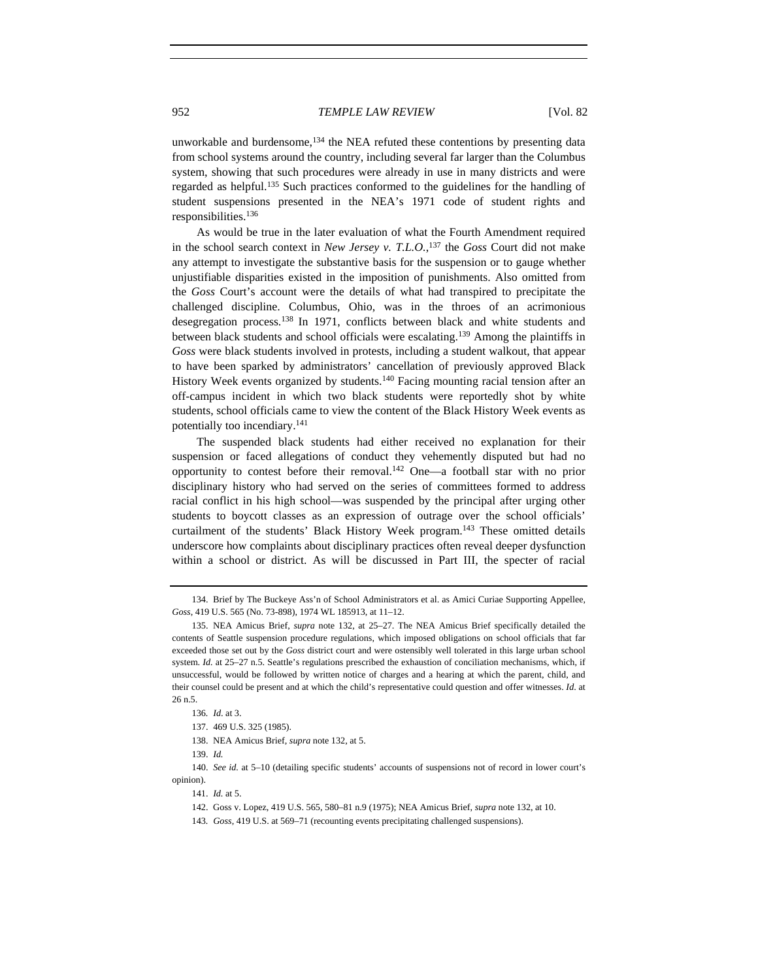unworkable and burdensome, $134$  the NEA refuted these contentions by presenting data from school systems around the country, including several far larger than the Columbus system, showing that such procedures were already in use in many districts and were regarded as helpful.135 Such practices conformed to the guidelines for the handling of student suspensions presented in the NEA's 1971 code of student rights and responsibilities.136

As would be true in the later evaluation of what the Fourth Amendment required in the school search context in *New Jersey v. T.L.O.*, 137 the *Goss* Court did not make any attempt to investigate the substantive basis for the suspension or to gauge whether unjustifiable disparities existed in the imposition of punishments. Also omitted from the *Goss* Court's account were the details of what had transpired to precipitate the challenged discipline. Columbus, Ohio, was in the throes of an acrimonious desegregation process.138 In 1971, conflicts between black and white students and between black students and school officials were escalating.139 Among the plaintiffs in *Goss* were black students involved in protests, including a student walkout, that appear to have been sparked by administrators' cancellation of previously approved Black History Week events organized by students.<sup>140</sup> Facing mounting racial tension after an off-campus incident in which two black students were reportedly shot by white students, school officials came to view the content of the Black History Week events as potentially too incendiary.141

The suspended black students had either received no explanation for their suspension or faced allegations of conduct they vehemently disputed but had no opportunity to contest before their removal.142 One—a football star with no prior disciplinary history who had served on the series of committees formed to address racial conflict in his high school—was suspended by the principal after urging other students to boycott classes as an expression of outrage over the school officials' curtailment of the students' Black History Week program.<sup>143</sup> These omitted details underscore how complaints about disciplinary practices often reveal deeper dysfunction within a school or district. As will be discussed in Part III, the specter of racial

<sup>134.</sup> Brief by The Buckeye Ass'n of School Administrators et al. as Amici Curiae Supporting Appellee, *Goss*, 419 U.S. 565 (No. 73-898), 1974 WL 185913, at 11–12.

<sup>135.</sup> NEA Amicus Brief, *supra* note 132, at 25–27. The NEA Amicus Brief specifically detailed the contents of Seattle suspension procedure regulations, which imposed obligations on school officials that far exceeded those set out by the *Goss* district court and were ostensibly well tolerated in this large urban school system. *Id.* at 25–27 n.5. Seattle's regulations prescribed the exhaustion of conciliation mechanisms, which, if unsuccessful, would be followed by written notice of charges and a hearing at which the parent, child, and their counsel could be present and at which the child's representative could question and offer witnesses. *Id*. at 26 n.5.

<sup>136</sup>*. Id*. at 3.

<sup>137. 469</sup> U.S. 325 (1985).

<sup>138.</sup> NEA Amicus Brief, *supra* note 132, at 5.

<sup>139.</sup> *Id.*

<sup>140.</sup> *See id.* at 5–10 (detailing specific students' accounts of suspensions not of record in lower court's opinion).

<sup>141.</sup> *Id.* at 5.

<sup>142.</sup> Goss v. Lopez, 419 U.S. 565, 580–81 n.9 (1975); NEA Amicus Brief, *supra* note 132, at 10.

<sup>143</sup>*. Goss*, 419 U.S. at 569–71 (recounting events precipitating challenged suspensions).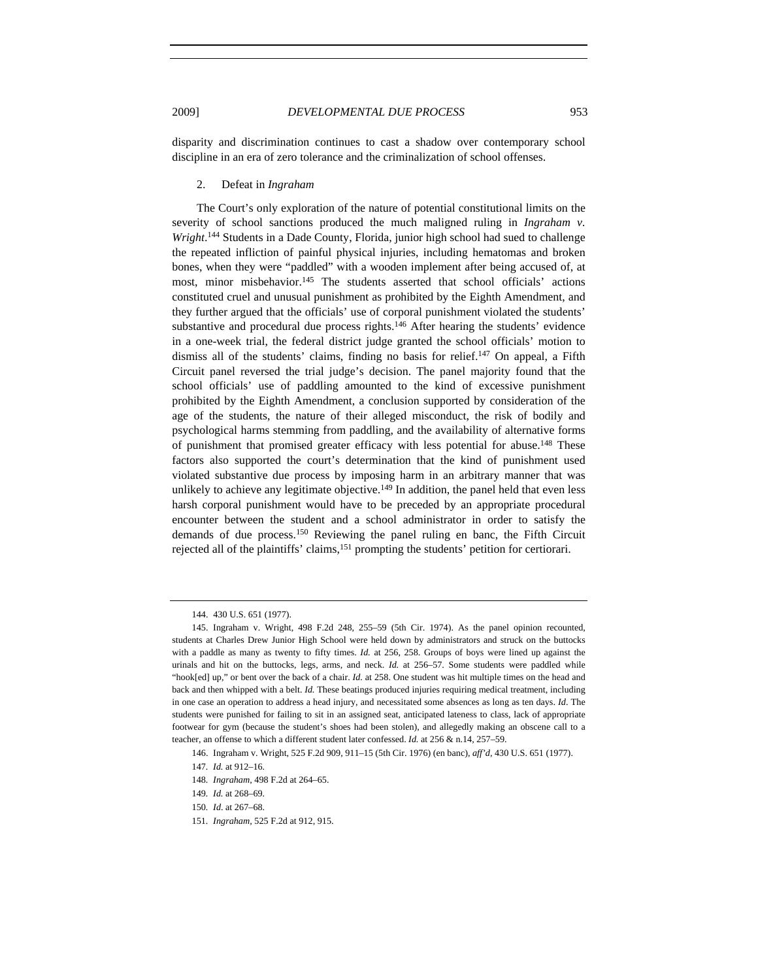disparity and discrimination continues to cast a shadow over contemporary school discipline in an era of zero tolerance and the criminalization of school offenses.

#### 2. Defeat in *Ingraham*

The Court's only exploration of the nature of potential constitutional limits on the severity of school sanctions produced the much maligned ruling in *Ingraham v. Wright*. 144 Students in a Dade County, Florida, junior high school had sued to challenge the repeated infliction of painful physical injuries, including hematomas and broken bones, when they were "paddled" with a wooden implement after being accused of, at most, minor misbehavior.<sup>145</sup> The students asserted that school officials' actions constituted cruel and unusual punishment as prohibited by the Eighth Amendment, and they further argued that the officials' use of corporal punishment violated the students' substantive and procedural due process rights.<sup>146</sup> After hearing the students' evidence in a one-week trial, the federal district judge granted the school officials' motion to dismiss all of the students' claims, finding no basis for relief.<sup>147</sup> On appeal, a Fifth Circuit panel reversed the trial judge's decision. The panel majority found that the school officials' use of paddling amounted to the kind of excessive punishment prohibited by the Eighth Amendment, a conclusion supported by consideration of the age of the students, the nature of their alleged misconduct, the risk of bodily and psychological harms stemming from paddling, and the availability of alternative forms of punishment that promised greater efficacy with less potential for abuse.148 These factors also supported the court's determination that the kind of punishment used violated substantive due process by imposing harm in an arbitrary manner that was unlikely to achieve any legitimate objective.<sup>149</sup> In addition, the panel held that even less harsh corporal punishment would have to be preceded by an appropriate procedural encounter between the student and a school administrator in order to satisfy the demands of due process.150 Reviewing the panel ruling en banc, the Fifth Circuit rejected all of the plaintiffs' claims,151 prompting the students' petition for certiorari.

<sup>144. 430</sup> U.S. 651 (1977).

<sup>145.</sup> Ingraham v. Wright, 498 F.2d 248, 255–59 (5th Cir. 1974). As the panel opinion recounted, students at Charles Drew Junior High School were held down by administrators and struck on the buttocks with a paddle as many as twenty to fifty times. *Id.* at 256, 258. Groups of boys were lined up against the urinals and hit on the buttocks, legs, arms, and neck. *Id.* at 256–57. Some students were paddled while "hook[ed] up," or bent over the back of a chair. *Id.* at 258. One student was hit multiple times on the head and back and then whipped with a belt. *Id.* These beatings produced injuries requiring medical treatment, including in one case an operation to address a head injury, and necessitated some absences as long as ten days. *Id*. The students were punished for failing to sit in an assigned seat, anticipated lateness to class, lack of appropriate footwear for gym (because the student's shoes had been stolen), and allegedly making an obscene call to a teacher, an offense to which a different student later confessed. *Id.* at 256 & n.14, 257–59.

<sup>146.</sup> Ingraham v. Wright, 525 F.2d 909, 911–15 (5th Cir. 1976) (en banc), *aff'd*, 430 U.S. 651 (1977).

<sup>147</sup>*. Id.* at 912–16.

<sup>148</sup>*. Ingraham*, 498 F.2d at 264–65.

<sup>149</sup>*. Id.* at 268–69.

<sup>150</sup>*. Id*. at 267–68.

<sup>151</sup>*. Ingraham,* 525 F.2d at 912, 915.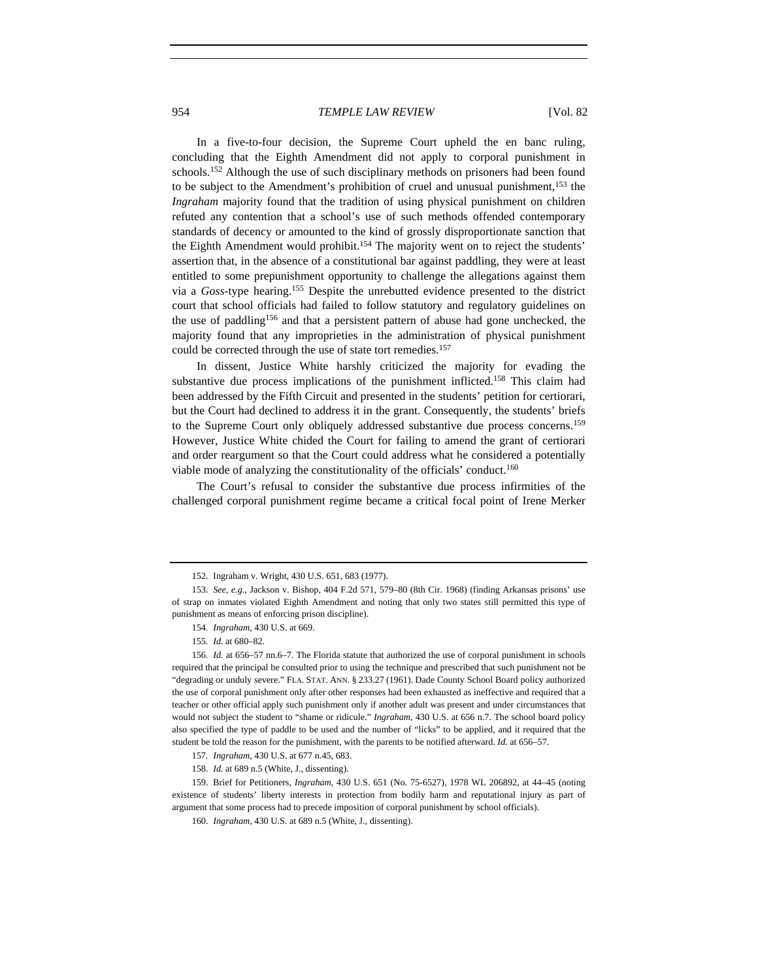In a five-to-four decision, the Supreme Court upheld the en banc ruling, concluding that the Eighth Amendment did not apply to corporal punishment in schools.<sup>152</sup> Although the use of such disciplinary methods on prisoners had been found to be subject to the Amendment's prohibition of cruel and unusual punishment,<sup>153</sup> the *Ingraham* majority found that the tradition of using physical punishment on children refuted any contention that a school's use of such methods offended contemporary standards of decency or amounted to the kind of grossly disproportionate sanction that the Eighth Amendment would prohibit.<sup>154</sup> The majority went on to reject the students' assertion that, in the absence of a constitutional bar against paddling, they were at least entitled to some prepunishment opportunity to challenge the allegations against them via a *Goss*-type hearing.155 Despite the unrebutted evidence presented to the district court that school officials had failed to follow statutory and regulatory guidelines on the use of paddling156 and that a persistent pattern of abuse had gone unchecked, the majority found that any improprieties in the administration of physical punishment could be corrected through the use of state tort remedies.<sup>157</sup>

In dissent, Justice White harshly criticized the majority for evading the substantive due process implications of the punishment inflicted.<sup>158</sup> This claim had been addressed by the Fifth Circuit and presented in the students' petition for certiorari, but the Court had declined to address it in the grant. Consequently, the students' briefs to the Supreme Court only obliquely addressed substantive due process concerns.159 However, Justice White chided the Court for failing to amend the grant of certiorari and order reargument so that the Court could address what he considered a potentially viable mode of analyzing the constitutionality of the officials' conduct.<sup>160</sup>

The Court's refusal to consider the substantive due process infirmities of the challenged corporal punishment regime became a critical focal point of Irene Merker

<sup>152.</sup> Ingraham v. Wright, 430 U.S. 651, 683 (1977).

<sup>153</sup>*. See, e.g.*, Jackson v. Bishop, 404 F.2d 571, 579–80 (8th Cir. 1968) (finding Arkansas prisons' use of strap on inmates violated Eighth Amendment and noting that only two states still permitted this type of punishment as means of enforcing prison discipline).

<sup>154</sup>*. Ingraham,* 430 U.S. at 669.

<sup>155</sup>*. Id.* at 680–82.

<sup>156</sup>*. Id.* at 656–57 nn.6–7. The Florida statute that authorized the use of corporal punishment in schools required that the principal be consulted prior to using the technique and prescribed that such punishment not be "degrading or unduly severe." FLA. STAT. ANN. § 233.27 (1961). Dade County School Board policy authorized the use of corporal punishment only after other responses had been exhausted as ineffective and required that a teacher or other official apply such punishment only if another adult was present and under circumstances that would not subject the student to "shame or ridicule." *Ingraham,* 430 U.S. at 656 n.7. The school board policy also specified the type of paddle to be used and the number of "licks" to be applied, and it required that the student be told the reason for the punishment, with the parents to be notified afterward. *Id.* at 656–57.

<sup>157</sup>*. Ingraham*, 430 U.S. at 677 n.45, 683.

<sup>158.</sup> *Id.* at 689 n.5 (White, J., dissenting).

<sup>159.</sup> Brief for Petitioners, *Ingraham*, 430 U.S. 651 (No. 75-6527), 1978 WL 206892, at 44–45 (noting existence of students' liberty interests in protection from bodily harm and reputational injury as part of argument that some process had to precede imposition of corporal punishment by school officials).

<sup>160.</sup> *Ingraham*, 430 U.S. at 689 n.5 (White, J., dissenting).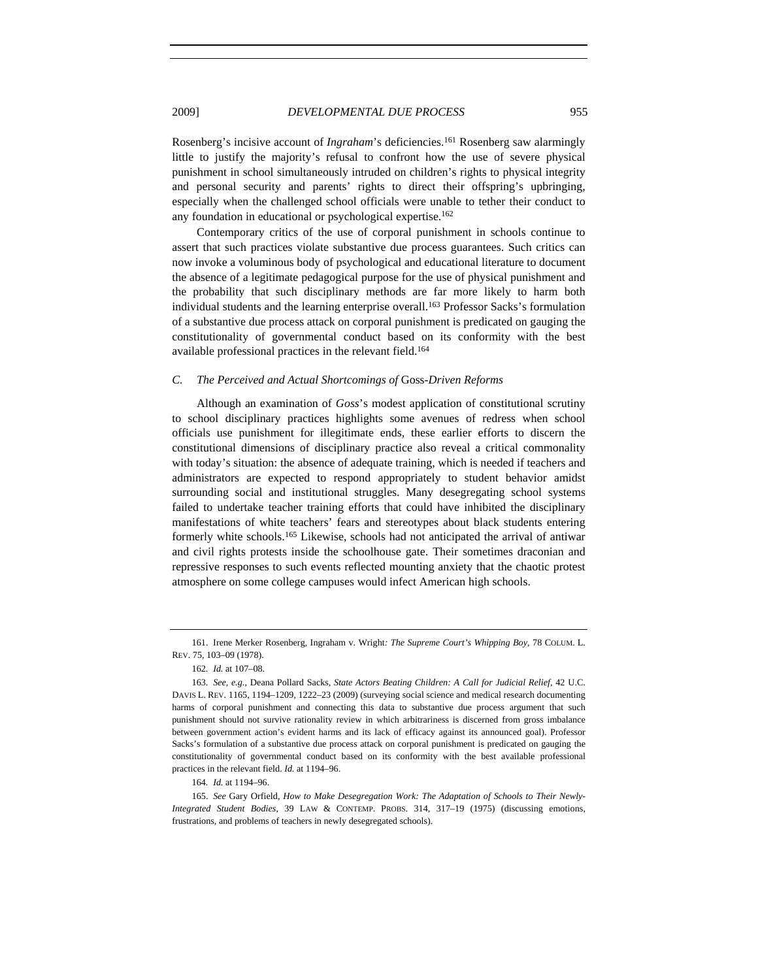Rosenberg's incisive account of *Ingraham*'s deficiencies.<sup>161</sup> Rosenberg saw alarmingly little to justify the majority's refusal to confront how the use of severe physical punishment in school simultaneously intruded on children's rights to physical integrity and personal security and parents' rights to direct their offspring's upbringing, especially when the challenged school officials were unable to tether their conduct to any foundation in educational or psychological expertise.<sup>162</sup>

Contemporary critics of the use of corporal punishment in schools continue to assert that such practices violate substantive due process guarantees. Such critics can now invoke a voluminous body of psychological and educational literature to document the absence of a legitimate pedagogical purpose for the use of physical punishment and the probability that such disciplinary methods are far more likely to harm both individual students and the learning enterprise overall.163 Professor Sacks's formulation of a substantive due process attack on corporal punishment is predicated on gauging the constitutionality of governmental conduct based on its conformity with the best available professional practices in the relevant field.164

#### *C. The Perceived and Actual Shortcomings of* Goss*-Driven Reforms*

Although an examination of *Goss*'s modest application of constitutional scrutiny to school disciplinary practices highlights some avenues of redress when school officials use punishment for illegitimate ends, these earlier efforts to discern the constitutional dimensions of disciplinary practice also reveal a critical commonality with today's situation: the absence of adequate training, which is needed if teachers and administrators are expected to respond appropriately to student behavior amidst surrounding social and institutional struggles. Many desegregating school systems failed to undertake teacher training efforts that could have inhibited the disciplinary manifestations of white teachers' fears and stereotypes about black students entering formerly white schools.165 Likewise, schools had not anticipated the arrival of antiwar and civil rights protests inside the schoolhouse gate. Their sometimes draconian and repressive responses to such events reflected mounting anxiety that the chaotic protest atmosphere on some college campuses would infect American high schools.

<sup>161.</sup> Irene Merker Rosenberg, Ingraham v. Wright*: The Supreme Court's Whipping Boy*, 78 COLUM. L. REV. 75, 103–09 (1978).

<sup>162</sup>*. Id.* at 107–08.

<sup>163</sup>*. See, e.g.*, Deana Pollard Sacks, *State Actors Beating Children: A Call for Judicial Relief*, 42 U.C. DAVIS L. REV. 1165, 1194–1209, 1222–23 (2009) (surveying social science and medical research documenting harms of corporal punishment and connecting this data to substantive due process argument that such punishment should not survive rationality review in which arbitrariness is discerned from gross imbalance between government action's evident harms and its lack of efficacy against its announced goal). Professor Sacks's formulation of a substantive due process attack on corporal punishment is predicated on gauging the constitutionality of governmental conduct based on its conformity with the best available professional practices in the relevant field. *Id.* at 1194–96.

<sup>164</sup>*. Id.* at 1194–96.

<sup>165.</sup> *See* Gary Orfield, *How to Make Desegregation Work: The Adaptation of Schools to Their Newly-Integrated Student Bodies*, 39 LAW & CONTEMP. PROBS. 314, 317–19 (1975) (discussing emotions, frustrations, and problems of teachers in newly desegregated schools).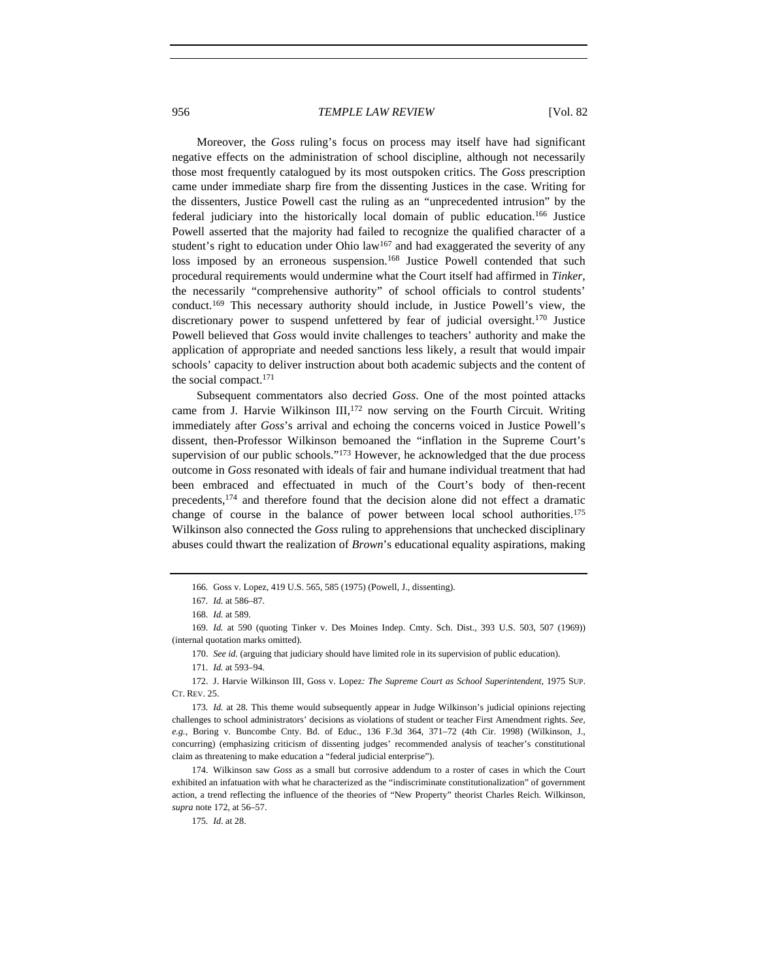Moreover, the *Goss* ruling's focus on process may itself have had significant negative effects on the administration of school discipline, although not necessarily those most frequently catalogued by its most outspoken critics. The *Goss* prescription came under immediate sharp fire from the dissenting Justices in the case. Writing for the dissenters, Justice Powell cast the ruling as an "unprecedented intrusion" by the federal judiciary into the historically local domain of public education.<sup>166</sup> Justice Powell asserted that the majority had failed to recognize the qualified character of a student's right to education under Ohio law<sup>167</sup> and had exaggerated the severity of any loss imposed by an erroneous suspension.<sup>168</sup> Justice Powell contended that such procedural requirements would undermine what the Court itself had affirmed in *Tinker*, the necessarily "comprehensive authority" of school officials to control students' conduct.169 This necessary authority should include, in Justice Powell's view, the discretionary power to suspend unfettered by fear of judicial oversight.170 Justice Powell believed that *Goss* would invite challenges to teachers' authority and make the application of appropriate and needed sanctions less likely, a result that would impair schools' capacity to deliver instruction about both academic subjects and the content of the social compact.171

Subsequent commentators also decried *Goss*. One of the most pointed attacks came from J. Harvie Wilkinson  $III$ ,<sup>172</sup> now serving on the Fourth Circuit. Writing immediately after *Goss*'s arrival and echoing the concerns voiced in Justice Powell's dissent, then-Professor Wilkinson bemoaned the "inflation in the Supreme Court's supervision of our public schools."<sup>173</sup> However, he acknowledged that the due process outcome in *Goss* resonated with ideals of fair and humane individual treatment that had been embraced and effectuated in much of the Court's body of then-recent precedents,174 and therefore found that the decision alone did not effect a dramatic change of course in the balance of power between local school authorities.175 Wilkinson also connected the *Goss* ruling to apprehensions that unchecked disciplinary abuses could thwart the realization of *Brown*'s educational equality aspirations, making

170. *See id.* (arguing that judiciary should have limited role in its supervision of public education).

<sup>166</sup>*.* Goss v. Lopez, 419 U.S. 565, 585 (1975) (Powell, J., dissenting).

<sup>167</sup>*. Id.* at 586–87.

<sup>168</sup>*. Id.* at 589.

<sup>169</sup>*. Id.* at 590 (quoting Tinker v. Des Moines Indep. Cmty. Sch. Dist., 393 U.S. 503, 507 (1969)) (internal quotation marks omitted).

<sup>171</sup>*. Id.* at 593–94.

<sup>172.</sup> J. Harvie Wilkinson III, Goss v. Lopez*: The Supreme Court as School Superintendent*, 1975 SUP. CT. REV. 25.

<sup>173</sup>*. Id.* at 28. This theme would subsequently appear in Judge Wilkinson's judicial opinions rejecting challenges to school administrators' decisions as violations of student or teacher First Amendment rights. *See, e.g.*, Boring v. Buncombe Cnty. Bd. of Educ., 136 F.3d 364, 371–72 (4th Cir. 1998) (Wilkinson, J., concurring) (emphasizing criticism of dissenting judges' recommended analysis of teacher's constitutional claim as threatening to make education a "federal judicial enterprise").

<sup>174.</sup> Wilkinson saw *Goss* as a small but corrosive addendum to a roster of cases in which the Court exhibited an infatuation with what he characterized as the "indiscriminate constitutionalization" of government action, a trend reflecting the influence of the theories of "New Property" theorist Charles Reich. Wilkinson, *supra* note 172, at 56–57.

<sup>175</sup>*. Id*. at 28.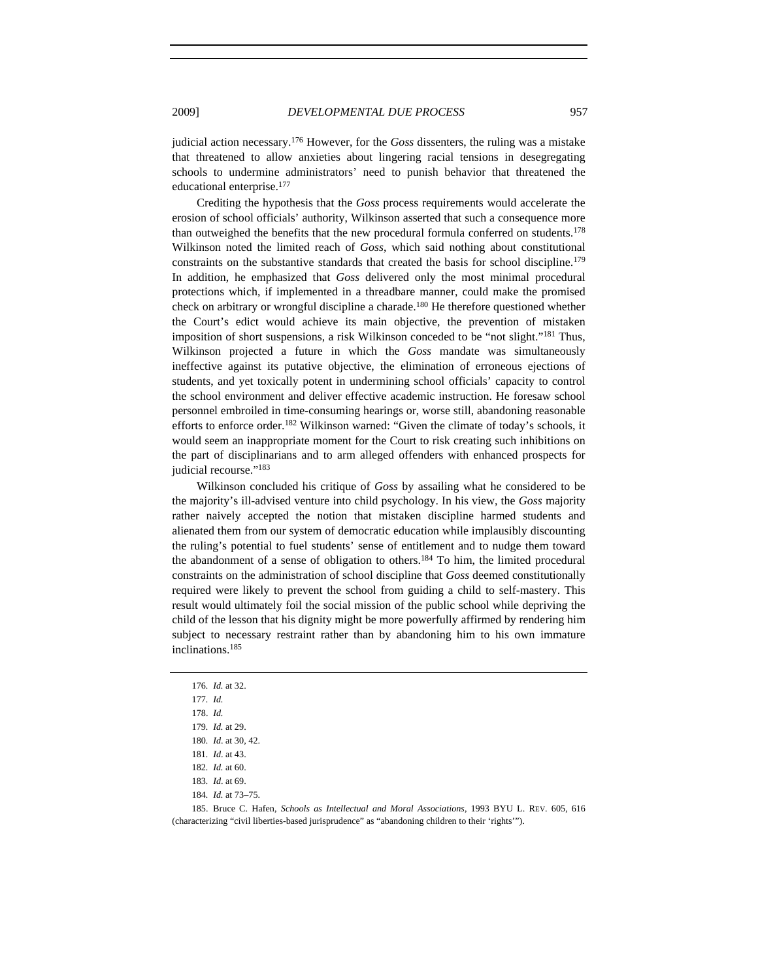judicial action necessary.176 However, for the *Goss* dissenters, the ruling was a mistake that threatened to allow anxieties about lingering racial tensions in desegregating schools to undermine administrators' need to punish behavior that threatened the educational enterprise.177

Crediting the hypothesis that the *Goss* process requirements would accelerate the erosion of school officials' authority, Wilkinson asserted that such a consequence more than outweighed the benefits that the new procedural formula conferred on students.<sup>178</sup> Wilkinson noted the limited reach of *Goss*, which said nothing about constitutional constraints on the substantive standards that created the basis for school discipline.<sup>179</sup> In addition, he emphasized that *Goss* delivered only the most minimal procedural protections which, if implemented in a threadbare manner, could make the promised check on arbitrary or wrongful discipline a charade.<sup>180</sup> He therefore questioned whether the Court's edict would achieve its main objective, the prevention of mistaken imposition of short suspensions, a risk Wilkinson conceded to be "not slight."181 Thus, Wilkinson projected a future in which the *Goss* mandate was simultaneously ineffective against its putative objective, the elimination of erroneous ejections of students, and yet toxically potent in undermining school officials' capacity to control the school environment and deliver effective academic instruction. He foresaw school personnel embroiled in time-consuming hearings or, worse still, abandoning reasonable efforts to enforce order.182 Wilkinson warned: "Given the climate of today's schools, it would seem an inappropriate moment for the Court to risk creating such inhibitions on the part of disciplinarians and to arm alleged offenders with enhanced prospects for judicial recourse."183

Wilkinson concluded his critique of *Goss* by assailing what he considered to be the majority's ill-advised venture into child psychology. In his view, the *Goss* majority rather naively accepted the notion that mistaken discipline harmed students and alienated them from our system of democratic education while implausibly discounting the ruling's potential to fuel students' sense of entitlement and to nudge them toward the abandonment of a sense of obligation to others.184 To him, the limited procedural constraints on the administration of school discipline that *Goss* deemed constitutionally required were likely to prevent the school from guiding a child to self-mastery. This result would ultimately foil the social mission of the public school while depriving the child of the lesson that his dignity might be more powerfully affirmed by rendering him subject to necessary restraint rather than by abandoning him to his own immature inclinations.185

<sup>176</sup>*. Id.* at 32.

<sup>177</sup>*. Id.*

<sup>178.</sup> *Id.*

<sup>179</sup>*. Id.* at 29.

<sup>180</sup>*. Id*. at 30, 42.

<sup>181</sup>*. Id*. at 43.

<sup>182</sup>*. Id.* at 60.

<sup>183</sup>*. Id*. at 69.

<sup>184</sup>*. Id.* at 73–75.

<sup>185.</sup> Bruce C. Hafen, *Schools as Intellectual and Moral Associations*, 1993 BYU L. REV. 605, 616 (characterizing "civil liberties-based jurisprudence" as "abandoning children to their 'rights'").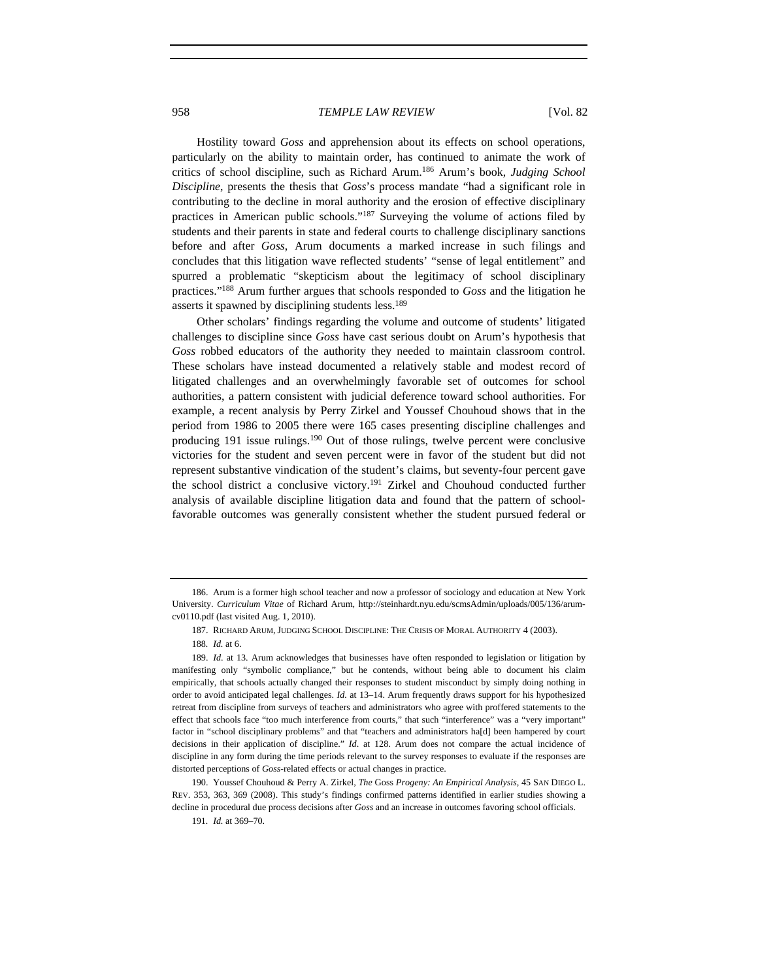Hostility toward *Goss* and apprehension about its effects on school operations, particularly on the ability to maintain order, has continued to animate the work of critics of school discipline, such as Richard Arum.186 Arum's book, *Judging School Discipline*, presents the thesis that *Goss*'s process mandate "had a significant role in contributing to the decline in moral authority and the erosion of effective disciplinary practices in American public schools."187 Surveying the volume of actions filed by students and their parents in state and federal courts to challenge disciplinary sanctions before and after *Goss*, Arum documents a marked increase in such filings and concludes that this litigation wave reflected students' "sense of legal entitlement" and spurred a problematic "skepticism about the legitimacy of school disciplinary practices."188 Arum further argues that schools responded to *Goss* and the litigation he asserts it spawned by disciplining students less.<sup>189</sup>

Other scholars' findings regarding the volume and outcome of students' litigated challenges to discipline since *Goss* have cast serious doubt on Arum's hypothesis that *Goss* robbed educators of the authority they needed to maintain classroom control. These scholars have instead documented a relatively stable and modest record of litigated challenges and an overwhelmingly favorable set of outcomes for school authorities, a pattern consistent with judicial deference toward school authorities. For example, a recent analysis by Perry Zirkel and Youssef Chouhoud shows that in the period from 1986 to 2005 there were 165 cases presenting discipline challenges and producing  $191$  issue rulings.<sup>190</sup> Out of those rulings, twelve percent were conclusive victories for the student and seven percent were in favor of the student but did not represent substantive vindication of the student's claims, but seventy-four percent gave the school district a conclusive victory.191 Zirkel and Chouhoud conducted further analysis of available discipline litigation data and found that the pattern of schoolfavorable outcomes was generally consistent whether the student pursued federal or

190. Youssef Chouhoud & Perry A. Zirkel, *The* Goss *Progeny: An Empirical Analysis*, 45 SAN DIEGO L. REV. 353, 363, 369 (2008). This study's findings confirmed patterns identified in earlier studies showing a decline in procedural due process decisions after *Goss* and an increase in outcomes favoring school officials.

<sup>186.</sup> Arum is a former high school teacher and now a professor of sociology and education at New York University. *Curriculum Vitae* of Richard Arum, http://steinhardt.nyu.edu/scmsAdmin/uploads/005/136/arumcv0110.pdf (last visited Aug. 1, 2010).

<sup>187.</sup> RICHARD ARUM, JUDGING SCHOOL DISCIPLINE: THE CRISIS OF MORAL AUTHORITY 4 (2003).

<sup>188</sup>*. Id.* at 6.

<sup>189.</sup> *Id*. at 13. Arum acknowledges that businesses have often responded to legislation or litigation by manifesting only "symbolic compliance," but he contends, without being able to document his claim empirically, that schools actually changed their responses to student misconduct by simply doing nothing in order to avoid anticipated legal challenges. *Id.* at 13–14. Arum frequently draws support for his hypothesized retreat from discipline from surveys of teachers and administrators who agree with proffered statements to the effect that schools face "too much interference from courts," that such "interference" was a "very important" factor in "school disciplinary problems" and that "teachers and administrators ha[d] been hampered by court decisions in their application of discipline." *Id*. at 128. Arum does not compare the actual incidence of discipline in any form during the time periods relevant to the survey responses to evaluate if the responses are distorted perceptions of *Goss*-related effects or actual changes in practice.

<sup>191</sup>*. Id.* at 369–70.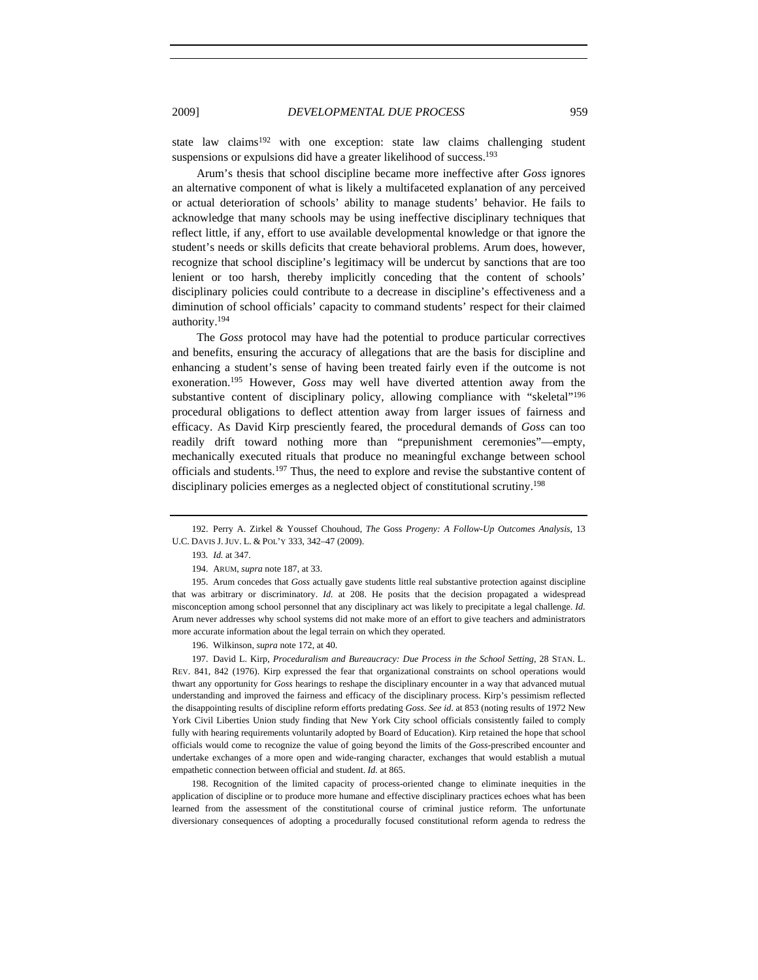state law claims<sup>192</sup> with one exception: state law claims challenging student suspensions or expulsions did have a greater likelihood of success.<sup>193</sup>

Arum's thesis that school discipline became more ineffective after *Goss* ignores an alternative component of what is likely a multifaceted explanation of any perceived or actual deterioration of schools' ability to manage students' behavior. He fails to acknowledge that many schools may be using ineffective disciplinary techniques that reflect little, if any, effort to use available developmental knowledge or that ignore the student's needs or skills deficits that create behavioral problems. Arum does, however, recognize that school discipline's legitimacy will be undercut by sanctions that are too lenient or too harsh, thereby implicitly conceding that the content of schools' disciplinary policies could contribute to a decrease in discipline's effectiveness and a diminution of school officials' capacity to command students' respect for their claimed authority.194

The *Goss* protocol may have had the potential to produce particular correctives and benefits, ensuring the accuracy of allegations that are the basis for discipline and enhancing a student's sense of having been treated fairly even if the outcome is not exoneration.195 However, *Goss* may well have diverted attention away from the substantive content of disciplinary policy, allowing compliance with "skeletal"<sup>196</sup> procedural obligations to deflect attention away from larger issues of fairness and efficacy. As David Kirp presciently feared, the procedural demands of *Goss* can too readily drift toward nothing more than "prepunishment ceremonies"—empty, mechanically executed rituals that produce no meaningful exchange between school officials and students.197 Thus, the need to explore and revise the substantive content of disciplinary policies emerges as a neglected object of constitutional scrutiny.198

195. Arum concedes that *Goss* actually gave students little real substantive protection against discipline that was arbitrary or discriminatory. *Id.* at 208. He posits that the decision propagated a widespread misconception among school personnel that any disciplinary act was likely to precipitate a legal challenge. *Id.* Arum never addresses why school systems did not make more of an effort to give teachers and administrators more accurate information about the legal terrain on which they operated.

196. Wilkinson, *supra* note 172, at 40.

197. David L. Kirp, *Proceduralism and Bureaucracy: Due Process in the School Setting*, 28 STAN. L. REV. 841, 842 (1976). Kirp expressed the fear that organizational constraints on school operations would thwart any opportunity for *Goss* hearings to reshape the disciplinary encounter in a way that advanced mutual understanding and improved the fairness and efficacy of the disciplinary process. Kirp's pessimism reflected the disappointing results of discipline reform efforts predating *Goss*. *See id*. at 853 (noting results of 1972 New York Civil Liberties Union study finding that New York City school officials consistently failed to comply fully with hearing requirements voluntarily adopted by Board of Education). Kirp retained the hope that school officials would come to recognize the value of going beyond the limits of the *Goss*-prescribed encounter and undertake exchanges of a more open and wide-ranging character, exchanges that would establish a mutual empathetic connection between official and student. *Id.* at 865.

198. Recognition of the limited capacity of process-oriented change to eliminate inequities in the application of discipline or to produce more humane and effective disciplinary practices echoes what has been learned from the assessment of the constitutional course of criminal justice reform. The unfortunate diversionary consequences of adopting a procedurally focused constitutional reform agenda to redress the

<sup>192.</sup> Perry A. Zirkel & Youssef Chouhoud, *The* Goss *Progeny: A Follow-Up Outcomes Analysis*, 13 U.C. DAVIS J. JUV. L. & POL'Y 333, 342–47 (2009).

<sup>193</sup>*. Id.* at 347.

<sup>194.</sup> ARUM, *supra* note 187, at 33.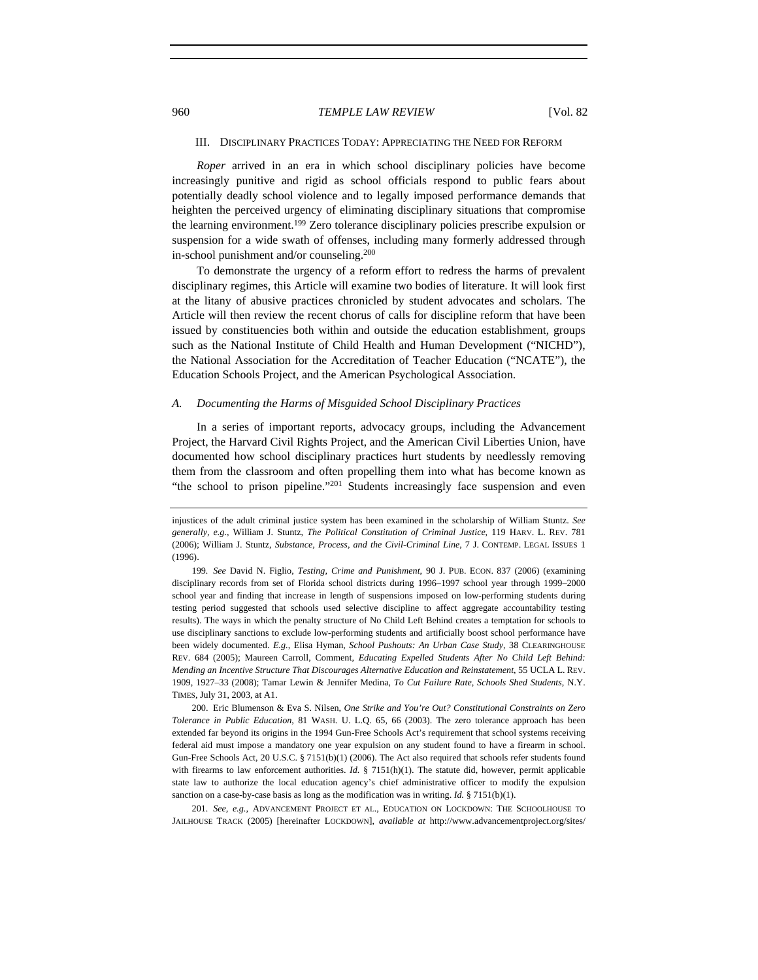#### III. DISCIPLINARY PRACTICES TODAY: APPRECIATING THE NEED FOR REFORM

*Roper* arrived in an era in which school disciplinary policies have become increasingly punitive and rigid as school officials respond to public fears about potentially deadly school violence and to legally imposed performance demands that heighten the perceived urgency of eliminating disciplinary situations that compromise the learning environment.199 Zero tolerance disciplinary policies prescribe expulsion or suspension for a wide swath of offenses, including many formerly addressed through in-school punishment and/or counseling.200

To demonstrate the urgency of a reform effort to redress the harms of prevalent disciplinary regimes, this Article will examine two bodies of literature. It will look first at the litany of abusive practices chronicled by student advocates and scholars. The Article will then review the recent chorus of calls for discipline reform that have been issued by constituencies both within and outside the education establishment, groups such as the National Institute of Child Health and Human Development ("NICHD"), the National Association for the Accreditation of Teacher Education ("NCATE"), the Education Schools Project, and the American Psychological Association.

#### *A. Documenting the Harms of Misguided School Disciplinary Practices*

In a series of important reports, advocacy groups, including the Advancement Project, the Harvard Civil Rights Project, and the American Civil Liberties Union, have documented how school disciplinary practices hurt students by needlessly removing them from the classroom and often propelling them into what has become known as "the school to prison pipeline."201 Students increasingly face suspension and even

200. Eric Blumenson & Eva S. Nilsen, *One Strike and You're Out? Constitutional Constraints on Zero Tolerance in Public Education*, 81 WASH. U. L.Q. 65, 66 (2003). The zero tolerance approach has been extended far beyond its origins in the 1994 Gun-Free Schools Act's requirement that school systems receiving federal aid must impose a mandatory one year expulsion on any student found to have a firearm in school. Gun-Free Schools Act, 20 U.S.C. § 7151(b)(1) (2006). The Act also required that schools refer students found with firearms to law enforcement authorities. *Id.* § 7151(h)(1). The statute did, however, permit applicable state law to authorize the local education agency's chief administrative officer to modify the expulsion sanction on a case-by-case basis as long as the modification was in writing. *Id.* § 7151(b)(1).

201*. See, e.g.*, ADVANCEMENT PROJECT ET AL., EDUCATION ON LOCKDOWN: THE SCHOOLHOUSE TO JAILHOUSE TRACK (2005) [hereinafter LOCKDOWN], *available at* http://www.advancementproject.org/sites/

injustices of the adult criminal justice system has been examined in the scholarship of William Stuntz. *See generally, e.g.*, William J. Stuntz, *The Political Constitution of Criminal Justice*, 119 HARV. L. REV. 781 (2006); William J. Stuntz, *Substance, Process, and the Civil-Criminal Line*, 7 J. CONTEMP. LEGAL ISSUES 1 (1996).

<sup>199</sup>*. See* David N. Figlio, *Testing, Crime and Punishment*, 90 J. PUB. ECON. 837 (2006) (examining disciplinary records from set of Florida school districts during 1996–1997 school year through 1999–2000 school year and finding that increase in length of suspensions imposed on low-performing students during testing period suggested that schools used selective discipline to affect aggregate accountability testing results). The ways in which the penalty structure of No Child Left Behind creates a temptation for schools to use disciplinary sanctions to exclude low-performing students and artificially boost school performance have been widely documented. *E.g.*, Elisa Hyman, *School Pushouts: An Urban Case Study*, 38 CLEARINGHOUSE REV. 684 (2005); Maureen Carroll, Comment, *Educating Expelled Students After No Child Left Behind: Mending an Incentive Structure That Discourages Alternative Education and Reinstatement*, 55 UCLA L. REV. 1909, 1927–33 (2008); Tamar Lewin & Jennifer Medina, *To Cut Failure Rate, Schools Shed Students*, N.Y. TIMES, July 31, 2003, at A1.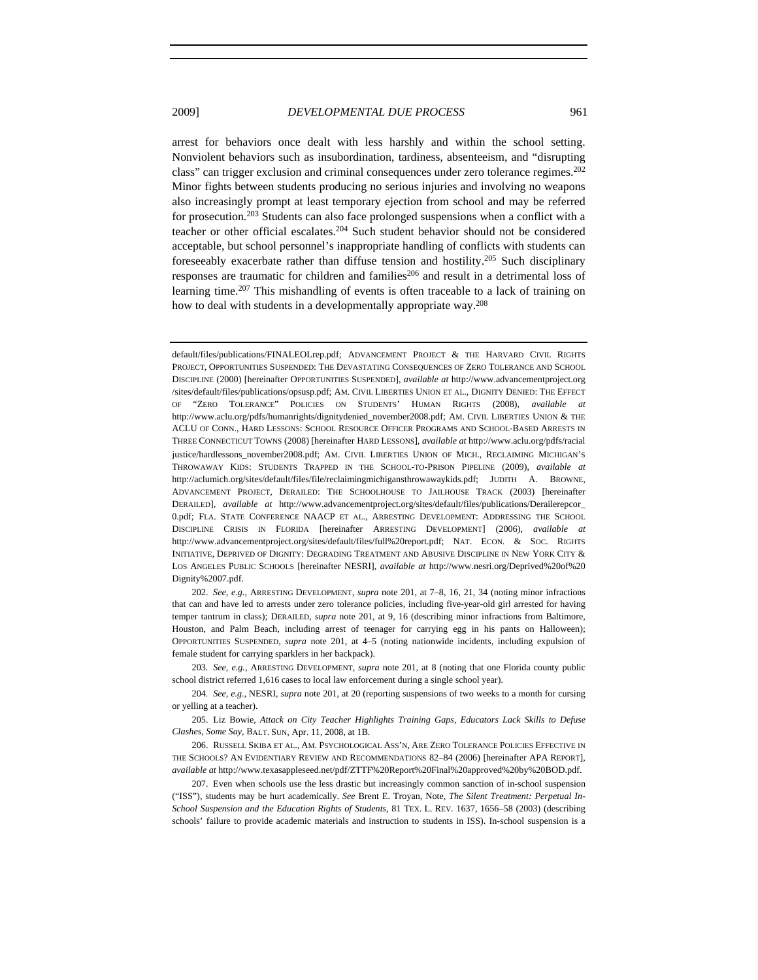arrest for behaviors once dealt with less harshly and within the school setting. Nonviolent behaviors such as insubordination, tardiness, absenteeism, and "disrupting class" can trigger exclusion and criminal consequences under zero tolerance regimes.<sup>202</sup> Minor fights between students producing no serious injuries and involving no weapons also increasingly prompt at least temporary ejection from school and may be referred for prosecution.<sup>203</sup> Students can also face prolonged suspensions when a conflict with a teacher or other official escalates.<sup>204</sup> Such student behavior should not be considered acceptable, but school personnel's inappropriate handling of conflicts with students can foreseeably exacerbate rather than diffuse tension and hostility.205 Such disciplinary responses are traumatic for children and families<sup>206</sup> and result in a detrimental loss of learning time.<sup>207</sup> This mishandling of events is often traceable to a lack of training on how to deal with students in a developmentally appropriate way.<sup>208</sup>

default/files/publications/FINALEOLrep.pdf; ADVANCEMENT PROJECT & THE HARVARD CIVIL RIGHTS PROJECT, OPPORTUNITIES SUSPENDED: THE DEVASTATING CONSEQUENCES OF ZERO TOLERANCE AND SCHOOL DISCIPLINE (2000) [hereinafter OPPORTUNITIES SUSPENDED], *available at* http://www.advancementproject.org /sites/default/files/publications/opsusp.pdf; AM. CIVIL LIBERTIES UNION ET AL., DIGNITY DENIED: THE EFFECT OF "ZERO TOLERANCE" POLICIES ON STUDENTS' HUMAN RIGHTS (2008), *available at* http://www.aclu.org/pdfs/humanrights/dignitydenied\_november2008.pdf; AM. CIVIL LIBERTIES UNION & THE ACLU OF CONN., HARD LESSONS: SCHOOL RESOURCE OFFICER PROGRAMS AND SCHOOL-BASED ARRESTS IN THREE CONNECTICUT TOWNS (2008) [hereinafter HARD LESSONS], *available at* http://www.aclu.org/pdfs/racial justice/hardlessons\_november2008.pdf; AM. CIVIL LIBERTIES UNION OF MICH., RECLAIMING MICHIGAN'S THROWAWAY KIDS: STUDENTS TRAPPED IN THE SCHOOL-TO-PRISON PIPELINE (2009), *available at* http://aclumich.org/sites/default/files/file/reclaimingmichigansthrowawaykids.pdf; JUDITH A. BROWNE, ADVANCEMENT PROJECT, DERAILED: THE SCHOOLHOUSE TO JAILHOUSE TRACK (2003) [hereinafter DERAILED], *available at* http://www.advancementproject.org/sites/default/files/publications/Derailerepcor\_ 0.pdf; FLA. STATE CONFERENCE NAACP ET AL., ARRESTING DEVELOPMENT: ADDRESSING THE SCHOOL DISCIPLINE CRISIS IN FLORIDA [hereinafter ARRESTING DEVELOPMENT] (2006), *available at* http://www.advancementproject.org/sites/default/files/full%20report.pdf; NAT. ECON. & SOC. RIGHTS INITIATIVE, DEPRIVED OF DIGNITY: DEGRADING TREATMENT AND ABUSIVE DISCIPLINE IN NEW YORK CITY & LOS ANGELES PUBLIC SCHOOLS [hereinafter NESRI], *available at* http://www.nesri.org/Deprived%20of%20 Dignity%2007.pdf.

202. *See, e.g.*, ARRESTING DEVELOPMENT, *supra* note 201, at 7–8, 16, 21, 34 (noting minor infractions that can and have led to arrests under zero tolerance policies, including five-year-old girl arrested for having temper tantrum in class); DERAILED, *supra* note 201, at 9, 16 (describing minor infractions from Baltimore, Houston, and Palm Beach, including arrest of teenager for carrying egg in his pants on Halloween); OPPORTUNITIES SUSPENDED, *supra* note 201, at 4–5 (noting nationwide incidents, including expulsion of female student for carrying sparklers in her backpack).

203*. See, e.g.*, ARRESTING DEVELOPMENT, *supra* note 201, at 8 (noting that one Florida county public school district referred 1,616 cases to local law enforcement during a single school year).

204*. See, e.g.*, NESRI, *supra* note 201, at 20 (reporting suspensions of two weeks to a month for cursing or yelling at a teacher).

205. Liz Bowie, *Attack on City Teacher Highlights Training Gaps, Educators Lack Skills to Defuse Clashes, Some Say*, BALT. SUN, Apr. 11, 2008, at 1B.

206. RUSSELL SKIBA ET AL., AM. PSYCHOLOGICAL ASS'N, ARE ZERO TOLERANCE POLICIES EFFECTIVE IN THE SCHOOLS? AN EVIDENTIARY REVIEW AND RECOMMENDATIONS 82–84 (2006) [hereinafter APA REPORT], *available at* http://www.texasappleseed.net/pdf/ZTTF%20Report%20Final%20approved%20by%20BOD.pdf.

207. Even when schools use the less drastic but increasingly common sanction of in-school suspension ("ISS"), students may be hurt academically. *See* Brent E. Troyan, Note, *The Silent Treatment: Perpetual In-School Suspension and the Education Rights of Students*, 81 TEX. L. REV. 1637, 1656–58 (2003) (describing schools' failure to provide academic materials and instruction to students in ISS). In-school suspension is a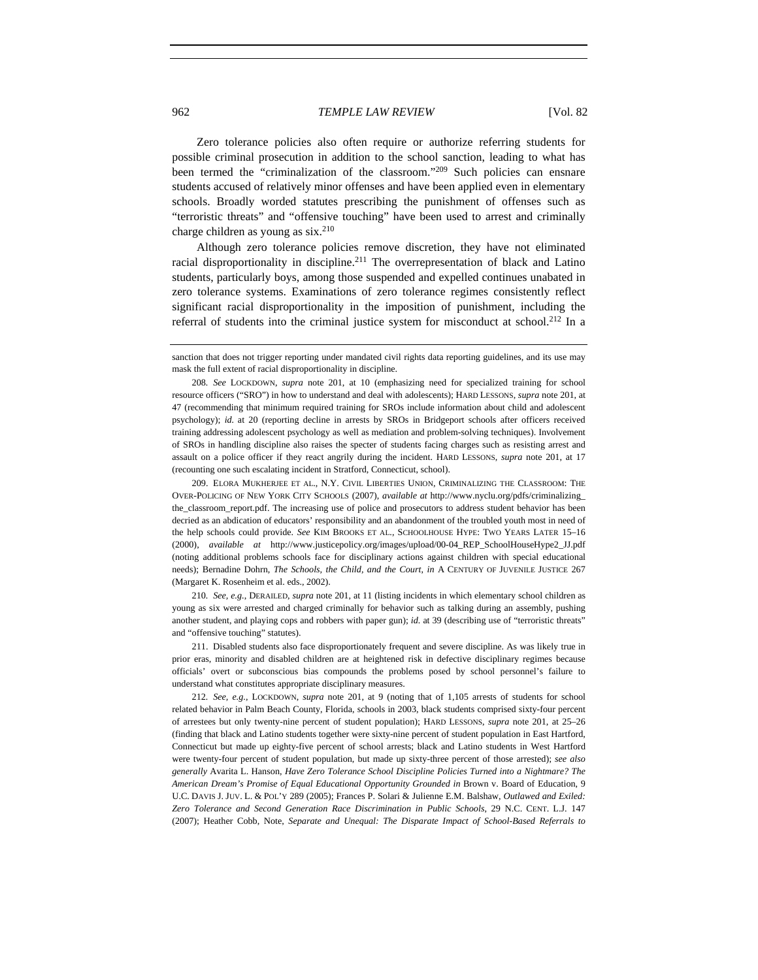Zero tolerance policies also often require or authorize referring students for possible criminal prosecution in addition to the school sanction, leading to what has been termed the "criminalization of the classroom."209 Such policies can ensnare students accused of relatively minor offenses and have been applied even in elementary schools. Broadly worded statutes prescribing the punishment of offenses such as "terroristic threats" and "offensive touching" have been used to arrest and criminally charge children as young as six.<sup>210</sup>

Although zero tolerance policies remove discretion, they have not eliminated racial disproportionality in discipline.<sup>211</sup> The overrepresentation of black and Latino students, particularly boys, among those suspended and expelled continues unabated in zero tolerance systems. Examinations of zero tolerance regimes consistently reflect significant racial disproportionality in the imposition of punishment, including the referral of students into the criminal justice system for misconduct at school.<sup>212</sup> In a

209. ELORA MUKHERJEE ET AL., N.Y. CIVIL LIBERTIES UNION, CRIMINALIZING THE CLASSROOM: THE OVER-POLICING OF NEW YORK CITY SCHOOLS (2007), *available at* http://www.nyclu.org/pdfs/criminalizing\_ the\_classroom\_report.pdf. The increasing use of police and prosecutors to address student behavior has been decried as an abdication of educators' responsibility and an abandonment of the troubled youth most in need of the help schools could provide. *See* KIM BROOKS ET AL., SCHOOLHOUSE HYPE: TWO YEARS LATER 15–16 (2000), *available at* http://www.justicepolicy.org/images/upload/00-04\_REP\_SchoolHouseHype2\_JJ.pdf (noting additional problems schools face for disciplinary actions against children with special educational needs); Bernadine Dohrn, *The Schools, the Child, and the Court*, *in* A CENTURY OF JUVENILE JUSTICE 267 (Margaret K. Rosenheim et al. eds., 2002).

210*. See, e.g.*, DERAILED, *supra* note 201, at 11 (listing incidents in which elementary school children as young as six were arrested and charged criminally for behavior such as talking during an assembly, pushing another student, and playing cops and robbers with paper gun); *id.* at 39 (describing use of "terroristic threats" and "offensive touching" statutes).

211. Disabled students also face disproportionately frequent and severe discipline. As was likely true in prior eras, minority and disabled children are at heightened risk in defective disciplinary regimes because officials' overt or subconscious bias compounds the problems posed by school personnel's failure to understand what constitutes appropriate disciplinary measures.

212*. See, e.g.*, LOCKDOWN, *supra* note 201, at 9 (noting that of 1,105 arrests of students for school related behavior in Palm Beach County, Florida, schools in 2003, black students comprised sixty-four percent of arrestees but only twenty-nine percent of student population); HARD LESSONS, *supra* note 201, at 25–26 (finding that black and Latino students together were sixty-nine percent of student population in East Hartford, Connecticut but made up eighty-five percent of school arrests; black and Latino students in West Hartford were twenty-four percent of student population, but made up sixty-three percent of those arrested); *see also generally* Avarita L. Hanson, *Have Zero Tolerance School Discipline Policies Turned into a Nightmare? The*  American Dream's Promise of Equal Educational Opportunity Grounded in Brown v. Board of Education, 9 U.C. DAVIS J. JUV. L. & POL'Y 289 (2005); Frances P. Solari & Julienne E.M. Balshaw, *Outlawed and Exiled: Zero Tolerance and Second Generation Race Discrimination in Public Schools*, 29 N.C. CENT. L.J. 147 (2007); Heather Cobb, Note, *Separate and Unequal: The Disparate Impact of School-Based Referrals to* 

sanction that does not trigger reporting under mandated civil rights data reporting guidelines, and its use may mask the full extent of racial disproportionality in discipline.

<sup>208</sup>*. See* LOCKDOWN, *supra* note 201, at 10 (emphasizing need for specialized training for school resource officers ("SRO") in how to understand and deal with adolescents); HARD LESSONS, *supra* note 201, at 47 (recommending that minimum required training for SROs include information about child and adolescent psychology); *id.* at 20 (reporting decline in arrests by SROs in Bridgeport schools after officers received training addressing adolescent psychology as well as mediation and problem-solving techniques). Involvement of SROs in handling discipline also raises the specter of students facing charges such as resisting arrest and assault on a police officer if they react angrily during the incident. HARD LESSONS, *supra* note 201, at 17 (recounting one such escalating incident in Stratford, Connecticut, school).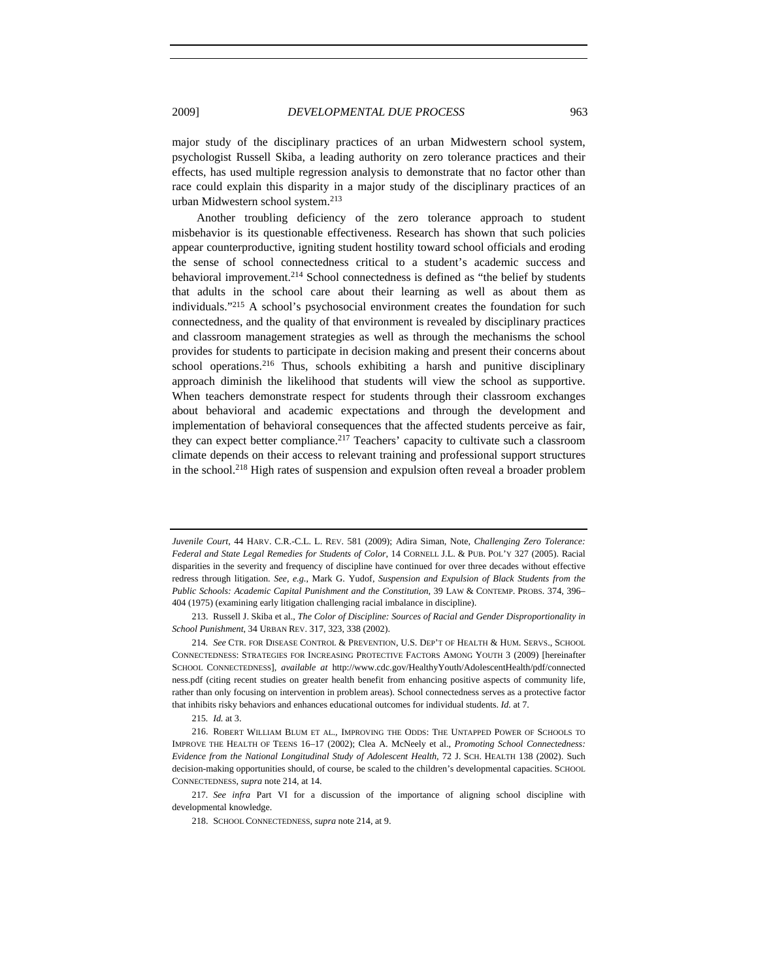major study of the disciplinary practices of an urban Midwestern school system, psychologist Russell Skiba, a leading authority on zero tolerance practices and their effects, has used multiple regression analysis to demonstrate that no factor other than race could explain this disparity in a major study of the disciplinary practices of an urban Midwestern school system.213

Another troubling deficiency of the zero tolerance approach to student misbehavior is its questionable effectiveness. Research has shown that such policies appear counterproductive, igniting student hostility toward school officials and eroding the sense of school connectedness critical to a student's academic success and behavioral improvement.214 School connectedness is defined as "the belief by students that adults in the school care about their learning as well as about them as individuals."215 A school's psychosocial environment creates the foundation for such connectedness, and the quality of that environment is revealed by disciplinary practices and classroom management strategies as well as through the mechanisms the school provides for students to participate in decision making and present their concerns about school operations.<sup>216</sup> Thus, schools exhibiting a harsh and punitive disciplinary approach diminish the likelihood that students will view the school as supportive. When teachers demonstrate respect for students through their classroom exchanges about behavioral and academic expectations and through the development and implementation of behavioral consequences that the affected students perceive as fair, they can expect better compliance.217 Teachers' capacity to cultivate such a classroom climate depends on their access to relevant training and professional support structures in the school.218 High rates of suspension and expulsion often reveal a broader problem

215*. Id.* at 3.

*Juvenile Court*, 44 HARV. C.R.-C.L. L. REV. 581 (2009); Adira Siman, Note, *Challenging Zero Tolerance: Federal and State Legal Remedies for Students of Color*, 14 CORNELL J.L. & PUB. POL'Y 327 (2005). Racial disparities in the severity and frequency of discipline have continued for over three decades without effective redress through litigation. *See, e.g.*, Mark G. Yudof, *Suspension and Expulsion of Black Students from the Public Schools: Academic Capital Punishment and the Constitution*, 39 LAW & CONTEMP. PROBS. 374, 396– 404 (1975) (examining early litigation challenging racial imbalance in discipline).

<sup>213.</sup> Russell J. Skiba et al., *The Color of Discipline: Sources of Racial and Gender Disproportionality in School Punishment*, 34 URBAN REV. 317, 323, 338 (2002).

<sup>214</sup>*. See* CTR. FOR DISEASE CONTROL & PREVENTION, U.S. DEP'T OF HEALTH & HUM. SERVS., SCHOOL CONNECTEDNESS: STRATEGIES FOR INCREASING PROTECTIVE FACTORS AMONG YOUTH 3 (2009) [hereinafter SCHOOL CONNECTEDNESS], *available at* http://www.cdc.gov/HealthyYouth/AdolescentHealth/pdf/connected ness.pdf (citing recent studies on greater health benefit from enhancing positive aspects of community life, rather than only focusing on intervention in problem areas). School connectedness serves as a protective factor that inhibits risky behaviors and enhances educational outcomes for individual students. *Id.* at 7.

<sup>216.</sup> ROBERT WILLIAM BLUM ET AL., IMPROVING THE ODDS: THE UNTAPPED POWER OF SCHOOLS TO IMPROVE THE HEALTH OF TEENS 16–17 (2002); Clea A. McNeely et al., *Promoting School Connectedness: Evidence from the National Longitudinal Study of Adolescent Health*, 72 J. SCH. HEALTH 138 (2002). Such decision-making opportunities should, of course, be scaled to the children's developmental capacities. SCHOOL CONNECTEDNESS, *supra* note 214, at 14.

<sup>217</sup>*. See infra* Part VI for a discussion of the importance of aligning school discipline with developmental knowledge.

<sup>218.</sup> SCHOOL CONNECTEDNESS, *supra* note 214, at 9.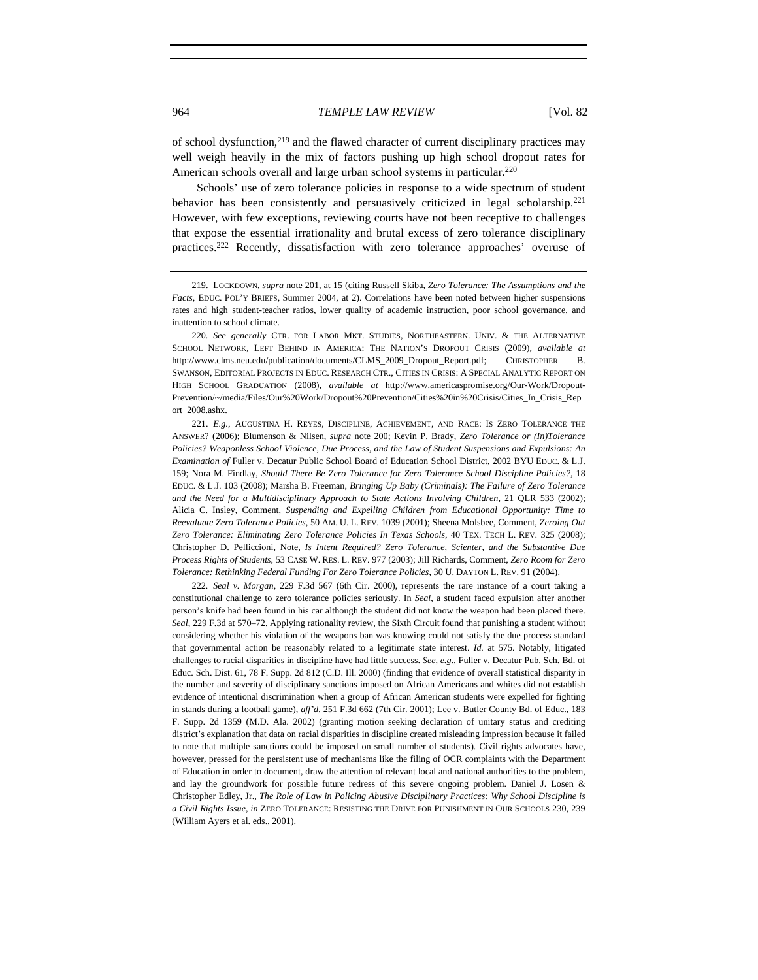of school dysfunction, $2^{19}$  and the flawed character of current disciplinary practices may well weigh heavily in the mix of factors pushing up high school dropout rates for American schools overall and large urban school systems in particular.<sup>220</sup>

Schools' use of zero tolerance policies in response to a wide spectrum of student behavior has been consistently and persuasively criticized in legal scholarship.<sup>221</sup> However, with few exceptions, reviewing courts have not been receptive to challenges that expose the essential irrationality and brutal excess of zero tolerance disciplinary practices.222 Recently, dissatisfaction with zero tolerance approaches' overuse of

221. *E.g.*, AUGUSTINA H. REYES, DISCIPLINE, ACHIEVEMENT, AND RACE: IS ZERO TOLERANCE THE ANSWER? (2006); Blumenson & Nilsen, *supra* note 200; Kevin P. Brady, *Zero Tolerance or (In)Tolerance Policies? Weaponless School Violence, Due Process, and the Law of Student Suspensions and Expulsions: An Examination of* Fuller v. Decatur Public School Board of Education School District, 2002 BYU EDUC. & L.J. 159; Nora M. Findlay, *Should There Be Zero Tolerance for Zero Tolerance School Discipline Policies?*, 18 EDUC. & L.J. 103 (2008); Marsha B. Freeman, *Bringing Up Baby (Criminals): The Failure of Zero Tolerance and the Need for a Multidisciplinary Approach to State Actions Involving Children*, 21 QLR 533 (2002); Alicia C. Insley, Comment, *Suspending and Expelling Children from Educational Opportunity: Time to Reevaluate Zero Tolerance Policies*, 50 AM. U. L. REV. 1039 (2001); Sheena Molsbee, Comment, *Zeroing Out Zero Tolerance: Eliminating Zero Tolerance Policies In Texas Schools*, 40 TEX. TECH L. REV. 325 (2008); Christopher D. Pelliccioni, Note, *Is Intent Required? Zero Tolerance, Scienter, and the Substantive Due Process Rights of Students*, 53 CASE W. RES. L. REV. 977 (2003); Jill Richards, Comment, *Zero Room for Zero Tolerance: Rethinking Federal Funding For Zero Tolerance Policies*, 30 U. DAYTON L. REV. 91 (2004).

222*. Seal v. Morgan*, 229 F.3d 567 (6th Cir. 2000), represents the rare instance of a court taking a constitutional challenge to zero tolerance policies seriously. In *Seal*, a student faced expulsion after another person's knife had been found in his car although the student did not know the weapon had been placed there. *Seal*, 229 F.3d at 570–72. Applying rationality review, the Sixth Circuit found that punishing a student without considering whether his violation of the weapons ban was knowing could not satisfy the due process standard that governmental action be reasonably related to a legitimate state interest. *Id.* at 575. Notably, litigated challenges to racial disparities in discipline have had little success. *See, e.g.*, Fuller v. Decatur Pub. Sch. Bd. of Educ. Sch. Dist. 61, 78 F. Supp. 2d 812 (C.D. Ill. 2000) (finding that evidence of overall statistical disparity in the number and severity of disciplinary sanctions imposed on African Americans and whites did not establish evidence of intentional discrimination when a group of African American students were expelled for fighting in stands during a football game), *aff'd*, 251 F.3d 662 (7th Cir. 2001); Lee v. Butler County Bd. of Educ., 183 F. Supp. 2d 1359 (M.D. Ala. 2002) (granting motion seeking declaration of unitary status and crediting district's explanation that data on racial disparities in discipline created misleading impression because it failed to note that multiple sanctions could be imposed on small number of students)*.* Civil rights advocates have, however, pressed for the persistent use of mechanisms like the filing of OCR complaints with the Department of Education in order to document, draw the attention of relevant local and national authorities to the problem, and lay the groundwork for possible future redress of this severe ongoing problem. Daniel J. Losen & Christopher Edley, Jr., *The Role of Law in Policing Abusive Disciplinary Practices: Why School Discipline is a Civil Rights Issue*, *in* ZERO TOLERANCE: RESISTING THE DRIVE FOR PUNISHMENT IN OUR SCHOOLS 230, 239 (William Ayers et al. eds., 2001).

<sup>219.</sup> LOCKDOWN, *supra* note 201, at 15 (citing Russell Skiba, *Zero Tolerance: The Assumptions and the Facts*, EDUC. POL'Y BRIEFS, Summer 2004, at 2). Correlations have been noted between higher suspensions rates and high student-teacher ratios, lower quality of academic instruction, poor school governance, and inattention to school climate.

<sup>220</sup>*. See generally* CTR. FOR LABOR MKT. STUDIES, NORTHEASTERN. UNIV. & THE ALTERNATIVE SCHOOL NETWORK, LEFT BEHIND IN AMERICA: THE NATION'S DROPOUT CRISIS (2009), *available at*  http://www.clms.neu.edu/publication/documents/CLMS\_2009\_Dropout\_Report.pdf; CHRISTOPHER B. SWANSON, EDITORIAL PROJECTS IN EDUC. RESEARCH CTR., CITIES IN CRISIS: A SPECIAL ANALYTIC REPORT ON HIGH SCHOOL GRADUATION (2008), *available at* http://www.americaspromise.org/Our-Work/Dropout-Prevention/~/media/Files/Our%20Work/Dropout%20Prevention/Cities%20in%20Crisis/Cities\_In\_Crisis\_Rep ort\_2008.ashx.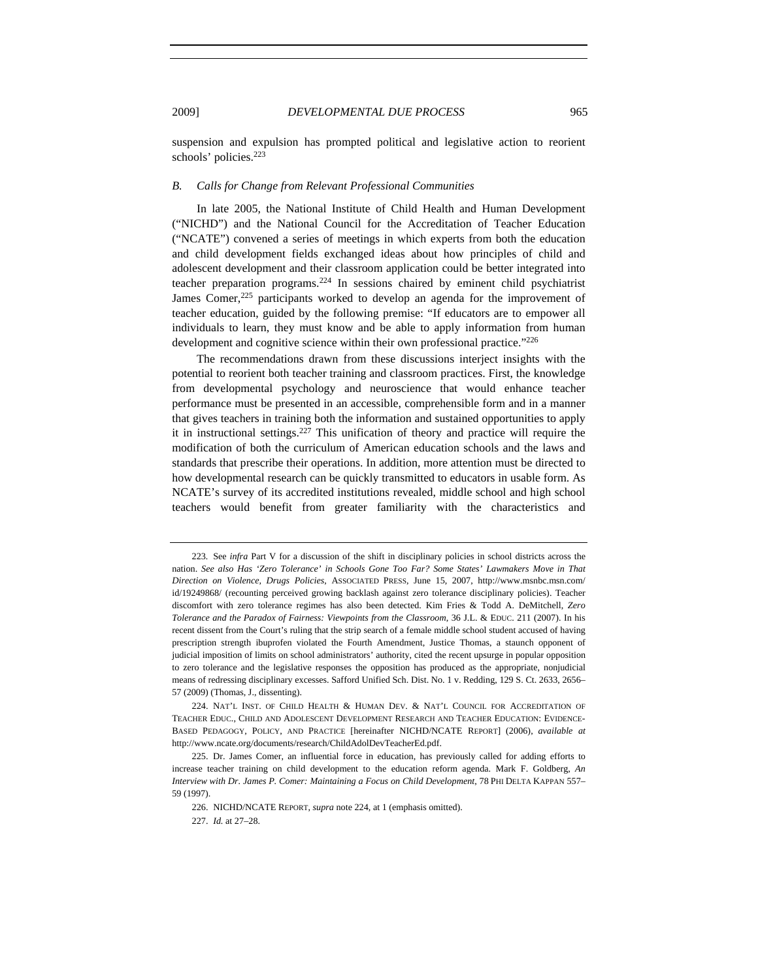suspension and expulsion has prompted political and legislative action to reorient schools' policies.<sup>223</sup>

#### *B. Calls for Change from Relevant Professional Communities*

In late 2005, the National Institute of Child Health and Human Development ("NICHD") and the National Council for the Accreditation of Teacher Education ("NCATE") convened a series of meetings in which experts from both the education and child development fields exchanged ideas about how principles of child and adolescent development and their classroom application could be better integrated into teacher preparation programs.224 In sessions chaired by eminent child psychiatrist James Comer,<sup>225</sup> participants worked to develop an agenda for the improvement of teacher education, guided by the following premise: "If educators are to empower all individuals to learn, they must know and be able to apply information from human development and cognitive science within their own professional practice."<sup>226</sup>

The recommendations drawn from these discussions interject insights with the potential to reorient both teacher training and classroom practices. First, the knowledge from developmental psychology and neuroscience that would enhance teacher performance must be presented in an accessible, comprehensible form and in a manner that gives teachers in training both the information and sustained opportunities to apply it in instructional settings.<sup>227</sup> This unification of theory and practice will require the modification of both the curriculum of American education schools and the laws and standards that prescribe their operations. In addition, more attention must be directed to how developmental research can be quickly transmitted to educators in usable form. As NCATE's survey of its accredited institutions revealed, middle school and high school teachers would benefit from greater familiarity with the characteristics and

<sup>223</sup>*.* See *infra* Part V for a discussion of the shift in disciplinary policies in school districts across the nation. *See also Has 'Zero Tolerance' in Schools Gone Too Far? Some States' Lawmakers Move in That Direction on Violence, Drugs Policies*, ASSOCIATED PRESS, June 15, 2007, http://www.msnbc.msn.com/ id/19249868/ (recounting perceived growing backlash against zero tolerance disciplinary policies). Teacher discomfort with zero tolerance regimes has also been detected. Kim Fries & Todd A. DeMitchell, *Zero Tolerance and the Paradox of Fairness: Viewpoints from the Classroom*, 36 J.L. & EDUC. 211 (2007). In his recent dissent from the Court's ruling that the strip search of a female middle school student accused of having prescription strength ibuprofen violated the Fourth Amendment, Justice Thomas, a staunch opponent of judicial imposition of limits on school administrators' authority, cited the recent upsurge in popular opposition to zero tolerance and the legislative responses the opposition has produced as the appropriate, nonjudicial means of redressing disciplinary excesses. Safford Unified Sch. Dist. No. 1 v. Redding, 129 S. Ct. 2633, 2656– 57 (2009) (Thomas, J., dissenting).

<sup>224.</sup> NAT'L INST. OF CHILD HEALTH & HUMAN DEV. & NAT'L COUNCIL FOR ACCREDITATION OF TEACHER EDUC., CHILD AND ADOLESCENT DEVELOPMENT RESEARCH AND TEACHER EDUCATION: EVIDENCE-BASED PEDAGOGY, POLICY, AND PRACTICE [hereinafter NICHD/NCATE REPORT] (2006), *available at* http://www.ncate.org/documents/research/ChildAdolDevTeacherEd.pdf.

<sup>225.</sup> Dr. James Comer, an influential force in education, has previously called for adding efforts to increase teacher training on child development to the education reform agenda. Mark F. Goldberg, *An Interview with Dr. James P. Comer: Maintaining a Focus on Child Development*, 78 PHI DELTA KAPPAN 557– 59 (1997).

<sup>226.</sup> NICHD/NCATE REPORT, *supra* note 224, at 1 (emphasis omitted).

<sup>227.</sup> *Id.* at 27–28.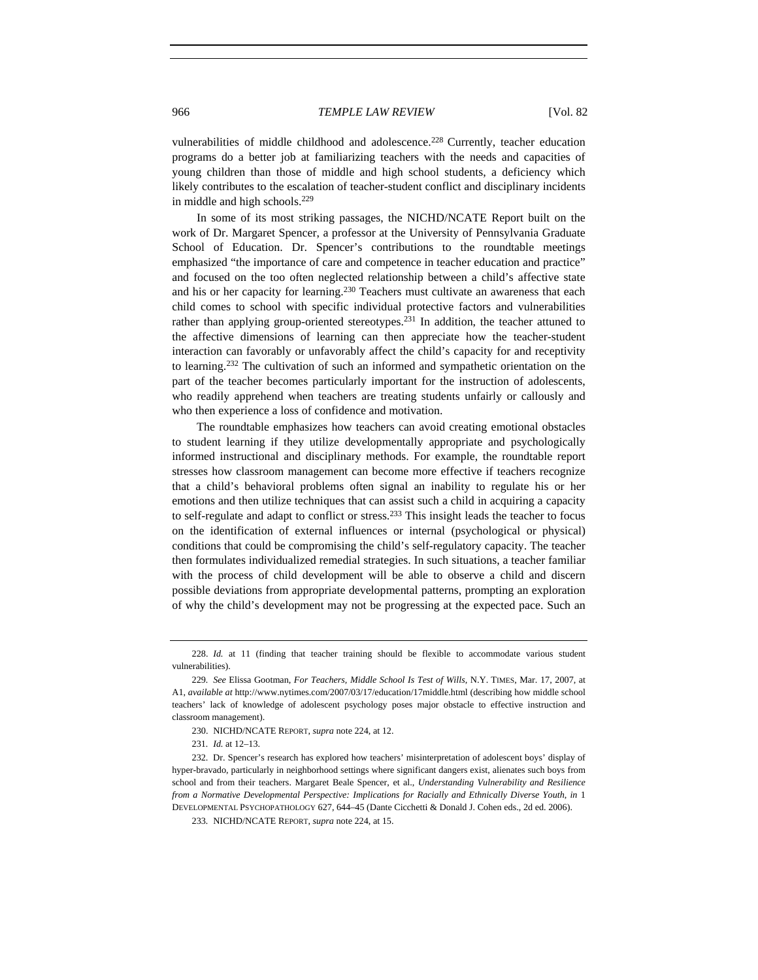vulnerabilities of middle childhood and adolescence.<sup>228</sup> Currently, teacher education programs do a better job at familiarizing teachers with the needs and capacities of young children than those of middle and high school students, a deficiency which likely contributes to the escalation of teacher-student conflict and disciplinary incidents in middle and high schools.229

In some of its most striking passages, the NICHD/NCATE Report built on the work of Dr. Margaret Spencer, a professor at the University of Pennsylvania Graduate School of Education. Dr. Spencer's contributions to the roundtable meetings emphasized "the importance of care and competence in teacher education and practice" and focused on the too often neglected relationship between a child's affective state and his or her capacity for learning.<sup>230</sup> Teachers must cultivate an awareness that each child comes to school with specific individual protective factors and vulnerabilities rather than applying group-oriented stereotypes.<sup>231</sup> In addition, the teacher attuned to the affective dimensions of learning can then appreciate how the teacher-student interaction can favorably or unfavorably affect the child's capacity for and receptivity to learning.232 The cultivation of such an informed and sympathetic orientation on the part of the teacher becomes particularly important for the instruction of adolescents, who readily apprehend when teachers are treating students unfairly or callously and who then experience a loss of confidence and motivation.

The roundtable emphasizes how teachers can avoid creating emotional obstacles to student learning if they utilize developmentally appropriate and psychologically informed instructional and disciplinary methods. For example, the roundtable report stresses how classroom management can become more effective if teachers recognize that a child's behavioral problems often signal an inability to regulate his or her emotions and then utilize techniques that can assist such a child in acquiring a capacity to self-regulate and adapt to conflict or stress.233 This insight leads the teacher to focus on the identification of external influences or internal (psychological or physical) conditions that could be compromising the child's self-regulatory capacity. The teacher then formulates individualized remedial strategies. In such situations, a teacher familiar with the process of child development will be able to observe a child and discern possible deviations from appropriate developmental patterns, prompting an exploration of why the child's development may not be progressing at the expected pace. Such an

<sup>228.</sup> *Id.* at 11 (finding that teacher training should be flexible to accommodate various student vulnerabilities).

<sup>229</sup>*. See* Elissa Gootman, *For Teachers, Middle School Is Test of Wills*, N.Y. TIMES, Mar. 17, 2007, at A1, *available at* http://www.nytimes.com/2007/03/17/education/17middle.html (describing how middle school teachers' lack of knowledge of adolescent psychology poses major obstacle to effective instruction and classroom management).

<sup>230.</sup> NICHD/NCATE REPORT, *supra* note 224, at 12.

<sup>231</sup>*. Id.* at 12–13.

<sup>232.</sup> Dr. Spencer's research has explored how teachers' misinterpretation of adolescent boys' display of hyper-bravado, particularly in neighborhood settings where significant dangers exist, alienates such boys from school and from their teachers. Margaret Beale Spencer, et al., *Understanding Vulnerability and Resilience from a Normative Developmental Perspective: Implications for Racially and Ethnically Diverse Youth*, *in* 1 DEVELOPMENTAL PSYCHOPATHOLOGY 627, 644–45 (Dante Cicchetti & Donald J. Cohen eds., 2d ed. 2006).

<sup>233</sup>*.* NICHD/NCATE REPORT, *supra* note 224, at 15.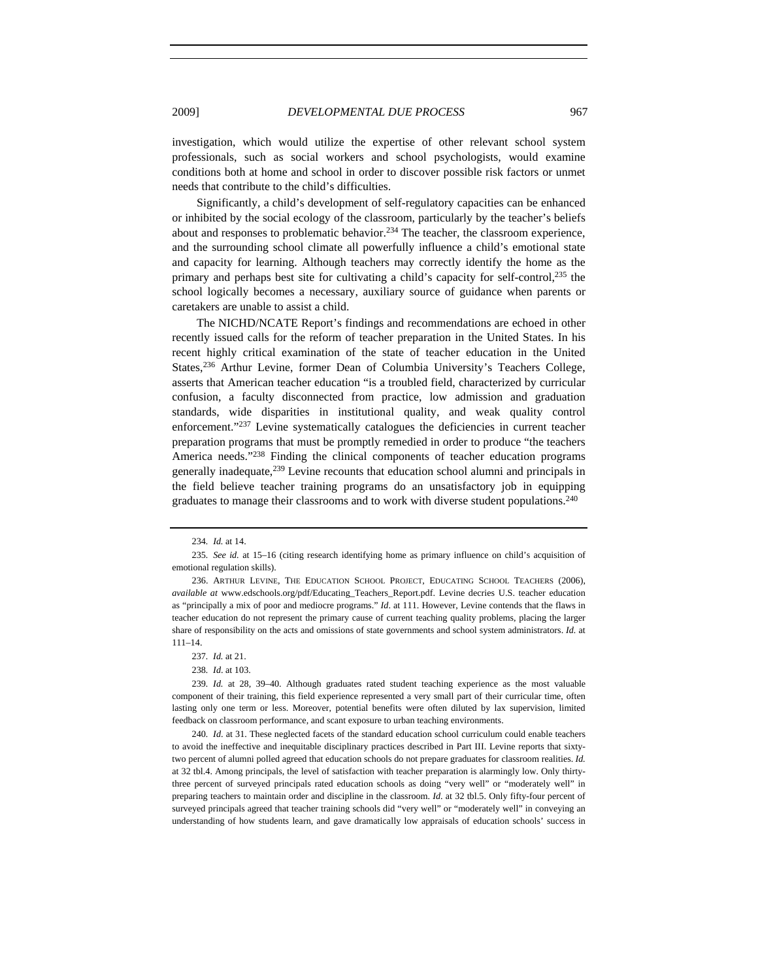investigation, which would utilize the expertise of other relevant school system professionals, such as social workers and school psychologists, would examine conditions both at home and school in order to discover possible risk factors or unmet needs that contribute to the child's difficulties.

Significantly, a child's development of self-regulatory capacities can be enhanced or inhibited by the social ecology of the classroom, particularly by the teacher's beliefs about and responses to problematic behavior.<sup>234</sup> The teacher, the classroom experience, and the surrounding school climate all powerfully influence a child's emotional state and capacity for learning. Although teachers may correctly identify the home as the primary and perhaps best site for cultivating a child's capacity for self-control,235 the school logically becomes a necessary, auxiliary source of guidance when parents or caretakers are unable to assist a child.

The NICHD/NCATE Report's findings and recommendations are echoed in other recently issued calls for the reform of teacher preparation in the United States. In his recent highly critical examination of the state of teacher education in the United States,<sup>236</sup> Arthur Levine, former Dean of Columbia University's Teachers College, asserts that American teacher education "is a troubled field, characterized by curricular confusion, a faculty disconnected from practice, low admission and graduation standards, wide disparities in institutional quality, and weak quality control enforcement."237 Levine systematically catalogues the deficiencies in current teacher preparation programs that must be promptly remedied in order to produce "the teachers America needs."<sup>238</sup> Finding the clinical components of teacher education programs generally inadequate,239 Levine recounts that education school alumni and principals in the field believe teacher training programs do an unsatisfactory job in equipping graduates to manage their classrooms and to work with diverse student populations.<sup>240</sup>

<sup>234</sup>*. Id.* at 14.

<sup>235</sup>*. See id.* at 15–16 (citing research identifying home as primary influence on child's acquisition of emotional regulation skills).

<sup>236.</sup> ARTHUR LEVINE, THE EDUCATION SCHOOL PROJECT, EDUCATING SCHOOL TEACHERS (2006), *available at* www.edschools.org/pdf/Educating\_Teachers\_Report.pdf. Levine decries U.S. teacher education as "principally a mix of poor and mediocre programs." *Id*. at 111. However, Levine contends that the flaws in teacher education do not represent the primary cause of current teaching quality problems, placing the larger share of responsibility on the acts and omissions of state governments and school system administrators. *Id.* at 111–14.

<sup>237</sup>*. Id.* at 21.

<sup>238</sup>*. Id*. at 103.

<sup>239</sup>*. Id.* at 28, 39–40. Although graduates rated student teaching experience as the most valuable component of their training, this field experience represented a very small part of their curricular time, often lasting only one term or less. Moreover, potential benefits were often diluted by lax supervision, limited feedback on classroom performance, and scant exposure to urban teaching environments.

<sup>240</sup>*. Id*. at 31. These neglected facets of the standard education school curriculum could enable teachers to avoid the ineffective and inequitable disciplinary practices described in Part III. Levine reports that sixtytwo percent of alumni polled agreed that education schools do not prepare graduates for classroom realities. *Id.*  at 32 tbl.4. Among principals, the level of satisfaction with teacher preparation is alarmingly low. Only thirtythree percent of surveyed principals rated education schools as doing "very well" or "moderately well" in preparing teachers to maintain order and discipline in the classroom. *Id*. at 32 tbl.5. Only fifty-four percent of surveyed principals agreed that teacher training schools did "very well" or "moderately well" in conveying an understanding of how students learn, and gave dramatically low appraisals of education schools' success in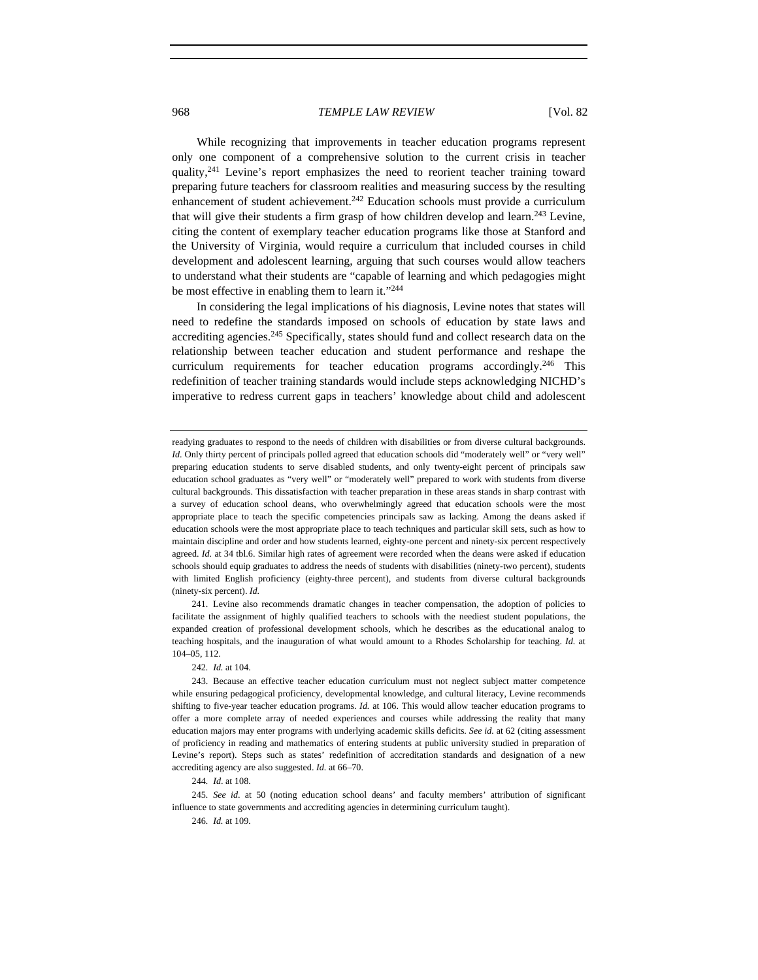While recognizing that improvements in teacher education programs represent only one component of a comprehensive solution to the current crisis in teacher quality,241 Levine's report emphasizes the need to reorient teacher training toward preparing future teachers for classroom realities and measuring success by the resulting enhancement of student achievement.<sup>242</sup> Education schools must provide a curriculum that will give their students a firm grasp of how children develop and learn.<sup>243</sup> Levine, citing the content of exemplary teacher education programs like those at Stanford and the University of Virginia, would require a curriculum that included courses in child development and adolescent learning, arguing that such courses would allow teachers to understand what their students are "capable of learning and which pedagogies might be most effective in enabling them to learn it."244

In considering the legal implications of his diagnosis, Levine notes that states will need to redefine the standards imposed on schools of education by state laws and accrediting agencies.245 Specifically, states should fund and collect research data on the relationship between teacher education and student performance and reshape the curriculum requirements for teacher education programs accordingly.<sup>246</sup> This redefinition of teacher training standards would include steps acknowledging NICHD's imperative to redress current gaps in teachers' knowledge about child and adolescent

241. Levine also recommends dramatic changes in teacher compensation, the adoption of policies to facilitate the assignment of highly qualified teachers to schools with the neediest student populations, the expanded creation of professional development schools, which he describes as the educational analog to teaching hospitals, and the inauguration of what would amount to a Rhodes Scholarship for teaching. *Id.* at 104–05, 112.

242*. Id.* at 104.

readying graduates to respond to the needs of children with disabilities or from diverse cultural backgrounds. *Id*. Only thirty percent of principals polled agreed that education schools did "moderately well" or "very well" preparing education students to serve disabled students, and only twenty-eight percent of principals saw education school graduates as "very well" or "moderately well" prepared to work with students from diverse cultural backgrounds. This dissatisfaction with teacher preparation in these areas stands in sharp contrast with a survey of education school deans, who overwhelmingly agreed that education schools were the most appropriate place to teach the specific competencies principals saw as lacking. Among the deans asked if education schools were the most appropriate place to teach techniques and particular skill sets, such as how to maintain discipline and order and how students learned, eighty-one percent and ninety-six percent respectively agreed. *Id.* at 34 tbl.6. Similar high rates of agreement were recorded when the deans were asked if education schools should equip graduates to address the needs of students with disabilities (ninety-two percent), students with limited English proficiency (eighty-three percent), and students from diverse cultural backgrounds (ninety-six percent). *Id.*

<sup>243.</sup> Because an effective teacher education curriculum must not neglect subject matter competence while ensuring pedagogical proficiency, developmental knowledge, and cultural literacy, Levine recommends shifting to five-year teacher education programs. *Id.* at 106. This would allow teacher education programs to offer a more complete array of needed experiences and courses while addressing the reality that many education majors may enter programs with underlying academic skills deficits. *See id.* at 62 (citing assessment of proficiency in reading and mathematics of entering students at public university studied in preparation of Levine's report). Steps such as states' redefinition of accreditation standards and designation of a new accrediting agency are also suggested. *Id.* at 66–70.

<sup>244</sup>*. Id*. at 108.

<sup>245</sup>*. See id*. at 50 (noting education school deans' and faculty members' attribution of significant influence to state governments and accrediting agencies in determining curriculum taught).

<sup>246</sup>*. Id.* at 109.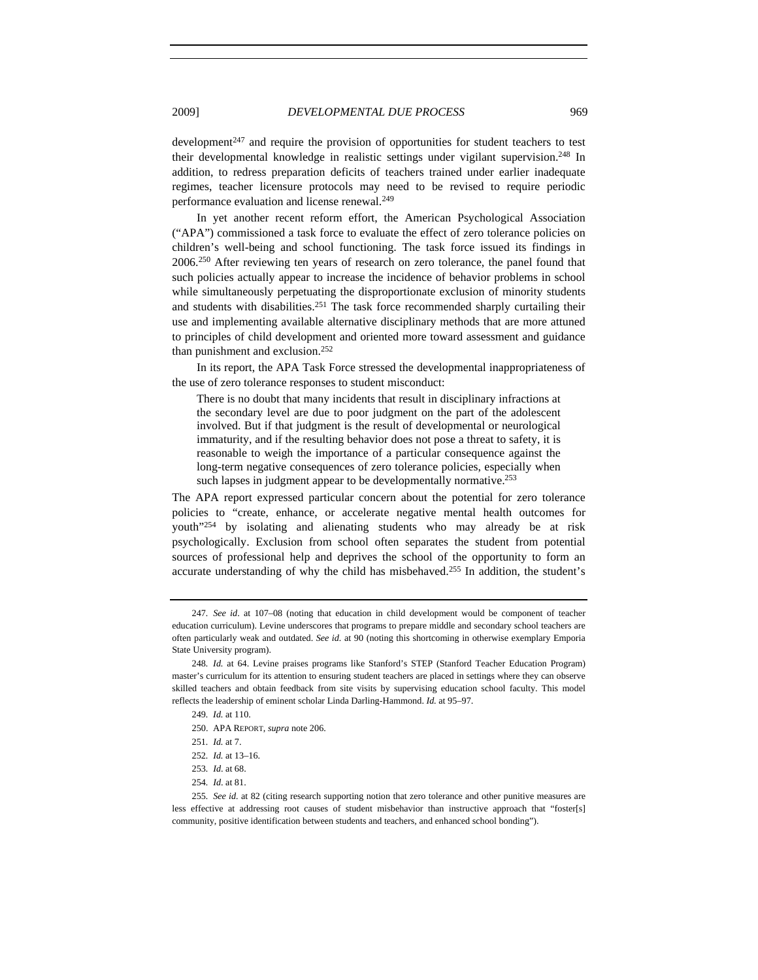development<sup>247</sup> and require the provision of opportunities for student teachers to test their developmental knowledge in realistic settings under vigilant supervision.<sup>248</sup> In addition, to redress preparation deficits of teachers trained under earlier inadequate regimes, teacher licensure protocols may need to be revised to require periodic performance evaluation and license renewal.249

In yet another recent reform effort, the American Psychological Association ("APA") commissioned a task force to evaluate the effect of zero tolerance policies on children's well-being and school functioning. The task force issued its findings in 2006.250 After reviewing ten years of research on zero tolerance, the panel found that such policies actually appear to increase the incidence of behavior problems in school while simultaneously perpetuating the disproportionate exclusion of minority students and students with disabilities.<sup>251</sup> The task force recommended sharply curtailing their use and implementing available alternative disciplinary methods that are more attuned to principles of child development and oriented more toward assessment and guidance than punishment and exclusion.252

In its report, the APA Task Force stressed the developmental inappropriateness of the use of zero tolerance responses to student misconduct:

There is no doubt that many incidents that result in disciplinary infractions at the secondary level are due to poor judgment on the part of the adolescent involved. But if that judgment is the result of developmental or neurological immaturity, and if the resulting behavior does not pose a threat to safety, it is reasonable to weigh the importance of a particular consequence against the long-term negative consequences of zero tolerance policies, especially when such lapses in judgment appear to be developmentally normative.<sup>253</sup>

The APA report expressed particular concern about the potential for zero tolerance policies to "create, enhance, or accelerate negative mental health outcomes for youth"254 by isolating and alienating students who may already be at risk psychologically. Exclusion from school often separates the student from potential sources of professional help and deprives the school of the opportunity to form an accurate understanding of why the child has misbehaved.255 In addition, the student's

<sup>247</sup>*. See id*. at 107–08 (noting that education in child development would be component of teacher education curriculum). Levine underscores that programs to prepare middle and secondary school teachers are often particularly weak and outdated. *See id.* at 90 (noting this shortcoming in otherwise exemplary Emporia State University program).

<sup>248</sup>*. Id.* at 64. Levine praises programs like Stanford's STEP (Stanford Teacher Education Program) master's curriculum for its attention to ensuring student teachers are placed in settings where they can observe skilled teachers and obtain feedback from site visits by supervising education school faculty. This model reflects the leadership of eminent scholar Linda Darling-Hammond. *Id.* at 95–97.

<sup>249</sup>*. Id.* at 110.

<sup>250.</sup> APA REPORT, *supra* note 206.

<sup>251</sup>*. Id.* at 7.

<sup>252</sup>*. Id.* at 13–16.

<sup>253</sup>*. Id*. at 68.

<sup>254</sup>*. Id*. at 81.

<sup>255</sup>*. See id.* at 82 (citing research supporting notion that zero tolerance and other punitive measures are less effective at addressing root causes of student misbehavior than instructive approach that "foster[s] community, positive identification between students and teachers, and enhanced school bonding").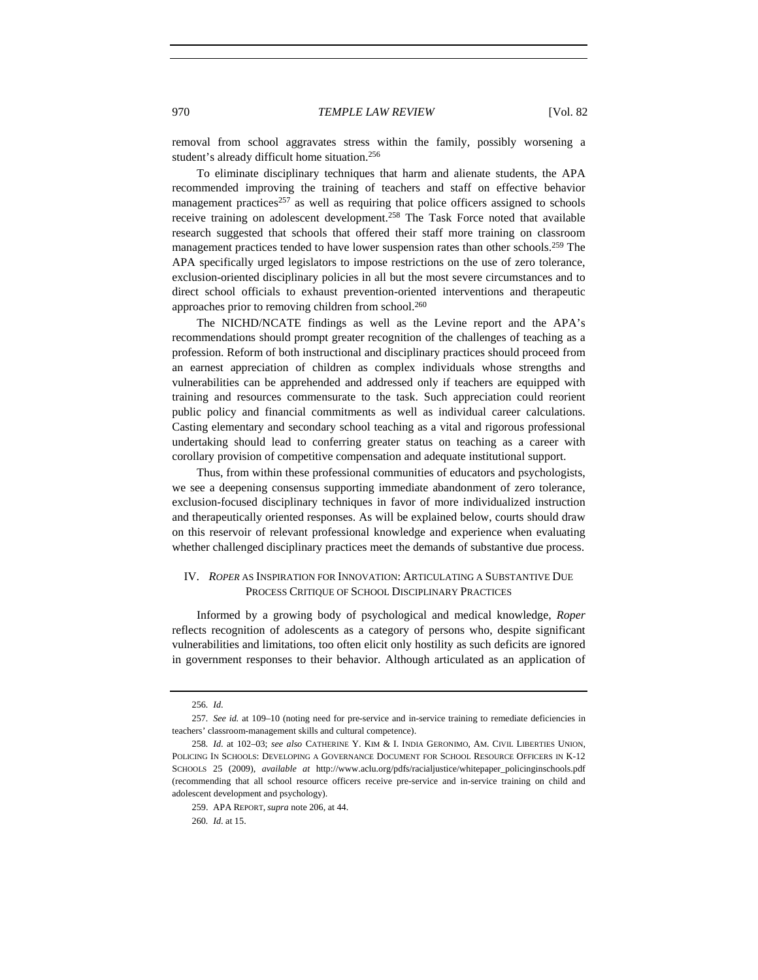removal from school aggravates stress within the family, possibly worsening a student's already difficult home situation.256

To eliminate disciplinary techniques that harm and alienate students, the APA recommended improving the training of teachers and staff on effective behavior management practices $257$  as well as requiring that police officers assigned to schools receive training on adolescent development.258 The Task Force noted that available research suggested that schools that offered their staff more training on classroom management practices tended to have lower suspension rates than other schools.<sup>259</sup> The APA specifically urged legislators to impose restrictions on the use of zero tolerance, exclusion-oriented disciplinary policies in all but the most severe circumstances and to direct school officials to exhaust prevention-oriented interventions and therapeutic approaches prior to removing children from school.260

The NICHD/NCATE findings as well as the Levine report and the APA's recommendations should prompt greater recognition of the challenges of teaching as a profession. Reform of both instructional and disciplinary practices should proceed from an earnest appreciation of children as complex individuals whose strengths and vulnerabilities can be apprehended and addressed only if teachers are equipped with training and resources commensurate to the task. Such appreciation could reorient public policy and financial commitments as well as individual career calculations. Casting elementary and secondary school teaching as a vital and rigorous professional undertaking should lead to conferring greater status on teaching as a career with corollary provision of competitive compensation and adequate institutional support.

Thus, from within these professional communities of educators and psychologists, we see a deepening consensus supporting immediate abandonment of zero tolerance, exclusion-focused disciplinary techniques in favor of more individualized instruction and therapeutically oriented responses. As will be explained below, courts should draw on this reservoir of relevant professional knowledge and experience when evaluating whether challenged disciplinary practices meet the demands of substantive due process.

# IV. *ROPER* AS INSPIRATION FOR INNOVATION: ARTICULATING A SUBSTANTIVE DUE PROCESS CRITIQUE OF SCHOOL DISCIPLINARY PRACTICES

Informed by a growing body of psychological and medical knowledge, *Roper*  reflects recognition of adolescents as a category of persons who, despite significant vulnerabilities and limitations, too often elicit only hostility as such deficits are ignored in government responses to their behavior. Although articulated as an application of

<sup>256</sup>*. Id*.

<sup>257</sup>*. See id.* at 109–10 (noting need for pre-service and in-service training to remediate deficiencies in teachers' classroom-management skills and cultural competence).

<sup>258</sup>*. Id*. at 102–03; *see also* CATHERINE Y. KIM & I. INDIA GERONIMO, AM. CIVIL LIBERTIES UNION, POLICING IN SCHOOLS: DEVELOPING A GOVERNANCE DOCUMENT FOR SCHOOL RESOURCE OFFICERS IN K-12 SCHOOLS 25 (2009), *available at* http://www.aclu.org/pdfs/racialjustice/whitepaper\_policinginschools.pdf (recommending that all school resource officers receive pre-service and in-service training on child and adolescent development and psychology).

<sup>259.</sup> APA REPORT, *supra* note 206, at 44.

<sup>260</sup>*. Id*. at 15.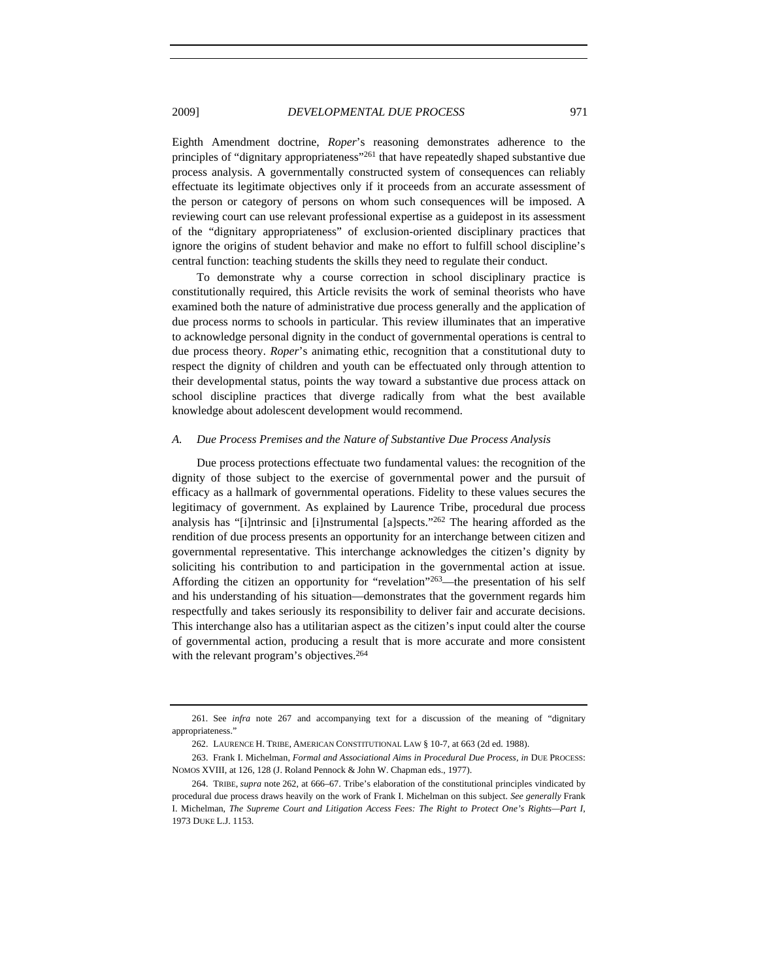Eighth Amendment doctrine, *Roper*'s reasoning demonstrates adherence to the principles of "dignitary appropriateness"<sup>261</sup> that have repeatedly shaped substantive due process analysis. A governmentally constructed system of consequences can reliably effectuate its legitimate objectives only if it proceeds from an accurate assessment of the person or category of persons on whom such consequences will be imposed. A reviewing court can use relevant professional expertise as a guidepost in its assessment of the "dignitary appropriateness" of exclusion-oriented disciplinary practices that ignore the origins of student behavior and make no effort to fulfill school discipline's central function: teaching students the skills they need to regulate their conduct.

To demonstrate why a course correction in school disciplinary practice is constitutionally required, this Article revisits the work of seminal theorists who have examined both the nature of administrative due process generally and the application of due process norms to schools in particular. This review illuminates that an imperative to acknowledge personal dignity in the conduct of governmental operations is central to due process theory. *Roper*'s animating ethic, recognition that a constitutional duty to respect the dignity of children and youth can be effectuated only through attention to their developmental status, points the way toward a substantive due process attack on school discipline practices that diverge radically from what the best available knowledge about adolescent development would recommend.

#### *A. Due Process Premises and the Nature of Substantive Due Process Analysis*

Due process protections effectuate two fundamental values: the recognition of the dignity of those subject to the exercise of governmental power and the pursuit of efficacy as a hallmark of governmental operations. Fidelity to these values secures the legitimacy of government. As explained by Laurence Tribe, procedural due process analysis has "[i]ntrinsic and [i]nstrumental [a]spects."262 The hearing afforded as the rendition of due process presents an opportunity for an interchange between citizen and governmental representative. This interchange acknowledges the citizen's dignity by soliciting his contribution to and participation in the governmental action at issue. Affording the citizen an opportunity for "revelation"<sup>263</sup>—the presentation of his self and his understanding of his situation—demonstrates that the government regards him respectfully and takes seriously its responsibility to deliver fair and accurate decisions. This interchange also has a utilitarian aspect as the citizen's input could alter the course of governmental action, producing a result that is more accurate and more consistent with the relevant program's objectives.<sup>264</sup>

<sup>261</sup>*.* See *infra* note 267 and accompanying text for a discussion of the meaning of "dignitary appropriateness."

<sup>262.</sup> LAURENCE H. TRIBE, AMERICAN CONSTITUTIONAL LAW § 10-7, at 663 (2d ed. 1988).

<sup>263.</sup> Frank I. Michelman, *Formal and Associational Aims in Procedural Due Process*, *in* DUE PROCESS: NOMOS XVIII, at 126, 128 (J. Roland Pennock & John W. Chapman eds., 1977).

<sup>264.</sup> TRIBE, *supra* note 262, at 666–67. Tribe's elaboration of the constitutional principles vindicated by procedural due process draws heavily on the work of Frank I. Michelman on this subject. *See generally* Frank I. Michelman, *The Supreme Court and Litigation Access Fees: The Right to Protect One's Rights—Part I*, 1973 DUKE L.J. 1153.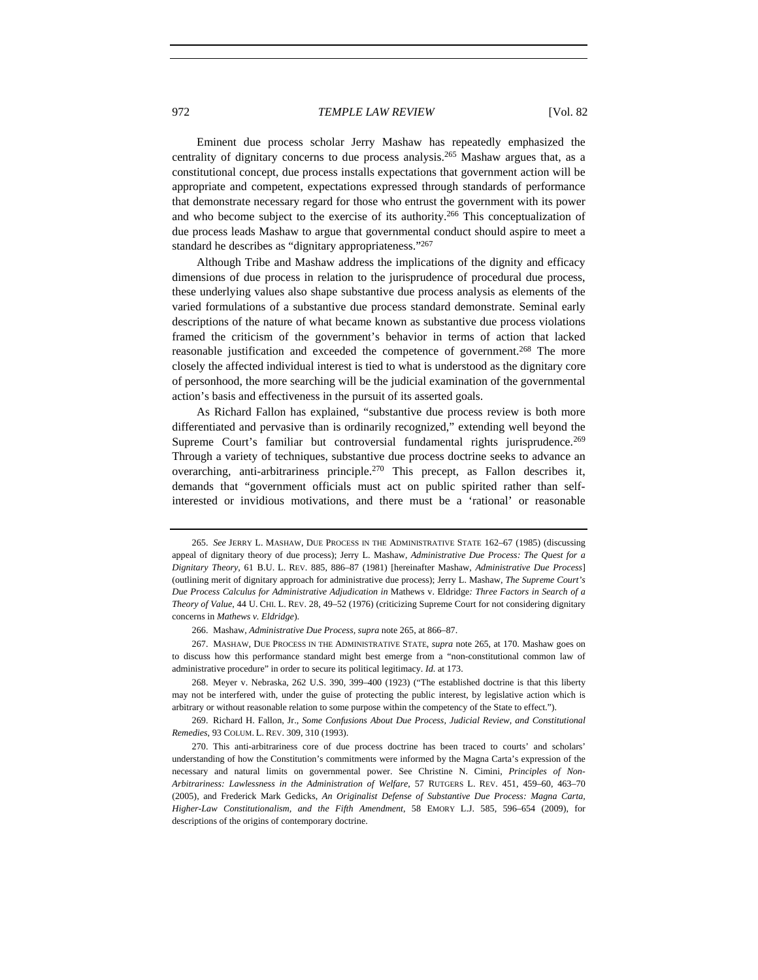Eminent due process scholar Jerry Mashaw has repeatedly emphasized the centrality of dignitary concerns to due process analysis.265 Mashaw argues that, as a constitutional concept, due process installs expectations that government action will be appropriate and competent, expectations expressed through standards of performance that demonstrate necessary regard for those who entrust the government with its power and who become subject to the exercise of its authority.<sup>266</sup> This conceptualization of due process leads Mashaw to argue that governmental conduct should aspire to meet a standard he describes as "dignitary appropriateness."267

Although Tribe and Mashaw address the implications of the dignity and efficacy dimensions of due process in relation to the jurisprudence of procedural due process, these underlying values also shape substantive due process analysis as elements of the varied formulations of a substantive due process standard demonstrate. Seminal early descriptions of the nature of what became known as substantive due process violations framed the criticism of the government's behavior in terms of action that lacked reasonable justification and exceeded the competence of government.268 The more closely the affected individual interest is tied to what is understood as the dignitary core of personhood, the more searching will be the judicial examination of the governmental action's basis and effectiveness in the pursuit of its asserted goals.

As Richard Fallon has explained, "substantive due process review is both more differentiated and pervasive than is ordinarily recognized," extending well beyond the Supreme Court's familiar but controversial fundamental rights jurisprudence.<sup>269</sup> Through a variety of techniques, substantive due process doctrine seeks to advance an overarching, anti-arbitrariness principle.270 This precept, as Fallon describes it, demands that "government officials must act on public spirited rather than selfinterested or invidious motivations, and there must be a 'rational' or reasonable

<sup>265.</sup> *See* JERRY L. MASHAW, DUE PROCESS IN THE ADMINISTRATIVE STATE 162–67 (1985) (discussing appeal of dignitary theory of due process); Jerry L. Mashaw, *Administrative Due Process: The Quest for a Dignitary Theory*, 61 B.U. L. REV. 885, 886–87 (1981) [hereinafter Mashaw, *Administrative Due Process*] (outlining merit of dignitary approach for administrative due process); Jerry L. Mashaw, *The Supreme Court's Due Process Calculus for Administrative Adjudication in* Mathews v. Eldridge*: Three Factors in Search of a Theory of Value*, 44 U. CHI. L. REV. 28, 49–52 (1976) (criticizing Supreme Court for not considering dignitary concerns in *Mathews v. Eldridge*).

<sup>266.</sup> Mashaw, *Administrative Due Process, supra* note 265, at 866–87.

<sup>267.</sup> MASHAW, DUE PROCESS IN THE ADMINISTRATIVE STATE, *supra* note 265, at 170. Mashaw goes on to discuss how this performance standard might best emerge from a "non-constitutional common law of administrative procedure" in order to secure its political legitimacy. *Id.* at 173.

<sup>268.</sup> Meyer v. Nebraska, 262 U.S. 390, 399–400 (1923) ("The established doctrine is that this liberty may not be interfered with, under the guise of protecting the public interest, by legislative action which is arbitrary or without reasonable relation to some purpose within the competency of the State to effect.").

<sup>269.</sup> Richard H. Fallon, Jr., *Some Confusions About Due Process, Judicial Review, and Constitutional Remedies*, 93 COLUM. L. REV. 309, 310 (1993).

<sup>270.</sup> This anti-arbitrariness core of due process doctrine has been traced to courts' and scholars' understanding of how the Constitution's commitments were informed by the Magna Carta's expression of the necessary and natural limits on governmental power. See Christine N. Cimini, *Principles of Non-Arbitrariness: Lawlessness in the Administration of Welfare*, 57 RUTGERS L. REV. 451, 459–60, 463–70 (2005), and Frederick Mark Gedicks, *An Originalist Defense of Substantive Due Process: Magna Carta, Higher-Law Constitutionalism, and the Fifth Amendment*, 58 EMORY L.J. 585, 596–654 (2009), for descriptions of the origins of contemporary doctrine.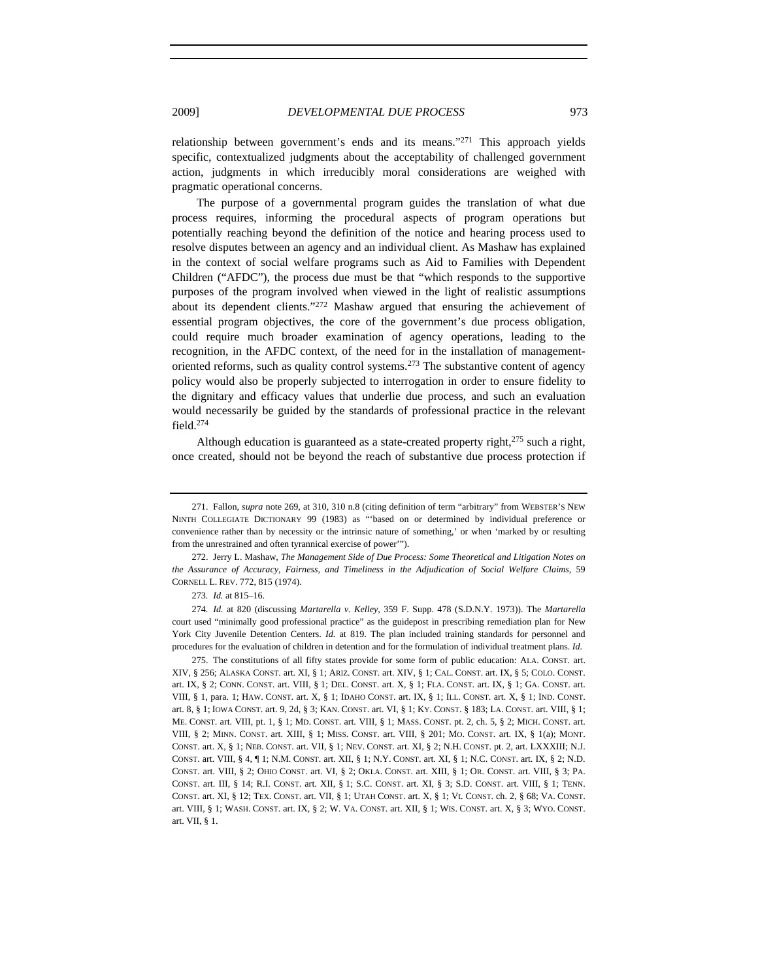relationship between government's ends and its means."271 This approach yields specific, contextualized judgments about the acceptability of challenged government action, judgments in which irreducibly moral considerations are weighed with pragmatic operational concerns.

The purpose of a governmental program guides the translation of what due process requires, informing the procedural aspects of program operations but potentially reaching beyond the definition of the notice and hearing process used to resolve disputes between an agency and an individual client. As Mashaw has explained in the context of social welfare programs such as Aid to Families with Dependent Children ("AFDC"), the process due must be that "which responds to the supportive purposes of the program involved when viewed in the light of realistic assumptions about its dependent clients."272 Mashaw argued that ensuring the achievement of essential program objectives, the core of the government's due process obligation, could require much broader examination of agency operations, leading to the recognition, in the AFDC context, of the need for in the installation of managementoriented reforms, such as quality control systems.<sup>273</sup> The substantive content of agency policy would also be properly subjected to interrogation in order to ensure fidelity to the dignitary and efficacy values that underlie due process, and such an evaluation would necessarily be guided by the standards of professional practice in the relevant field.274

Although education is guaranteed as a state-created property right,<sup>275</sup> such a right, once created, should not be beyond the reach of substantive due process protection if

274*. Id.* at 820 (discussing *Martarella v. Kelley*, 359 F. Supp. 478 (S.D.N.Y. 1973)). The *Martarella* court used "minimally good professional practice" as the guidepost in prescribing remediation plan for New York City Juvenile Detention Centers. *Id.* at 819. The plan included training standards for personnel and procedures for the evaluation of children in detention and for the formulation of individual treatment plans. *Id.*

275. The constitutions of all fifty states provide for some form of public education: ALA. CONST. art. XIV, § 256; ALASKA CONST. art. XI, § 1; ARIZ. CONST. art. XIV, § 1; CAL. CONST. art. IX, § 5; COLO. CONST. art. IX, § 2; CONN. CONST. art. VIII, § 1; DEL. CONST. art. X, § 1; FLA. CONST. art. IX, § 1; GA. CONST. art. VIII, § 1, para. 1; HAW. CONST. art. X, § 1; IDAHO CONST. art. IX, § 1; ILL. CONST. art. X, § 1; IND. CONST. art. 8, § 1; IOWA CONST. art. 9, 2d, § 3; KAN. CONST. art. VI, § 1; KY. CONST. § 183; LA. CONST. art. VIII, § 1; ME. CONST. art. VIII, pt. 1, § 1; MD. CONST. art. VIII, § 1; MASS. CONST. pt. 2, ch. 5, § 2; MICH. CONST. art. VIII, § 2; MINN. CONST. art. XIII, § 1; MISS. CONST. art. VIII, § 201; MO. CONST. art. IX, § 1(a); MONT. CONST. art. X, § 1; NEB. CONST. art. VII, § 1; NEV. CONST. art. XI, § 2; N.H. CONST. pt. 2, art. LXXXIII; N.J. CONST. art. VIII, § 4, ¶ 1; N.M. CONST. art. XII, § 1; N.Y. CONST. art. XI, § 1; N.C. CONST. art. IX, § 2; N.D. CONST. art. VIII, § 2; OHIO CONST. art. VI, § 2; OKLA. CONST. art. XIII, § 1; OR. CONST. art. VIII, § 3; PA. CONST. art. III, § 14; R.I. CONST. art. XII, § 1; S.C. CONST. art. XI, § 3; S.D. CONST. art. VIII, § 1; TENN. CONST. art. XI, § 12; TEX. CONST. art. VII, § 1; UTAH CONST. art. X, § 1; Vt. CONST. ch. 2, § 68; VA. CONST. art. VIII, § 1; WASH. CONST. art. IX, § 2; W. VA. CONST. art. XII, § 1; WIS. CONST. art. X, § 3; WYO. CONST. art. VII, § 1.

<sup>271.</sup> Fallon, *supra* note 269, at 310, 310 n.8 (citing definition of term "arbitrary" from WEBSTER'S NEW NINTH COLLEGIATE DICTIONARY 99 (1983) as "'based on or determined by individual preference or convenience rather than by necessity or the intrinsic nature of something,' or when 'marked by or resulting from the unrestrained and often tyrannical exercise of power'").

<sup>272.</sup> Jerry L. Mashaw, *The Management Side of Due Process: Some Theoretical and Litigation Notes on the Assurance of Accuracy, Fairness, and Timeliness in the Adjudication of Social Welfare Claims*, 59 CORNELL L. REV. 772, 815 (1974).

<sup>273</sup>*. Id.* at 815–16.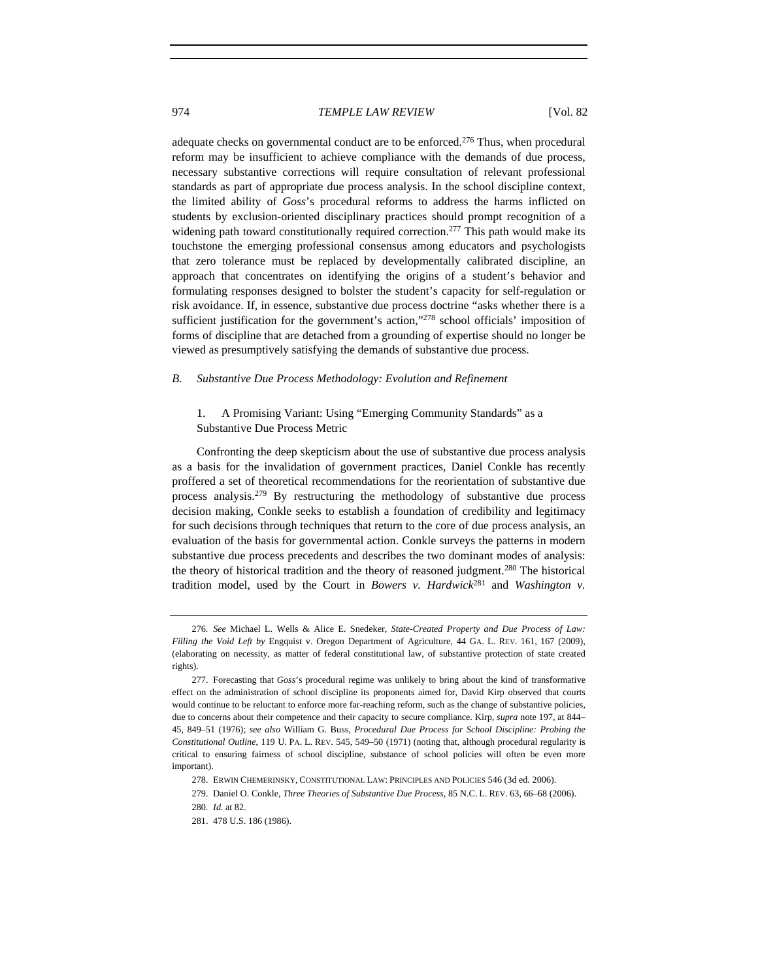adequate checks on governmental conduct are to be enforced.<sup>276</sup> Thus, when procedural reform may be insufficient to achieve compliance with the demands of due process, necessary substantive corrections will require consultation of relevant professional standards as part of appropriate due process analysis. In the school discipline context, the limited ability of *Goss*'s procedural reforms to address the harms inflicted on students by exclusion-oriented disciplinary practices should prompt recognition of a widening path toward constitutionally required correction.<sup>277</sup> This path would make its touchstone the emerging professional consensus among educators and psychologists that zero tolerance must be replaced by developmentally calibrated discipline, an approach that concentrates on identifying the origins of a student's behavior and formulating responses designed to bolster the student's capacity for self-regulation or risk avoidance. If, in essence, substantive due process doctrine "asks whether there is a sufficient justification for the government's action,"278 school officials' imposition of forms of discipline that are detached from a grounding of expertise should no longer be viewed as presumptively satisfying the demands of substantive due process.

#### *B. Substantive Due Process Methodology: Evolution and Refinement*

1. A Promising Variant: Using "Emerging Community Standards" as a Substantive Due Process Metric

Confronting the deep skepticism about the use of substantive due process analysis as a basis for the invalidation of government practices, Daniel Conkle has recently proffered a set of theoretical recommendations for the reorientation of substantive due process analysis.279 By restructuring the methodology of substantive due process decision making, Conkle seeks to establish a foundation of credibility and legitimacy for such decisions through techniques that return to the core of due process analysis, an evaluation of the basis for governmental action. Conkle surveys the patterns in modern substantive due process precedents and describes the two dominant modes of analysis: the theory of historical tradition and the theory of reasoned judgment.<sup>280</sup> The historical tradition model, used by the Court in *Bowers v. Hardwick*281 and *Washington v.* 

<sup>276</sup>*. See* Michael L. Wells & Alice E. Snedeker, *State-Created Property and Due Process of Law: Filling the Void Left by* Engquist v. Oregon Department of Agriculture, 44 GA. L. REV. 161, 167 (2009), (elaborating on necessity, as matter of federal constitutional law, of substantive protection of state created rights).

<sup>277.</sup> Forecasting that *Goss*'s procedural regime was unlikely to bring about the kind of transformative effect on the administration of school discipline its proponents aimed for, David Kirp observed that courts would continue to be reluctant to enforce more far-reaching reform, such as the change of substantive policies, due to concerns about their competence and their capacity to secure compliance. Kirp, *supra* note 197, at 844– 45, 849–51 (1976); *see also* William G. Buss, *Procedural Due Process for School Discipline: Probing the Constitutional Outline*, 119 U. PA. L. REV. 545, 549–50 (1971) (noting that, although procedural regularity is critical to ensuring fairness of school discipline, substance of school policies will often be even more important).

<sup>278.</sup> ERWIN CHEMERINSKY, CONSTITUTIONAL LAW: PRINCIPLES AND POLICIES 546 (3d ed. 2006).

<sup>279.</sup> Daniel O. Conkle, *Three Theories of Substantive Due Process*, 85 N.C. L. REV. 63, 66–68 (2006). 280*. Id.* at 82.

<sup>281. 478</sup> U.S. 186 (1986).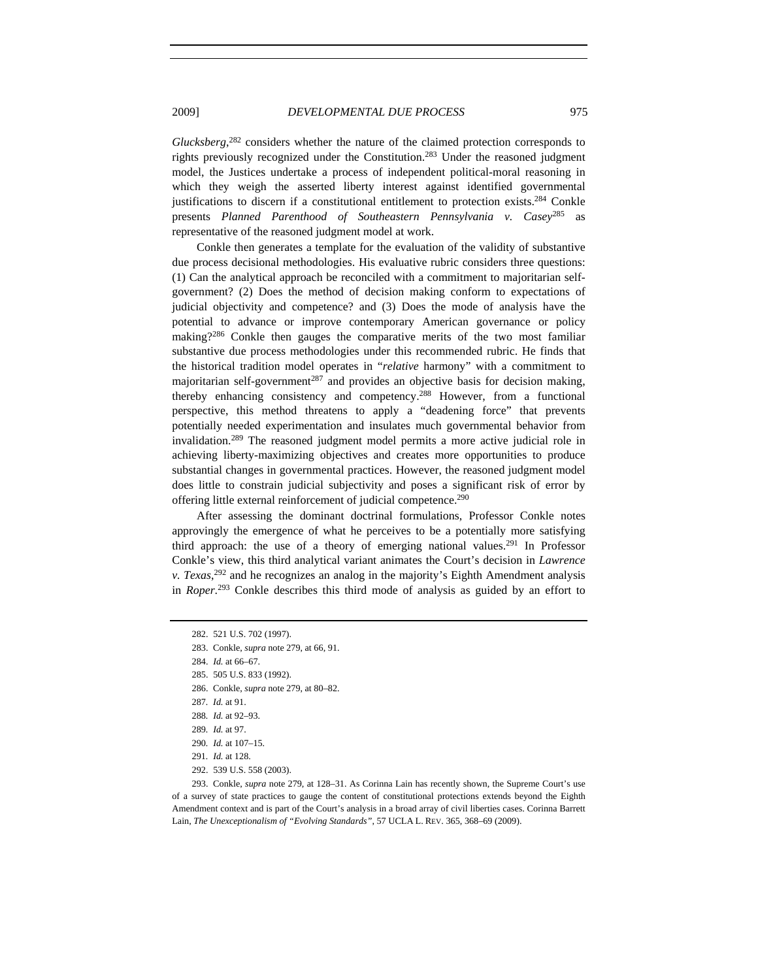2009] *DEVELOPMENTAL DUE PROCESS* 975

*Glucksberg*, 282 considers whether the nature of the claimed protection corresponds to rights previously recognized under the Constitution.283 Under the reasoned judgment model, the Justices undertake a process of independent political-moral reasoning in which they weigh the asserted liberty interest against identified governmental justifications to discern if a constitutional entitlement to protection exists.284 Conkle presents *Planned Parenthood of Southeastern Pennsylvania v. Casey*285 as representative of the reasoned judgment model at work.

Conkle then generates a template for the evaluation of the validity of substantive due process decisional methodologies. His evaluative rubric considers three questions: (1) Can the analytical approach be reconciled with a commitment to majoritarian selfgovernment? (2) Does the method of decision making conform to expectations of judicial objectivity and competence? and (3) Does the mode of analysis have the potential to advance or improve contemporary American governance or policy making?286 Conkle then gauges the comparative merits of the two most familiar substantive due process methodologies under this recommended rubric. He finds that the historical tradition model operates in "*relative* harmony" with a commitment to majoritarian self-government<sup>287</sup> and provides an objective basis for decision making, thereby enhancing consistency and competency.288 However, from a functional perspective, this method threatens to apply a "deadening force" that prevents potentially needed experimentation and insulates much governmental behavior from invalidation.289 The reasoned judgment model permits a more active judicial role in achieving liberty-maximizing objectives and creates more opportunities to produce substantial changes in governmental practices. However, the reasoned judgment model does little to constrain judicial subjectivity and poses a significant risk of error by offering little external reinforcement of judicial competence.290

After assessing the dominant doctrinal formulations, Professor Conkle notes approvingly the emergence of what he perceives to be a potentially more satisfying third approach: the use of a theory of emerging national values.<sup>291</sup> In Professor Conkle's view, this third analytical variant animates the Court's decision in *Lawrence v. Texas*, 292 and he recognizes an analog in the majority's Eighth Amendment analysis in *Roper*. 293 Conkle describes this third mode of analysis as guided by an effort to

293. Conkle, *supra* note 279, at 128–31. As Corinna Lain has recently shown, the Supreme Court's use of a survey of state practices to gauge the content of constitutional protections extends beyond the Eighth Amendment context and is part of the Court's analysis in a broad array of civil liberties cases. Corinna Barrett Lain, *The Unexceptionalism of "Evolving Standards"*, 57 UCLA L. REV. 365, 368–69 (2009).

<sup>282. 521</sup> U.S. 702 (1997).

<sup>283.</sup> Conkle, *supra* note 279, at 66, 91.

<sup>284.</sup> *Id.* at 66–67.

<sup>285. 505</sup> U.S. 833 (1992).

<sup>286.</sup> Conkle, *supra* note 279, at 80–82.

<sup>287</sup>*. Id.* at 91.

<sup>288</sup>*. Id.* at 92–93.

<sup>289</sup>*. Id.* at 97.

<sup>290</sup>*. Id.* at 107–15.

<sup>291</sup>*. Id.* at 128.

<sup>292. 539</sup> U.S. 558 (2003).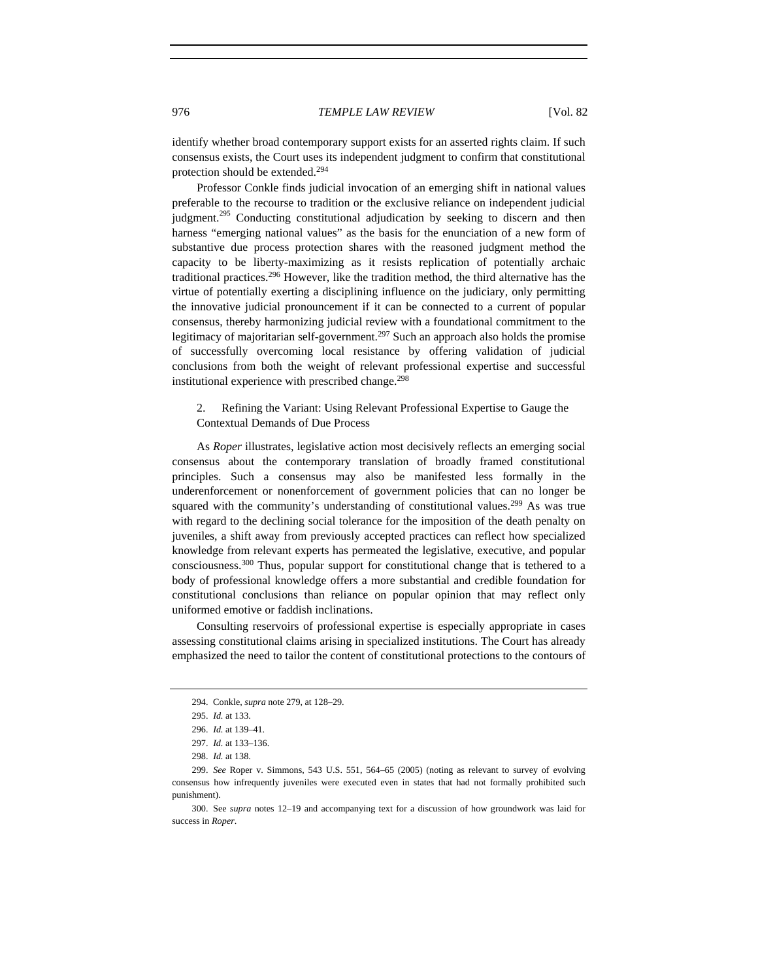identify whether broad contemporary support exists for an asserted rights claim. If such consensus exists, the Court uses its independent judgment to confirm that constitutional protection should be extended.<sup>294</sup>

Professor Conkle finds judicial invocation of an emerging shift in national values preferable to the recourse to tradition or the exclusive reliance on independent judicial judgment.<sup>295</sup> Conducting constitutional adjudication by seeking to discern and then harness "emerging national values" as the basis for the enunciation of a new form of substantive due process protection shares with the reasoned judgment method the capacity to be liberty-maximizing as it resists replication of potentially archaic traditional practices.296 However, like the tradition method, the third alternative has the virtue of potentially exerting a disciplining influence on the judiciary, only permitting the innovative judicial pronouncement if it can be connected to a current of popular consensus, thereby harmonizing judicial review with a foundational commitment to the legitimacy of majoritarian self-government.<sup>297</sup> Such an approach also holds the promise of successfully overcoming local resistance by offering validation of judicial conclusions from both the weight of relevant professional expertise and successful institutional experience with prescribed change.<sup>298</sup>

2. Refining the Variant: Using Relevant Professional Expertise to Gauge the Contextual Demands of Due Process

As *Roper* illustrates, legislative action most decisively reflects an emerging social consensus about the contemporary translation of broadly framed constitutional principles. Such a consensus may also be manifested less formally in the underenforcement or nonenforcement of government policies that can no longer be squared with the community's understanding of constitutional values.<sup>299</sup> As was true with regard to the declining social tolerance for the imposition of the death penalty on juveniles, a shift away from previously accepted practices can reflect how specialized knowledge from relevant experts has permeated the legislative, executive, and popular consciousness.300 Thus, popular support for constitutional change that is tethered to a body of professional knowledge offers a more substantial and credible foundation for constitutional conclusions than reliance on popular opinion that may reflect only uniformed emotive or faddish inclinations.

Consulting reservoirs of professional expertise is especially appropriate in cases assessing constitutional claims arising in specialized institutions. The Court has already emphasized the need to tailor the content of constitutional protections to the contours of

<sup>294.</sup> Conkle, *supra* note 279, at 128–29.

<sup>295.</sup> *Id.* at 133.

<sup>296.</sup> *Id.* at 139–41.

<sup>297.</sup> *Id.* at 133–136.

<sup>298.</sup> *Id.* at 138.

<sup>299.</sup> *See* Roper v. Simmons, 543 U.S. 551, 564–65 (2005) (noting as relevant to survey of evolving consensus how infrequently juveniles were executed even in states that had not formally prohibited such punishment).

<sup>300.</sup> See *supra* notes 12–19 and accompanying text for a discussion of how groundwork was laid for success in *Roper*.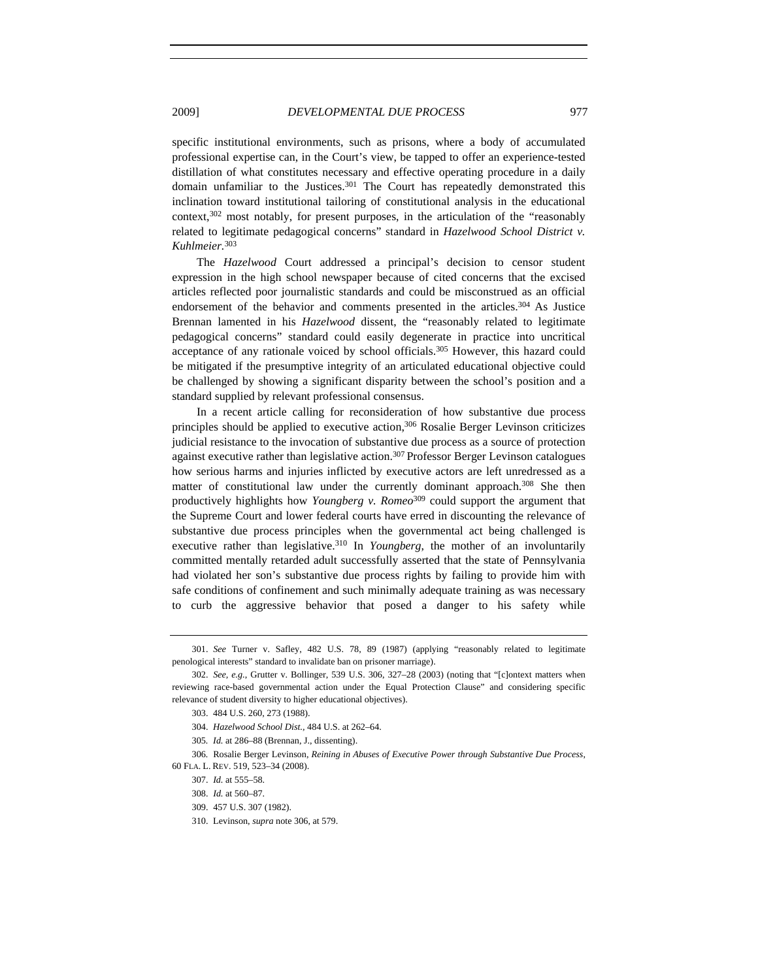specific institutional environments, such as prisons, where a body of accumulated professional expertise can, in the Court's view, be tapped to offer an experience-tested distillation of what constitutes necessary and effective operating procedure in a daily domain unfamiliar to the Justices.<sup>301</sup> The Court has repeatedly demonstrated this inclination toward institutional tailoring of constitutional analysis in the educational context,<sup>302</sup> most notably, for present purposes, in the articulation of the "reasonably related to legitimate pedagogical concerns" standard in *Hazelwood School District v. Kuhlmeier.*<sup>303</sup>

The *Hazelwood* Court addressed a principal's decision to censor student expression in the high school newspaper because of cited concerns that the excised articles reflected poor journalistic standards and could be misconstrued as an official endorsement of the behavior and comments presented in the articles.<sup>304</sup> As Justice Brennan lamented in his *Hazelwood* dissent, the "reasonably related to legitimate pedagogical concerns" standard could easily degenerate in practice into uncritical acceptance of any rationale voiced by school officials.<sup>305</sup> However, this hazard could be mitigated if the presumptive integrity of an articulated educational objective could be challenged by showing a significant disparity between the school's position and a standard supplied by relevant professional consensus.

In a recent article calling for reconsideration of how substantive due process principles should be applied to executive action,<sup>306</sup> Rosalie Berger Levinson criticizes judicial resistance to the invocation of substantive due process as a source of protection against executive rather than legislative action.<sup>307</sup> Professor Berger Levinson catalogues how serious harms and injuries inflicted by executive actors are left unredressed as a matter of constitutional law under the currently dominant approach.<sup>308</sup> She then productively highlights how *Youngberg v. Romeo*<sup>309</sup> could support the argument that the Supreme Court and lower federal courts have erred in discounting the relevance of substantive due process principles when the governmental act being challenged is executive rather than legislative.<sup>310</sup> In *Youngberg*, the mother of an involuntarily committed mentally retarded adult successfully asserted that the state of Pennsylvania had violated her son's substantive due process rights by failing to provide him with safe conditions of confinement and such minimally adequate training as was necessary to curb the aggressive behavior that posed a danger to his safety while

<sup>301.</sup> *See* Turner v. Safley, 482 U.S. 78, 89 (1987) (applying "reasonably related to legitimate penological interests" standard to invalidate ban on prisoner marriage).

<sup>302.</sup> *See, e.g.*, Grutter v. Bollinger, 539 U.S. 306, 327–28 (2003) (noting that "[c]ontext matters when reviewing race-based governmental action under the Equal Protection Clause" and considering specific relevance of student diversity to higher educational objectives).

<sup>303. 484</sup> U.S. 260, 273 (1988).

<sup>304.</sup> *Hazelwood School Dist.,* 484 U.S. at 262–64.

<sup>305</sup>*. Id.* at 286–88 (Brennan, J., dissenting).

<sup>306</sup>*.* Rosalie Berger Levinson, *Reining in Abuses of Executive Power through Substantive Due Process*, 60 FLA. L. REV. 519, 523–34 (2008).

<sup>307.</sup> *Id.* at 555–58.

<sup>308.</sup> *Id.* at 560–87.

<sup>309. 457</sup> U.S. 307 (1982).

<sup>310.</sup> Levinson, *supra* note 306, at 579.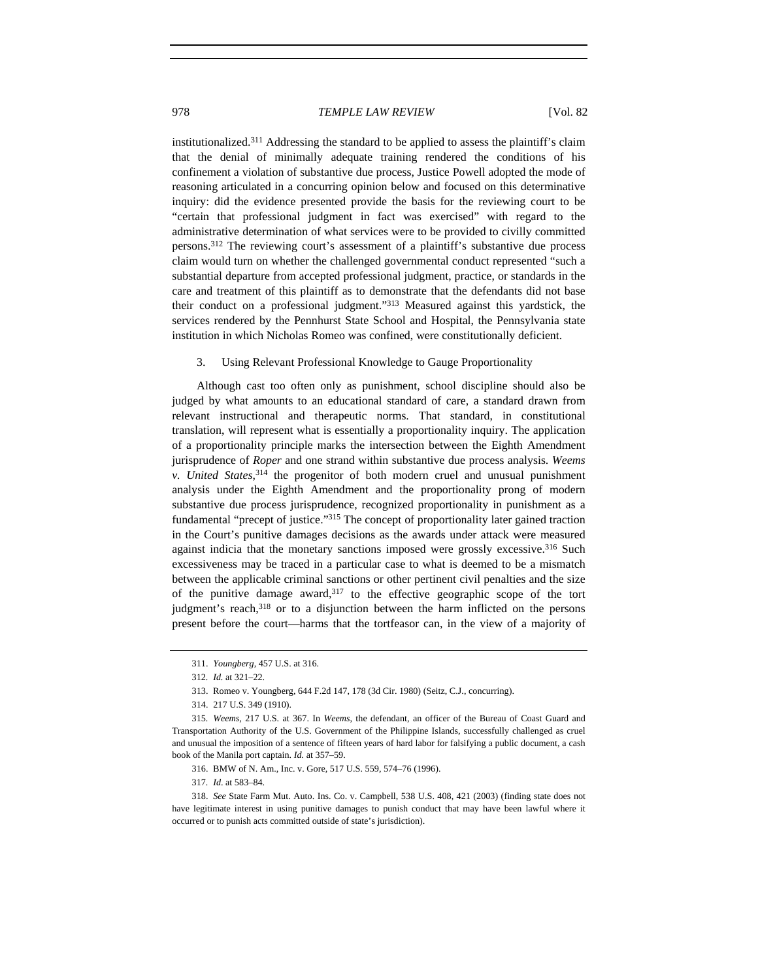institutionalized.311 Addressing the standard to be applied to assess the plaintiff's claim that the denial of minimally adequate training rendered the conditions of his confinement a violation of substantive due process, Justice Powell adopted the mode of reasoning articulated in a concurring opinion below and focused on this determinative inquiry: did the evidence presented provide the basis for the reviewing court to be "certain that professional judgment in fact was exercised" with regard to the administrative determination of what services were to be provided to civilly committed persons.312 The reviewing court's assessment of a plaintiff's substantive due process claim would turn on whether the challenged governmental conduct represented "such a substantial departure from accepted professional judgment, practice, or standards in the care and treatment of this plaintiff as to demonstrate that the defendants did not base their conduct on a professional judgment."313 Measured against this yardstick, the services rendered by the Pennhurst State School and Hospital, the Pennsylvania state institution in which Nicholas Romeo was confined, were constitutionally deficient.

#### 3. Using Relevant Professional Knowledge to Gauge Proportionality

Although cast too often only as punishment, school discipline should also be judged by what amounts to an educational standard of care, a standard drawn from relevant instructional and therapeutic norms. That standard, in constitutional translation, will represent what is essentially a proportionality inquiry. The application of a proportionality principle marks the intersection between the Eighth Amendment jurisprudence of *Roper* and one strand within substantive due process analysis. *Weems v. United States*, 314 the progenitor of both modern cruel and unusual punishment analysis under the Eighth Amendment and the proportionality prong of modern substantive due process jurisprudence, recognized proportionality in punishment as a fundamental "precept of justice."315 The concept of proportionality later gained traction in the Court's punitive damages decisions as the awards under attack were measured against indicia that the monetary sanctions imposed were grossly excessive.<sup>316</sup> Such excessiveness may be traced in a particular case to what is deemed to be a mismatch between the applicable criminal sanctions or other pertinent civil penalties and the size of the punitive damage award,  $317$  to the effective geographic scope of the tort judgment's reach,<sup>318</sup> or to a disjunction between the harm inflicted on the persons present before the court—harms that the tortfeasor can, in the view of a majority of

<sup>311.</sup> *Youngberg*, 457 U.S. at 316.

<sup>312</sup>*. Id.* at 321–22.

<sup>313.</sup> Romeo v. Youngberg, 644 F.2d 147, 178 (3d Cir. 1980) (Seitz, C.J., concurring).

<sup>314. 217</sup> U.S. 349 (1910).

<sup>315</sup>*. Weems*, 217 U.S. at 367. In *Weems*, the defendant, an officer of the Bureau of Coast Guard and Transportation Authority of the U.S. Government of the Philippine Islands, successfully challenged as cruel and unusual the imposition of a sentence of fifteen years of hard labor for falsifying a public document, a cash book of the Manila port captain. *Id.* at 357–59.

<sup>316.</sup> BMW of N. Am., Inc. v. Gore, 517 U.S. 559, 574–76 (1996).

<sup>317</sup>*. Id*. at 583–84.

<sup>318.</sup> *See* State Farm Mut. Auto. Ins. Co. v. Campbell, 538 U.S. 408, 421 (2003) (finding state does not have legitimate interest in using punitive damages to punish conduct that may have been lawful where it occurred or to punish acts committed outside of state's jurisdiction).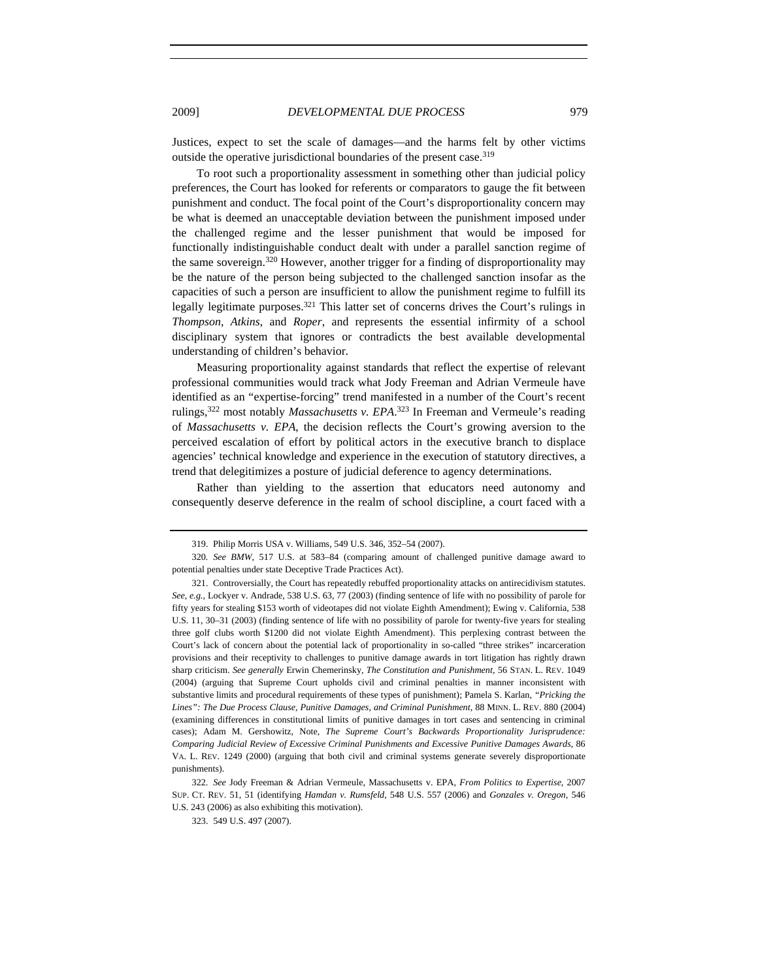Justices, expect to set the scale of damages—and the harms felt by other victims outside the operative jurisdictional boundaries of the present case.<sup>319</sup>

To root such a proportionality assessment in something other than judicial policy preferences, the Court has looked for referents or comparators to gauge the fit between punishment and conduct. The focal point of the Court's disproportionality concern may be what is deemed an unacceptable deviation between the punishment imposed under the challenged regime and the lesser punishment that would be imposed for functionally indistinguishable conduct dealt with under a parallel sanction regime of the same sovereign.<sup>320</sup> However, another trigger for a finding of disproportionality may be the nature of the person being subjected to the challenged sanction insofar as the capacities of such a person are insufficient to allow the punishment regime to fulfill its legally legitimate purposes.<sup>321</sup> This latter set of concerns drives the Court's rulings in *Thompson*, *Atkins*, and *Roper*, and represents the essential infirmity of a school disciplinary system that ignores or contradicts the best available developmental understanding of children's behavior.

Measuring proportionality against standards that reflect the expertise of relevant professional communities would track what Jody Freeman and Adrian Vermeule have identified as an "expertise-forcing" trend manifested in a number of the Court's recent rulings,322 most notably *Massachusetts v. EPA*. 323 In Freeman and Vermeule's reading of *Massachusetts v. EPA*, the decision reflects the Court's growing aversion to the perceived escalation of effort by political actors in the executive branch to displace agencies' technical knowledge and experience in the execution of statutory directives, a trend that delegitimizes a posture of judicial deference to agency determinations.

Rather than yielding to the assertion that educators need autonomy and consequently deserve deference in the realm of school discipline, a court faced with a

<sup>319.</sup> Philip Morris USA v. Williams, 549 U.S. 346, 352–54 (2007).

<sup>320</sup>*. See BMW*, 517 U.S. at 583–84 (comparing amount of challenged punitive damage award to potential penalties under state Deceptive Trade Practices Act).

<sup>321.</sup> Controversially, the Court has repeatedly rebuffed proportionality attacks on antirecidivism statutes. *See, e.g.*, Lockyer v. Andrade, 538 U.S. 63, 77 (2003) (finding sentence of life with no possibility of parole for fifty years for stealing \$153 worth of videotapes did not violate Eighth Amendment); Ewing v. California, 538 U.S. 11, 30–31 (2003) (finding sentence of life with no possibility of parole for twenty-five years for stealing three golf clubs worth \$1200 did not violate Eighth Amendment). This perplexing contrast between the Court's lack of concern about the potential lack of proportionality in so-called "three strikes" incarceration provisions and their receptivity to challenges to punitive damage awards in tort litigation has rightly drawn sharp criticism. *See generally* Erwin Chemerinsky, *The Constitution and Punishment*, 56 STAN. L. REV. 1049 (2004) (arguing that Supreme Court upholds civil and criminal penalties in manner inconsistent with substantive limits and procedural requirements of these types of punishment); Pamela S. Karlan, *"Pricking the Lines": The Due Process Clause, Punitive Damages, and Criminal Punishment*, 88 MINN. L. REV. 880 (2004) (examining differences in constitutional limits of punitive damages in tort cases and sentencing in criminal cases); Adam M. Gershowitz, Note, *The Supreme Court's Backwards Proportionality Jurisprudence: Comparing Judicial Review of Excessive Criminal Punishments and Excessive Punitive Damages Awards*, 86 VA. L. REV. 1249 (2000) (arguing that both civil and criminal systems generate severely disproportionate punishments).

<sup>322</sup>*. See* Jody Freeman & Adrian Vermeule, Massachusetts v. EPA, *From Politics to Expertise*, 2007 SUP. CT. REV. 51, 51 (identifying *Hamdan v. Rumsfeld*, 548 U.S. 557 (2006) and *Gonzales v. Oregon*, 546 U.S. 243 (2006) as also exhibiting this motivation).

<sup>323. 549</sup> U.S. 497 (2007).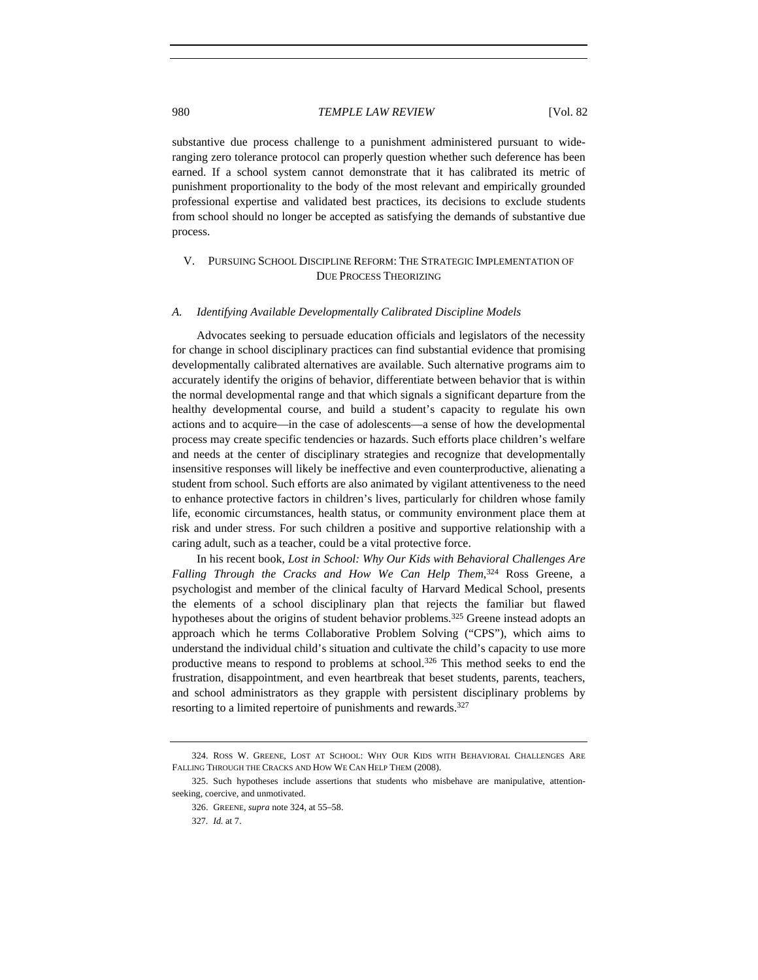substantive due process challenge to a punishment administered pursuant to wideranging zero tolerance protocol can properly question whether such deference has been earned. If a school system cannot demonstrate that it has calibrated its metric of punishment proportionality to the body of the most relevant and empirically grounded professional expertise and validated best practices, its decisions to exclude students from school should no longer be accepted as satisfying the demands of substantive due process.

# V. PURSUING SCHOOL DISCIPLINE REFORM: THE STRATEGIC IMPLEMENTATION OF DUE PROCESS THEORIZING

#### *A. Identifying Available Developmentally Calibrated Discipline Models*

Advocates seeking to persuade education officials and legislators of the necessity for change in school disciplinary practices can find substantial evidence that promising developmentally calibrated alternatives are available. Such alternative programs aim to accurately identify the origins of behavior, differentiate between behavior that is within the normal developmental range and that which signals a significant departure from the healthy developmental course, and build a student's capacity to regulate his own actions and to acquire—in the case of adolescents—a sense of how the developmental process may create specific tendencies or hazards. Such efforts place children's welfare and needs at the center of disciplinary strategies and recognize that developmentally insensitive responses will likely be ineffective and even counterproductive, alienating a student from school. Such efforts are also animated by vigilant attentiveness to the need to enhance protective factors in children's lives, particularly for children whose family life, economic circumstances, health status, or community environment place them at risk and under stress. For such children a positive and supportive relationship with a caring adult, such as a teacher, could be a vital protective force.

In his recent book, *Lost in School: Why Our Kids with Behavioral Challenges Are*  Falling Through the Cracks and How We Can Help Them,<sup>324</sup> Ross Greene, a psychologist and member of the clinical faculty of Harvard Medical School, presents the elements of a school disciplinary plan that rejects the familiar but flawed hypotheses about the origins of student behavior problems.<sup>325</sup> Greene instead adopts an approach which he terms Collaborative Problem Solving ("CPS"), which aims to understand the individual child's situation and cultivate the child's capacity to use more productive means to respond to problems at school.326 This method seeks to end the frustration, disappointment, and even heartbreak that beset students, parents, teachers, and school administrators as they grapple with persistent disciplinary problems by resorting to a limited repertoire of punishments and rewards.<sup>327</sup>

<sup>324.</sup> ROSS W. GREENE, LOST AT SCHOOL: WHY OUR KIDS WITH BEHAVIORAL CHALLENGES ARE FALLING THROUGH THE CRACKS AND HOW WE CAN HELP THEM (2008).

<sup>325.</sup> Such hypotheses include assertions that students who misbehave are manipulative, attentionseeking, coercive, and unmotivated.

<sup>326.</sup> GREENE, *supra* note 324, at 55–58.

<sup>327</sup>*. Id.* at 7.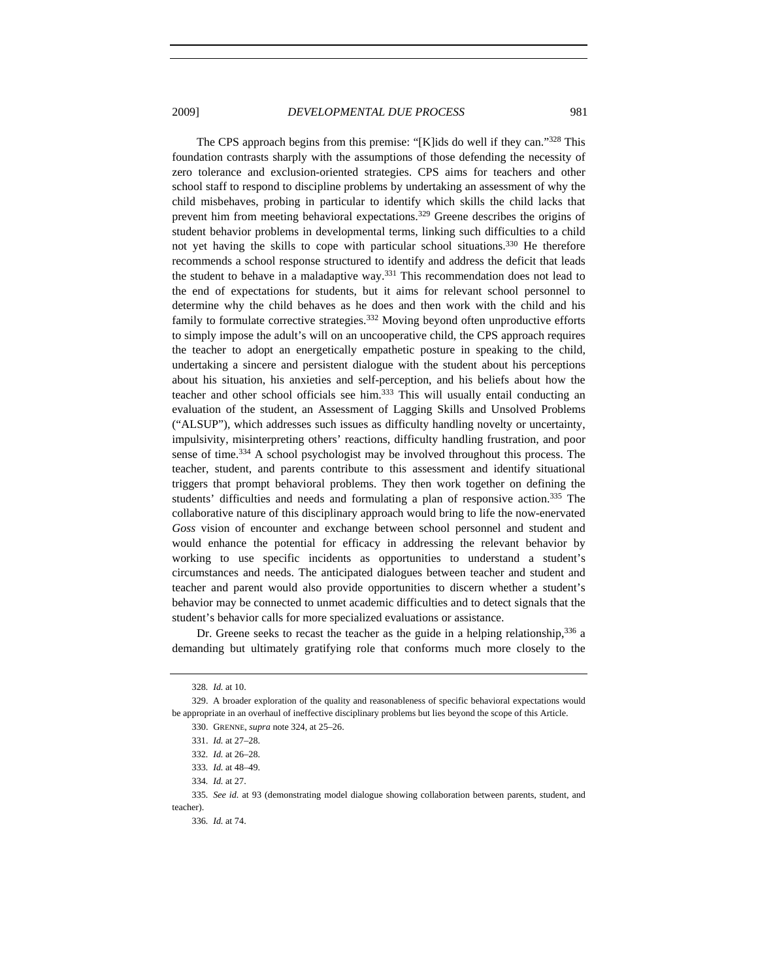The CPS approach begins from this premise: "[K]ids do well if they can."<sup>328</sup> This foundation contrasts sharply with the assumptions of those defending the necessity of zero tolerance and exclusion-oriented strategies. CPS aims for teachers and other school staff to respond to discipline problems by undertaking an assessment of why the child misbehaves, probing in particular to identify which skills the child lacks that prevent him from meeting behavioral expectations.329 Greene describes the origins of student behavior problems in developmental terms, linking such difficulties to a child not yet having the skills to cope with particular school situations.330 He therefore recommends a school response structured to identify and address the deficit that leads the student to behave in a maladaptive way.331 This recommendation does not lead to the end of expectations for students, but it aims for relevant school personnel to determine why the child behaves as he does and then work with the child and his family to formulate corrective strategies.<sup>332</sup> Moving beyond often unproductive efforts to simply impose the adult's will on an uncooperative child, the CPS approach requires the teacher to adopt an energetically empathetic posture in speaking to the child, undertaking a sincere and persistent dialogue with the student about his perceptions about his situation, his anxieties and self-perception, and his beliefs about how the teacher and other school officials see him.333 This will usually entail conducting an evaluation of the student, an Assessment of Lagging Skills and Unsolved Problems ("ALSUP"), which addresses such issues as difficulty handling novelty or uncertainty, impulsivity, misinterpreting others' reactions, difficulty handling frustration, and poor sense of time.334 A school psychologist may be involved throughout this process. The teacher, student, and parents contribute to this assessment and identify situational triggers that prompt behavioral problems. They then work together on defining the students' difficulties and needs and formulating a plan of responsive action.335 The collaborative nature of this disciplinary approach would bring to life the now-enervated *Goss* vision of encounter and exchange between school personnel and student and would enhance the potential for efficacy in addressing the relevant behavior by working to use specific incidents as opportunities to understand a student's circumstances and needs. The anticipated dialogues between teacher and student and teacher and parent would also provide opportunities to discern whether a student's behavior may be connected to unmet academic difficulties and to detect signals that the student's behavior calls for more specialized evaluations or assistance.

Dr. Greene seeks to recast the teacher as the guide in a helping relationship,  $336$  a demanding but ultimately gratifying role that conforms much more closely to the

<sup>328</sup>*. Id.* at 10.

<sup>329.</sup> A broader exploration of the quality and reasonableness of specific behavioral expectations would be appropriate in an overhaul of ineffective disciplinary problems but lies beyond the scope of this Article.

<sup>330.</sup> GRENNE, *supra* note 324, at 25–26.

<sup>331.</sup> *Id.* at 27–28.

<sup>332</sup>*. Id.* at 26–28.

<sup>333</sup>*. Id.* at 48–49.

<sup>334</sup>*. Id.* at 27.

<sup>335</sup>*. See id.* at 93 (demonstrating model dialogue showing collaboration between parents, student, and teacher).

<sup>336</sup>*. Id.* at 74.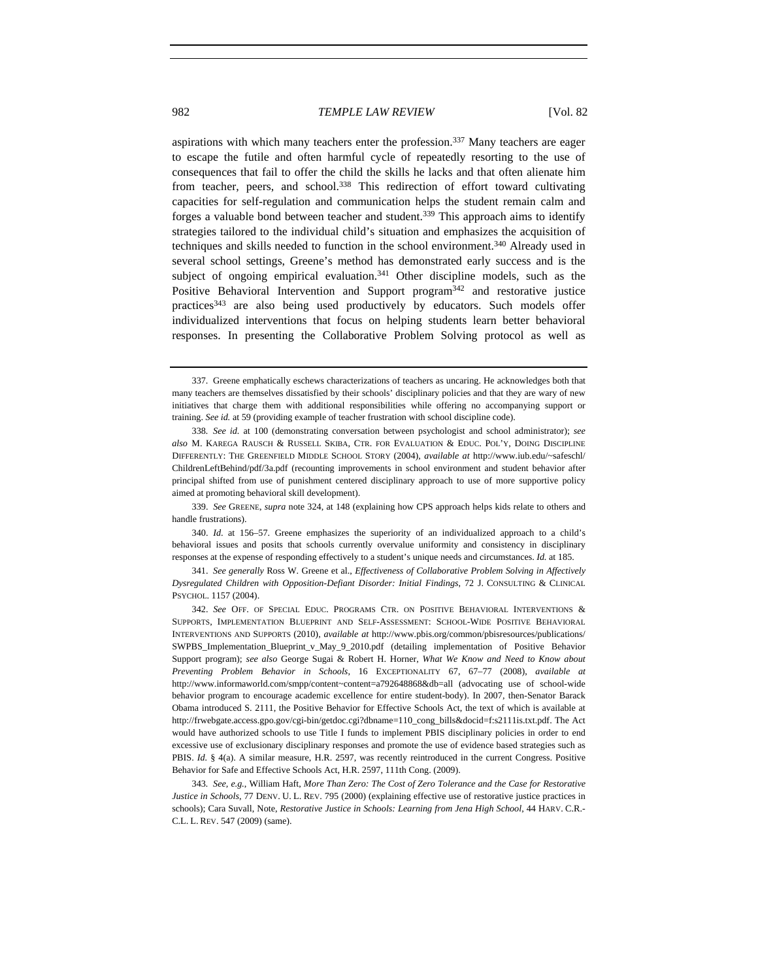aspirations with which many teachers enter the profession.<sup>337</sup> Many teachers are eager to escape the futile and often harmful cycle of repeatedly resorting to the use of consequences that fail to offer the child the skills he lacks and that often alienate him from teacher, peers, and school.<sup>338</sup> This redirection of effort toward cultivating capacities for self-regulation and communication helps the student remain calm and forges a valuable bond between teacher and student.<sup>339</sup> This approach aims to identify strategies tailored to the individual child's situation and emphasizes the acquisition of techniques and skills needed to function in the school environment.340 Already used in several school settings, Greene's method has demonstrated early success and is the subject of ongoing empirical evaluation. $341$  Other discipline models, such as the Positive Behavioral Intervention and Support program<sup>342</sup> and restorative justice practices<sup>343</sup> are also being used productively by educators. Such models offer individualized interventions that focus on helping students learn better behavioral responses. In presenting the Collaborative Problem Solving protocol as well as

<sup>337.</sup> Greene emphatically eschews characterizations of teachers as uncaring. He acknowledges both that many teachers are themselves dissatisfied by their schools' disciplinary policies and that they are wary of new initiatives that charge them with additional responsibilities while offering no accompanying support or training. *See id.* at 59 (providing example of teacher frustration with school discipline code).

<sup>338</sup>*. See id.* at 100 (demonstrating conversation between psychologist and school administrator); *see also* M. KAREGA RAUSCH & RUSSELL SKIBA, CTR. FOR EVALUATION & EDUC. POL'Y, DOING DISCIPLINE DIFFERENTLY: THE GREENFIELD MIDDLE SCHOOL STORY (2004), *available at* http://www.iub.edu/~safeschl/ ChildrenLeftBehind/pdf/3a.pdf (recounting improvements in school environment and student behavior after principal shifted from use of punishment centered disciplinary approach to use of more supportive policy aimed at promoting behavioral skill development).

<sup>339.</sup> *See* GREENE, *supra* note 324, at 148 (explaining how CPS approach helps kids relate to others and handle frustrations).

<sup>340.</sup> *Id*. at 156–57. Greene emphasizes the superiority of an individualized approach to a child's behavioral issues and posits that schools currently overvalue uniformity and consistency in disciplinary responses at the expense of responding effectively to a student's unique needs and circumstances. *Id.* at 185.

<sup>341.</sup> *See generally* Ross W. Greene et al., *Effectiveness of Collaborative Problem Solving in Affectively Dysregulated Children with Opposition-Defiant Disorder: Initial Findings*, 72 J. CONSULTING & CLINICAL PSYCHOL. 1157 (2004).

<sup>342.</sup> *See* OFF. OF SPECIAL EDUC. PROGRAMS CTR. ON POSITIVE BEHAVIORAL INTERVENTIONS & SUPPORTS, IMPLEMENTATION BLUEPRINT AND SELF-ASSESSMENT: SCHOOL-WIDE POSITIVE BEHAVIORAL INTERVENTIONS AND SUPPORTS (2010), *available at* http://www.pbis.org/common/pbisresources/publications/ SWPBS\_Implementation\_Blueprint\_v\_May\_9\_2010.pdf (detailing implementation of Positive Behavior Support program); *see also* George Sugai & Robert H. Horner, *What We Know and Need to Know about Preventing Problem Behavior in Schools*, 16 EXCEPTIONALITY 67, 67–77 (2008), *available at* http://www.informaworld.com/smpp/content~content=a792648868&db=all (advocating use of school-wide behavior program to encourage academic excellence for entire student-body). In 2007, then-Senator Barack Obama introduced S. 2111, the Positive Behavior for Effective Schools Act, the text of which is available at http://frwebgate.access.gpo.gov/cgi-bin/getdoc.cgi?dbname=110\_cong\_bills&docid=f:s2111is.txt.pdf. The Act would have authorized schools to use Title I funds to implement PBIS disciplinary policies in order to end excessive use of exclusionary disciplinary responses and promote the use of evidence based strategies such as PBIS. *Id.* § 4(a). A similar measure, H.R. 2597, was recently reintroduced in the current Congress. Positive Behavior for Safe and Effective Schools Act, H.R. 2597, 111th Cong. (2009).

<sup>343</sup>*. See, e.g.*, William Haft, *More Than Zero: The Cost of Zero Tolerance and the Case for Restorative Justice in Schools*, 77 DENV. U. L. REV. 795 (2000) (explaining effective use of restorative justice practices in schools); Cara Suvall, Note, *Restorative Justice in Schools: Learning from Jena High School*, 44 HARV. C.R.- C.L. L. REV. 547 (2009) (same).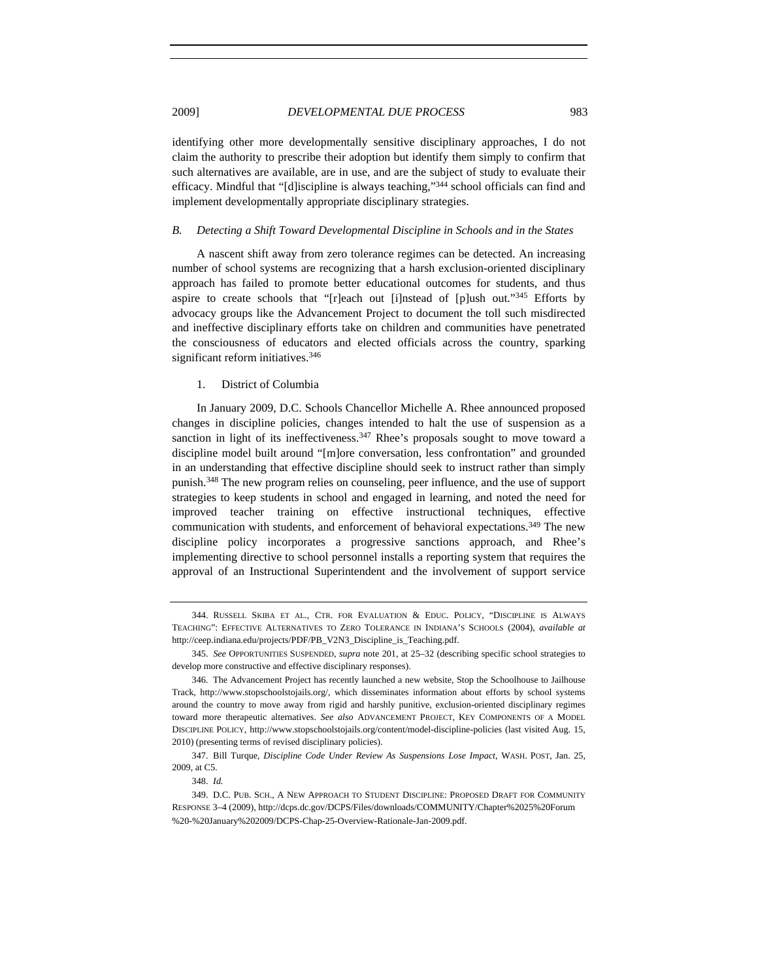identifying other more developmentally sensitive disciplinary approaches, I do not claim the authority to prescribe their adoption but identify them simply to confirm that such alternatives are available, are in use, and are the subject of study to evaluate their efficacy. Mindful that "[d]iscipline is always teaching,"344 school officials can find and implement developmentally appropriate disciplinary strategies.

#### *B. Detecting a Shift Toward Developmental Discipline in Schools and in the States*

A nascent shift away from zero tolerance regimes can be detected. An increasing number of school systems are recognizing that a harsh exclusion-oriented disciplinary approach has failed to promote better educational outcomes for students, and thus aspire to create schools that "[r]each out [i]nstead of [p]ush out."345 Efforts by advocacy groups like the Advancement Project to document the toll such misdirected and ineffective disciplinary efforts take on children and communities have penetrated the consciousness of educators and elected officials across the country, sparking significant reform initiatives.<sup>346</sup>

#### 1. District of Columbia

In January 2009, D.C. Schools Chancellor Michelle A. Rhee announced proposed changes in discipline policies, changes intended to halt the use of suspension as a sanction in light of its ineffectiveness.<sup>347</sup> Rhee's proposals sought to move toward a discipline model built around "[m]ore conversation, less confrontation" and grounded in an understanding that effective discipline should seek to instruct rather than simply punish.348 The new program relies on counseling, peer influence, and the use of support strategies to keep students in school and engaged in learning, and noted the need for improved teacher training on effective instructional techniques, effective communication with students, and enforcement of behavioral expectations.<sup>349</sup> The new discipline policy incorporates a progressive sanctions approach, and Rhee's implementing directive to school personnel installs a reporting system that requires the approval of an Instructional Superintendent and the involvement of support service

<sup>344.</sup> RUSSELL SKIBA ET AL., CTR. FOR EVALUATION & EDUC. POLICY, "DISCIPLINE IS ALWAYS TEACHING": EFFECTIVE ALTERNATIVES TO ZERO TOLERANCE IN INDIANA'S SCHOOLS (2004), *available at* http://ceep.indiana.edu/projects/PDF/PB\_V2N3\_Discipline\_is\_Teaching.pdf.

<sup>345.</sup> *See* OPPORTUNITIES SUSPENDED, *supra* note 201, at 25–32 (describing specific school strategies to develop more constructive and effective disciplinary responses).

<sup>346.</sup> The Advancement Project has recently launched a new website, Stop the Schoolhouse to Jailhouse Track, http://www.stopschoolstojails.org/, which disseminates information about efforts by school systems around the country to move away from rigid and harshly punitive, exclusion-oriented disciplinary regimes toward more therapeutic alternatives. *See also* ADVANCEMENT PROJECT, KEY COMPONENTS OF A MODEL DISCIPLINE POLICY, http://www.stopschoolstojails.org/content/model-discipline-policies (last visited Aug. 15, 2010) (presenting terms of revised disciplinary policies).

<sup>347.</sup> Bill Turque, *Discipline Code Under Review As Suspensions Lose Impact*, WASH. POST, Jan. 25, 2009, at C5.

<sup>348.</sup> *Id.*

<sup>349.</sup> D.C. PUB. SCH., A NEW APPROACH TO STUDENT DISCIPLINE: PROPOSED DRAFT FOR COMMUNITY RESPONSE 3–4 (2009), http://dcps.dc.gov/DCPS/Files/downloads/COMMUNITY/Chapter%2025%20Forum %20-%20January%202009/DCPS-Chap-25-Overview-Rationale-Jan-2009.pdf.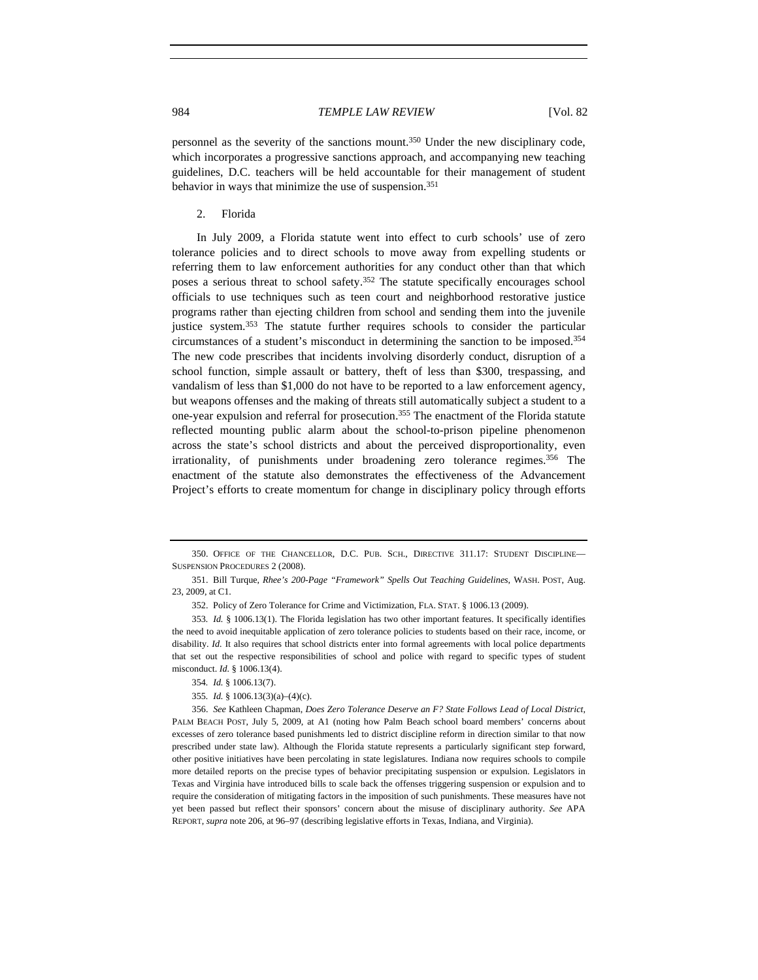personnel as the severity of the sanctions mount.350 Under the new disciplinary code, which incorporates a progressive sanctions approach, and accompanying new teaching guidelines, D.C. teachers will be held accountable for their management of student behavior in ways that minimize the use of suspension.<sup>351</sup>

2. Florida

In July 2009, a Florida statute went into effect to curb schools' use of zero tolerance policies and to direct schools to move away from expelling students or referring them to law enforcement authorities for any conduct other than that which poses a serious threat to school safety.352 The statute specifically encourages school officials to use techniques such as teen court and neighborhood restorative justice programs rather than ejecting children from school and sending them into the juvenile justice system.353 The statute further requires schools to consider the particular circumstances of a student's misconduct in determining the sanction to be imposed.354 The new code prescribes that incidents involving disorderly conduct, disruption of a school function, simple assault or battery, theft of less than \$300, trespassing, and vandalism of less than \$1,000 do not have to be reported to a law enforcement agency, but weapons offenses and the making of threats still automatically subject a student to a one-year expulsion and referral for prosecution.355 The enactment of the Florida statute reflected mounting public alarm about the school-to-prison pipeline phenomenon across the state's school districts and about the perceived disproportionality, even irrationality, of punishments under broadening zero tolerance regimes.356 The enactment of the statute also demonstrates the effectiveness of the Advancement Project's efforts to create momentum for change in disciplinary policy through efforts

<sup>350.</sup> OFFICE OF THE CHANCELLOR, D.C. PUB. SCH., DIRECTIVE 311.17: STUDENT DISCIPLINE— SUSPENSION PROCEDURES 2 (2008).

<sup>351.</sup> Bill Turque, *Rhee's 200-Page "Framework" Spells Out Teaching Guidelines*, WASH. POST, Aug. 23, 2009, at C1.

<sup>352.</sup> Policy of Zero Tolerance for Crime and Victimization, FLA. STAT. § 1006.13 (2009).

<sup>353</sup>*. Id.* § 1006.13(1). The Florida legislation has two other important features. It specifically identifies the need to avoid inequitable application of zero tolerance policies to students based on their race, income, or disability. *Id.* It also requires that school districts enter into formal agreements with local police departments that set out the respective responsibilities of school and police with regard to specific types of student misconduct. *Id.* § 1006.13(4).

<sup>354</sup>*. Id.* § 1006.13(7).

<sup>355</sup>*. Id.* § 1006.13(3)(a)–(4)(c).

<sup>356.</sup> *See* Kathleen Chapman, *Does Zero Tolerance Deserve an F? State Follows Lead of Local District*, PALM BEACH POST, July 5, 2009, at A1 (noting how Palm Beach school board members' concerns about excesses of zero tolerance based punishments led to district discipline reform in direction similar to that now prescribed under state law). Although the Florida statute represents a particularly significant step forward, other positive initiatives have been percolating in state legislatures. Indiana now requires schools to compile more detailed reports on the precise types of behavior precipitating suspension or expulsion. Legislators in Texas and Virginia have introduced bills to scale back the offenses triggering suspension or expulsion and to require the consideration of mitigating factors in the imposition of such punishments. These measures have not yet been passed but reflect their sponsors' concern about the misuse of disciplinary authority. *See* APA REPORT, *supra* note 206, at 96–97 (describing legislative efforts in Texas, Indiana, and Virginia).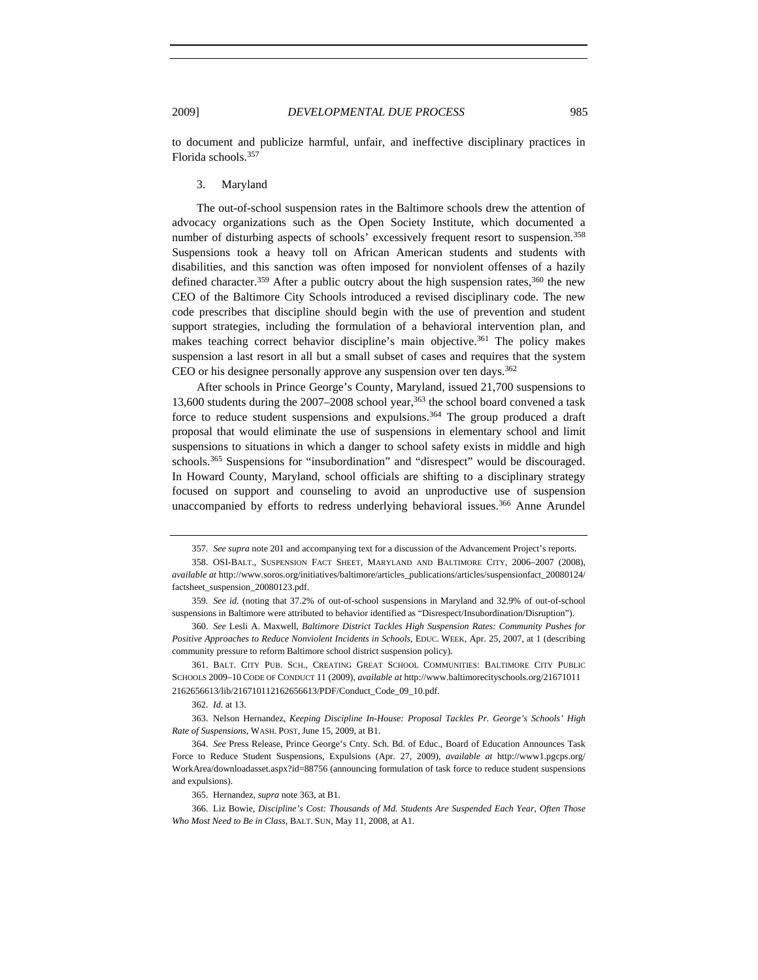to document and publicize harmful, unfair, and ineffective disciplinary practices in Florida schools.357

3. Maryland

The out-of-school suspension rates in the Baltimore schools drew the attention of advocacy organizations such as the Open Society Institute, which documented a number of disturbing aspects of schools' excessively frequent resort to suspension.<sup>358</sup> Suspensions took a heavy toll on African American students and students with disabilities, and this sanction was often imposed for nonviolent offenses of a hazily defined character.<sup>359</sup> After a public outcry about the high suspension rates,<sup>360</sup> the new CEO of the Baltimore City Schools introduced a revised disciplinary code. The new code prescribes that discipline should begin with the use of prevention and student support strategies, including the formulation of a behavioral intervention plan, and makes teaching correct behavior discipline's main objective.<sup>361</sup> The policy makes suspension a last resort in all but a small subset of cases and requires that the system CEO or his designee personally approve any suspension over ten days.<sup>362</sup>

After schools in Prince George's County, Maryland, issued 21,700 suspensions to 13,600 students during the 2007–2008 school year,363 the school board convened a task force to reduce student suspensions and expulsions.<sup>364</sup> The group produced a draft proposal that would eliminate the use of suspensions in elementary school and limit suspensions to situations in which a danger to school safety exists in middle and high schools.365 Suspensions for "insubordination" and "disrespect" would be discouraged. In Howard County, Maryland, school officials are shifting to a disciplinary strategy focused on support and counseling to avoid an unproductive use of suspension unaccompanied by efforts to redress underlying behavioral issues.<sup>366</sup> Anne Arundel

361. BALT. CITY PUB. SCH., CREATING GREAT SCHOOL COMMUNITIES: BALTIMORE CITY PUBLIC SCHOOLS 2009–10 CODE OF CONDUCT 11 (2009), *available at* http://www.baltimorecityschools.org/21671011 2162656613/lib/216710112162656613/PDF/Conduct\_Code\_09\_10.pdf.

362. *Id.* at 13.

363. Nelson Hernandez, *Keeping Discipline In-House: Proposal Tackles Pr. George's Schools' High Rate of Suspensions*, WASH. POST, June 15, 2009, at B1.

365. Hernandez, *supra* note 363, at B1.

<sup>357</sup>*. See supra* note 201 and accompanying text for a discussion of the Advancement Project's reports.

<sup>358.</sup> OSI-BALT., SUSPENSION FACT SHEET, MARYLAND AND BALTIMORE CITY, 2006–2007 (2008), *available at* http://www.soros.org/initiatives/baltimore/articles\_publications/articles/suspensionfact\_20080124/ factsheet\_suspension\_20080123.pdf.

<sup>359</sup>*. See id.* (noting that 37.2% of out-of-school suspensions in Maryland and 32.9% of out-of-school suspensions in Baltimore were attributed to behavior identified as "Disrespect/Insubordination/Disruption").

<sup>360.</sup> *See* Lesli A. Maxwell, *Baltimore District Tackles High Suspension Rates: Community Pushes for Positive Approaches to Reduce Nonviolent Incidents in Schools*, EDUC. WEEK, Apr. 25, 2007, at 1 (describing community pressure to reform Baltimore school district suspension policy).

<sup>364.</sup> *See* Press Release, Prince George's Cnty. Sch. Bd. of Educ., Board of Education Announces Task Force to Reduce Student Suspensions, Expulsions (Apr. 27, 2009), *available at* http://www1.pgcps.org/ WorkArea/downloadasset.aspx?id=88756 (announcing formulation of task force to reduce student suspensions and expulsions).

<sup>366.</sup> Liz Bowie, *Discipline's Cost: Thousands of Md. Students Are Suspended Each Year, Often Those Who Most Need to Be in Class*, BALT. SUN, May 11, 2008, at A1.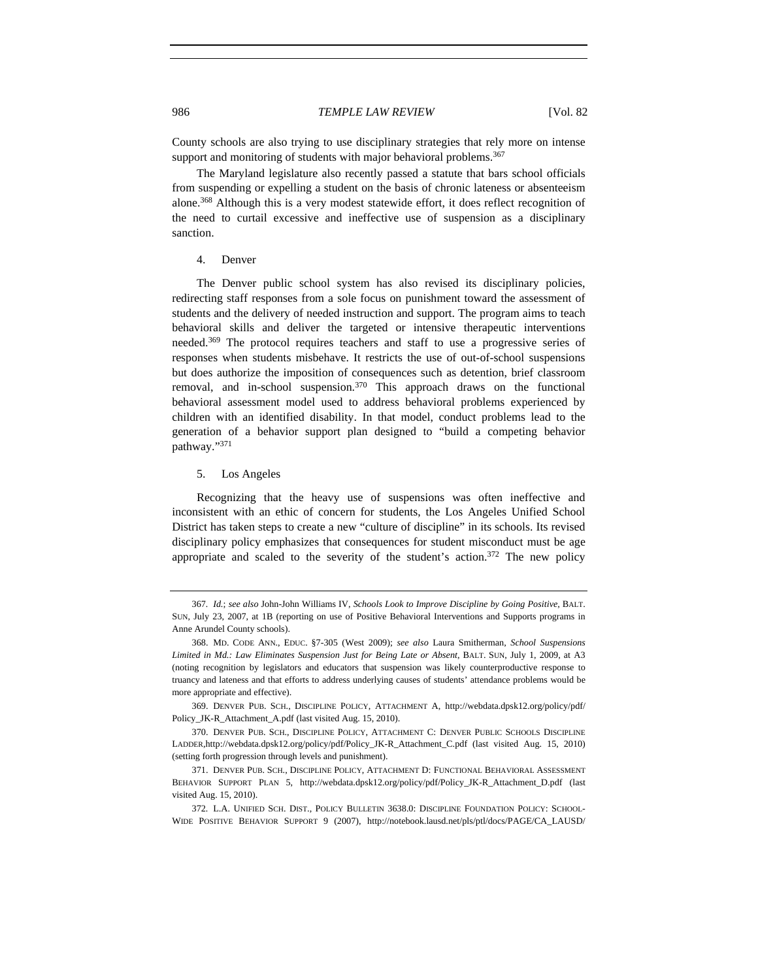County schools are also trying to use disciplinary strategies that rely more on intense support and monitoring of students with major behavioral problems.<sup>367</sup>

The Maryland legislature also recently passed a statute that bars school officials from suspending or expelling a student on the basis of chronic lateness or absenteeism alone.368 Although this is a very modest statewide effort, it does reflect recognition of the need to curtail excessive and ineffective use of suspension as a disciplinary sanction.

# 4. Denver

The Denver public school system has also revised its disciplinary policies, redirecting staff responses from a sole focus on punishment toward the assessment of students and the delivery of needed instruction and support. The program aims to teach behavioral skills and deliver the targeted or intensive therapeutic interventions needed.369 The protocol requires teachers and staff to use a progressive series of responses when students misbehave. It restricts the use of out-of-school suspensions but does authorize the imposition of consequences such as detention, brief classroom removal, and in-school suspension.370 This approach draws on the functional behavioral assessment model used to address behavioral problems experienced by children with an identified disability. In that model, conduct problems lead to the generation of a behavior support plan designed to "build a competing behavior pathway."371

#### 5. Los Angeles

Recognizing that the heavy use of suspensions was often ineffective and inconsistent with an ethic of concern for students, the Los Angeles Unified School District has taken steps to create a new "culture of discipline" in its schools. Its revised disciplinary policy emphasizes that consequences for student misconduct must be age appropriate and scaled to the severity of the student's action.<sup>372</sup> The new policy

<sup>367</sup>*. Id.*; *see also* John-John Williams IV, *Schools Look to Improve Discipline by Going Positive*, BALT. SUN, July 23, 2007, at 1B (reporting on use of Positive Behavioral Interventions and Supports programs in Anne Arundel County schools).

<sup>368.</sup> MD. CODE ANN., EDUC. §7-305 (West 2009); *see also* Laura Smitherman, *School Suspensions Limited in Md.: Law Eliminates Suspension Just for Being Late or Absent*, BALT. SUN, July 1, 2009, at A3 (noting recognition by legislators and educators that suspension was likely counterproductive response to truancy and lateness and that efforts to address underlying causes of students' attendance problems would be more appropriate and effective).

<sup>369.</sup> DENVER PUB. SCH., DISCIPLINE POLICY, ATTACHMENT A, http://webdata.dpsk12.org/policy/pdf/ Policy\_JK-R\_Attachment\_A.pdf (last visited Aug. 15, 2010).

<sup>370.</sup> DENVER PUB. SCH., DISCIPLINE POLICY, ATTACHMENT C: DENVER PUBLIC SCHOOLS DISCIPLINE LADDER,http://webdata.dpsk12.org/policy/pdf/Policy\_JK-R\_Attachment\_C.pdf (last visited Aug. 15, 2010) (setting forth progression through levels and punishment).

<sup>371.</sup> DENVER PUB. SCH., DISCIPLINE POLICY, ATTACHMENT D: FUNCTIONAL BEHAVIORAL ASSESSMENT BEHAVIOR SUPPORT PLAN 5, http://webdata.dpsk12.org/policy/pdf/Policy\_JK-R\_Attachment\_D.pdf (last visited Aug. 15, 2010).

<sup>372</sup>*.* L.A. UNIFIED SCH. DIST., POLICY BULLETIN 3638.0: DISCIPLINE FOUNDATION POLICY: SCHOOL-WIDE POSITIVE BEHAVIOR SUPPORT 9 (2007), http://notebook.lausd.net/pls/ptl/docs/PAGE/CA\_LAUSD/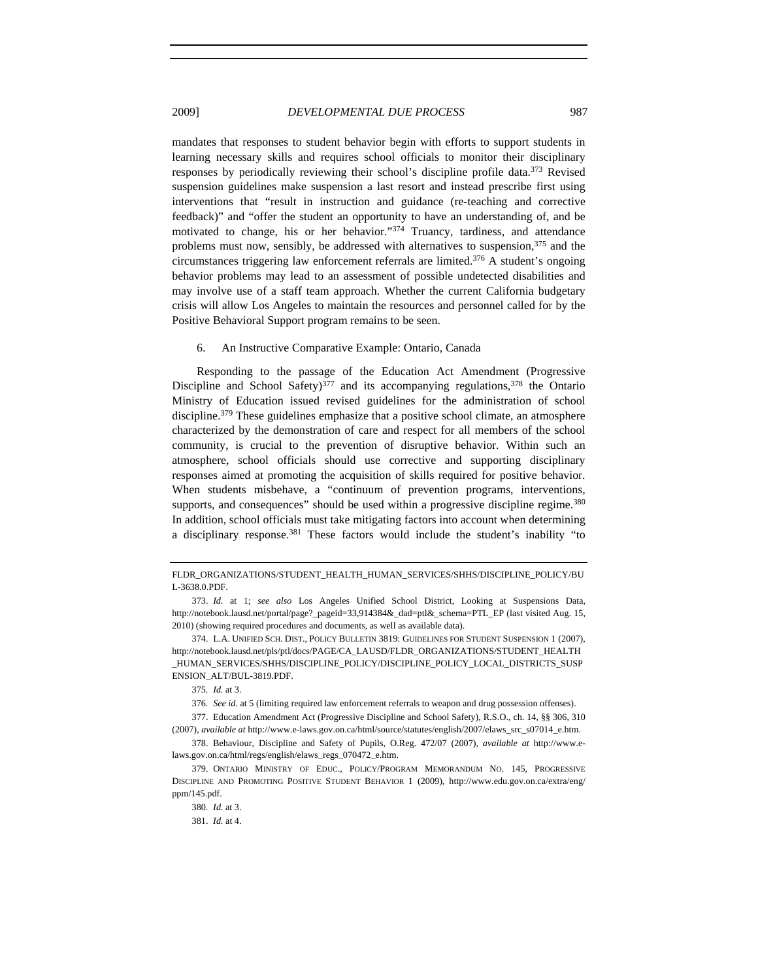mandates that responses to student behavior begin with efforts to support students in learning necessary skills and requires school officials to monitor their disciplinary responses by periodically reviewing their school's discipline profile data.<sup>373</sup> Revised suspension guidelines make suspension a last resort and instead prescribe first using interventions that "result in instruction and guidance (re-teaching and corrective feedback)" and "offer the student an opportunity to have an understanding of, and be motivated to change, his or her behavior."374 Truancy, tardiness, and attendance problems must now, sensibly, be addressed with alternatives to suspension, 375 and the circumstances triggering law enforcement referrals are limited.376 A student's ongoing behavior problems may lead to an assessment of possible undetected disabilities and may involve use of a staff team approach. Whether the current California budgetary crisis will allow Los Angeles to maintain the resources and personnel called for by the Positive Behavioral Support program remains to be seen.

6. An Instructive Comparative Example: Ontario, Canada

Responding to the passage of the Education Act Amendment (Progressive Discipline and School Safety)<sup>377</sup> and its accompanying regulations,  $378$  the Ontario Ministry of Education issued revised guidelines for the administration of school discipline.<sup>379</sup> These guidelines emphasize that a positive school climate, an atmosphere characterized by the demonstration of care and respect for all members of the school community, is crucial to the prevention of disruptive behavior. Within such an atmosphere, school officials should use corrective and supporting disciplinary responses aimed at promoting the acquisition of skills required for positive behavior. When students misbehave, a "continuum of prevention programs, interventions, supports, and consequences" should be used within a progressive discipline regime.<sup>380</sup> In addition, school officials must take mitigating factors into account when determining a disciplinary response.381 These factors would include the student's inability "to

374. L.A. UNIFIED SCH. DIST., POLICY BULLETIN 3819: GUIDELINES FOR STUDENT SUSPENSION 1 (2007), http://notebook.lausd.net/pls/ptl/docs/PAGE/CA\_LAUSD/FLDR\_ORGANIZATIONS/STUDENT\_HEALTH \_HUMAN\_SERVICES/SHHS/DISCIPLINE\_POLICY/DISCIPLINE\_POLICY\_LOCAL\_DISTRICTS\_SUSP ENSION\_ALT/BUL-3819.PDF.

376*. See id.* at 5 (limiting required law enforcement referrals to weapon and drug possession offenses).

377. Education Amendment Act (Progressive Discipline and School Safety), R.S.O., ch. 14, §§ 306, 310 (2007), *available at* http://www.e-laws.gov.on.ca/html/source/statutes/english/2007/elaws\_src\_s07014\_e.htm.

378. Behaviour, Discipline and Safety of Pupils, O.Reg. 472/07 (2007), *available at* http://www.elaws.gov.on.ca/html/regs/english/elaws\_regs\_070472\_e.htm.

379. ONTARIO MINISTRY OF EDUC., POLICY/PROGRAM MEMORANDUM NO. 145, PROGRESSIVE DISCIPLINE AND PROMOTING POSITIVE STUDENT BEHAVIOR 1 (2009), http://www.edu.gov.on.ca/extra/eng/ ppm/145.pdf.

380*. Id.* at 3.

381. *Id.* at 4.

FLDR\_ORGANIZATIONS/STUDENT\_HEALTH\_HUMAN\_SERVICES/SHHS/DISCIPLINE\_POLICY/BU L-3638.0.PDF.

<sup>373.</sup> *Id.* at 1; *see also* Los Angeles Unified School District, Looking at Suspensions Data, http://notebook.lausd.net/portal/page?\_pageid=33,914384&\_dad=ptl&\_schema=PTL\_EP (last visited Aug. 15, 2010) (showing required procedures and documents, as well as available data).

<sup>375</sup>*. Id.* at 3.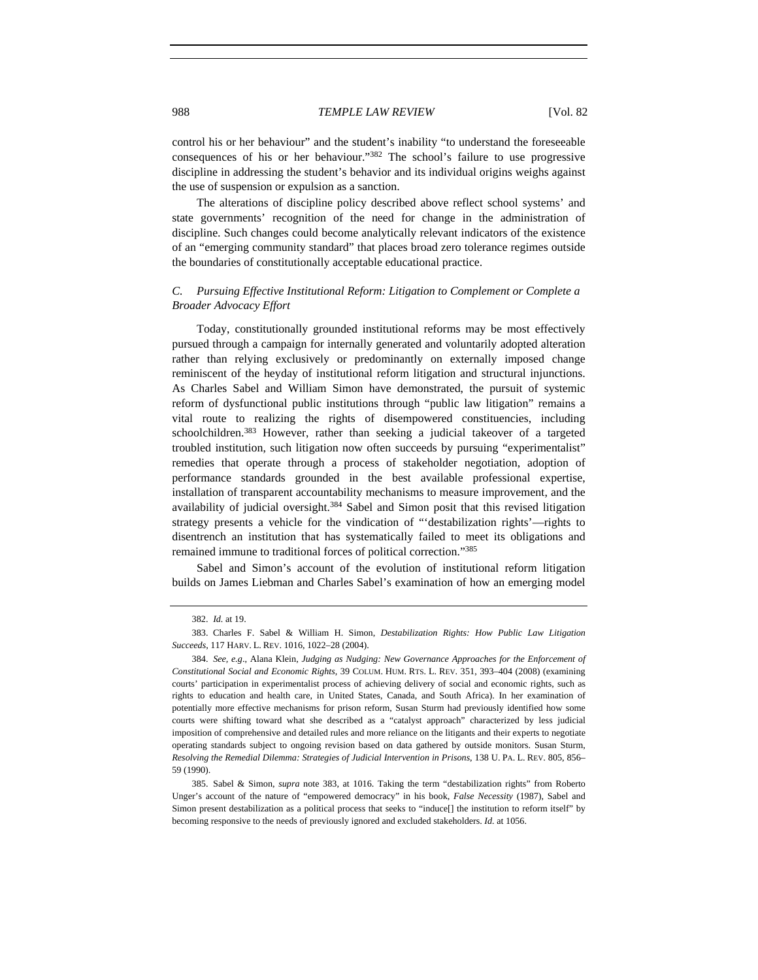control his or her behaviour" and the student's inability "to understand the foreseeable consequences of his or her behaviour."382 The school's failure to use progressive discipline in addressing the student's behavior and its individual origins weighs against the use of suspension or expulsion as a sanction.

The alterations of discipline policy described above reflect school systems' and state governments' recognition of the need for change in the administration of discipline. Such changes could become analytically relevant indicators of the existence of an "emerging community standard" that places broad zero tolerance regimes outside the boundaries of constitutionally acceptable educational practice.

# *C. Pursuing Effective Institutional Reform: Litigation to Complement or Complete a Broader Advocacy Effort*

Today, constitutionally grounded institutional reforms may be most effectively pursued through a campaign for internally generated and voluntarily adopted alteration rather than relying exclusively or predominantly on externally imposed change reminiscent of the heyday of institutional reform litigation and structural injunctions. As Charles Sabel and William Simon have demonstrated, the pursuit of systemic reform of dysfunctional public institutions through "public law litigation" remains a vital route to realizing the rights of disempowered constituencies, including schoolchildren.383 However, rather than seeking a judicial takeover of a targeted troubled institution, such litigation now often succeeds by pursuing "experimentalist" remedies that operate through a process of stakeholder negotiation, adoption of performance standards grounded in the best available professional expertise, installation of transparent accountability mechanisms to measure improvement, and the availability of judicial oversight.<sup>384</sup> Sabel and Simon posit that this revised litigation strategy presents a vehicle for the vindication of "'destabilization rights'—rights to disentrench an institution that has systematically failed to meet its obligations and remained immune to traditional forces of political correction."385

Sabel and Simon's account of the evolution of institutional reform litigation builds on James Liebman and Charles Sabel's examination of how an emerging model

<sup>382.</sup> *Id.* at 19.

<sup>383.</sup> Charles F. Sabel & William H. Simon, *Destabilization Rights: How Public Law Litigation Succeeds*, 117 HARV. L. REV. 1016, 1022–28 (2004).

<sup>384.</sup> *See, e.g*., Alana Klein, *Judging as Nudging: New Governance Approaches for the Enforcement of Constitutional Social and Economic Rights*, 39 COLUM. HUM. RTS. L. REV. 351, 393–404 (2008) (examining courts' participation in experimentalist process of achieving delivery of social and economic rights, such as rights to education and health care, in United States, Canada, and South Africa). In her examination of potentially more effective mechanisms for prison reform, Susan Sturm had previously identified how some courts were shifting toward what she described as a "catalyst approach" characterized by less judicial imposition of comprehensive and detailed rules and more reliance on the litigants and their experts to negotiate operating standards subject to ongoing revision based on data gathered by outside monitors. Susan Sturm, *Resolving the Remedial Dilemma: Strategies of Judicial Intervention in Prisons*, 138 U. PA. L. REV. 805, 856– 59 (1990).

<sup>385.</sup> Sabel & Simon, *supra* note 383, at 1016. Taking the term "destabilization rights" from Roberto Unger's account of the nature of "empowered democracy" in his book, *False Necessity* (1987), Sabel and Simon present destabilization as a political process that seeks to "induce[] the institution to reform itself" by becoming responsive to the needs of previously ignored and excluded stakeholders. *Id.* at 1056.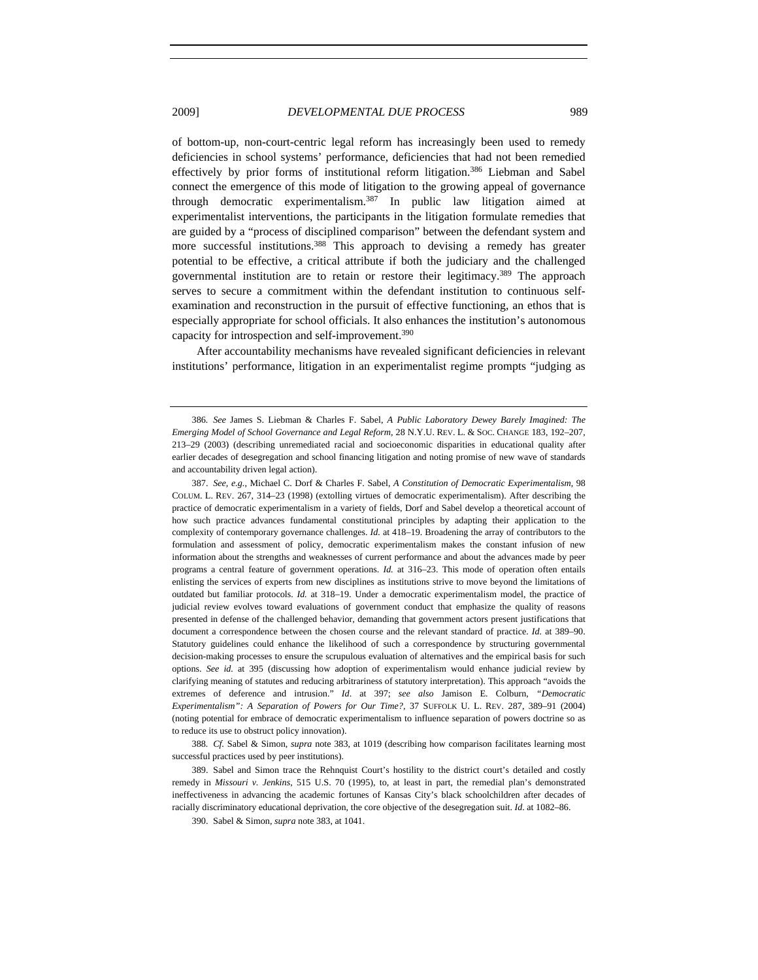of bottom-up, non-court-centric legal reform has increasingly been used to remedy deficiencies in school systems' performance, deficiencies that had not been remedied effectively by prior forms of institutional reform litigation.386 Liebman and Sabel connect the emergence of this mode of litigation to the growing appeal of governance through democratic experimentalism.387 In public law litigation aimed at experimentalist interventions, the participants in the litigation formulate remedies that are guided by a "process of disciplined comparison" between the defendant system and more successful institutions.<sup>388</sup> This approach to devising a remedy has greater potential to be effective, a critical attribute if both the judiciary and the challenged governmental institution are to retain or restore their legitimacy.389 The approach serves to secure a commitment within the defendant institution to continuous selfexamination and reconstruction in the pursuit of effective functioning, an ethos that is especially appropriate for school officials. It also enhances the institution's autonomous capacity for introspection and self-improvement.<sup>390</sup>

After accountability mechanisms have revealed significant deficiencies in relevant institutions' performance, litigation in an experimentalist regime prompts "judging as

387. *See, e.g.*, Michael C. Dorf & Charles F. Sabel, *A Constitution of Democratic Experimentalism*, 98 COLUM. L. REV. 267, 314–23 (1998) (extolling virtues of democratic experimentalism). After describing the practice of democratic experimentalism in a variety of fields, Dorf and Sabel develop a theoretical account of how such practice advances fundamental constitutional principles by adapting their application to the complexity of contemporary governance challenges. *Id.* at 418–19. Broadening the array of contributors to the formulation and assessment of policy, democratic experimentalism makes the constant infusion of new information about the strengths and weaknesses of current performance and about the advances made by peer programs a central feature of government operations. *Id.* at 316–23. This mode of operation often entails enlisting the services of experts from new disciplines as institutions strive to move beyond the limitations of outdated but familiar protocols. *Id.* at 318–19. Under a democratic experimentalism model, the practice of judicial review evolves toward evaluations of government conduct that emphasize the quality of reasons presented in defense of the challenged behavior, demanding that government actors present justifications that document a correspondence between the chosen course and the relevant standard of practice. *Id.* at 389–90. Statutory guidelines could enhance the likelihood of such a correspondence by structuring governmental decision-making processes to ensure the scrupulous evaluation of alternatives and the empirical basis for such options. *See id.* at 395 (discussing how adoption of experimentalism would enhance judicial review by clarifying meaning of statutes and reducing arbitrariness of statutory interpretation). This approach "avoids the extremes of deference and intrusion." *Id*. at 397; *see also* Jamison E. Colburn, *"Democratic Experimentalism": A Separation of Powers for Our Time?*, 37 SUFFOLK U. L. REV. 287, 389–91 (2004) (noting potential for embrace of democratic experimentalism to influence separation of powers doctrine so as to reduce its use to obstruct policy innovation).

388*. Cf.* Sabel & Simon, *supra* note 383, at 1019 (describing how comparison facilitates learning most successful practices used by peer institutions).

389. Sabel and Simon trace the Rehnquist Court's hostility to the district court's detailed and costly remedy in *Missouri v. Jenkins*, 515 U.S. 70 (1995), to, at least in part, the remedial plan's demonstrated ineffectiveness in advancing the academic fortunes of Kansas City's black schoolchildren after decades of racially discriminatory educational deprivation, the core objective of the desegregation suit. *Id*. at 1082–86.

390. Sabel & Simon, *supra* note 383, at 1041.

<sup>386</sup>*. See* James S. Liebman & Charles F. Sabel, *A Public Laboratory Dewey Barely Imagined: The Emerging Model of School Governance and Legal Reform*, 28 N.Y.U. REV. L. & SOC. CHANGE 183, 192–207, 213–29 (2003) (describing unremediated racial and socioeconomic disparities in educational quality after earlier decades of desegregation and school financing litigation and noting promise of new wave of standards and accountability driven legal action).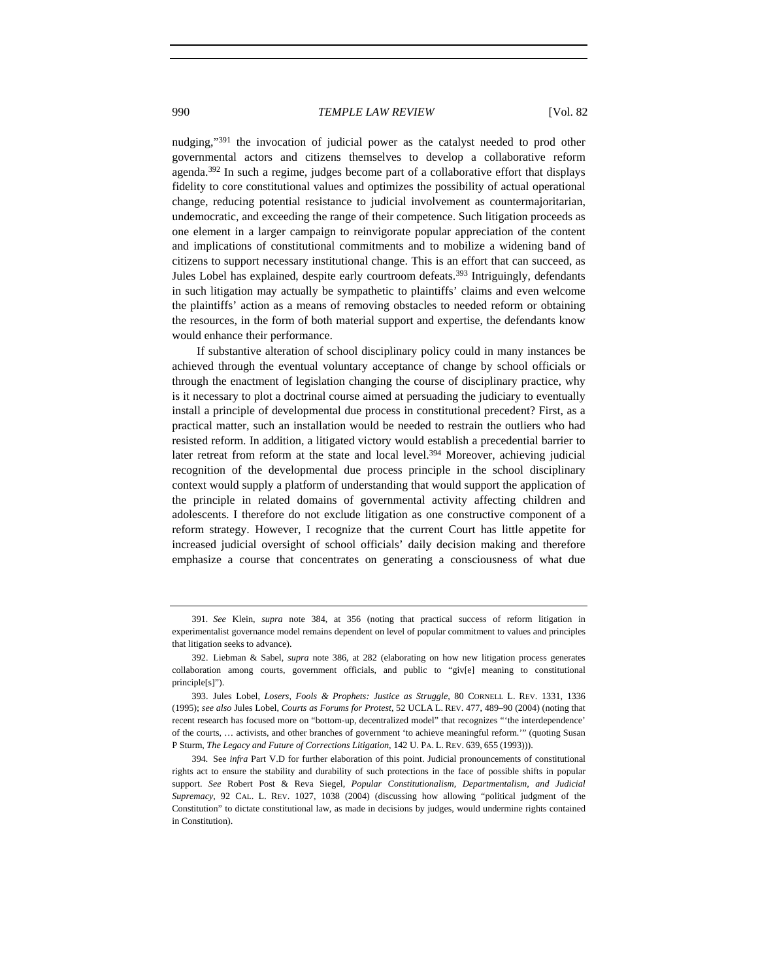nudging,"391 the invocation of judicial power as the catalyst needed to prod other governmental actors and citizens themselves to develop a collaborative reform agenda.392 In such a regime, judges become part of a collaborative effort that displays fidelity to core constitutional values and optimizes the possibility of actual operational change, reducing potential resistance to judicial involvement as countermajoritarian, undemocratic, and exceeding the range of their competence. Such litigation proceeds as one element in a larger campaign to reinvigorate popular appreciation of the content and implications of constitutional commitments and to mobilize a widening band of citizens to support necessary institutional change. This is an effort that can succeed, as Jules Lobel has explained, despite early courtroom defeats.<sup>393</sup> Intriguingly, defendants in such litigation may actually be sympathetic to plaintiffs' claims and even welcome the plaintiffs' action as a means of removing obstacles to needed reform or obtaining the resources, in the form of both material support and expertise, the defendants know would enhance their performance.

If substantive alteration of school disciplinary policy could in many instances be achieved through the eventual voluntary acceptance of change by school officials or through the enactment of legislation changing the course of disciplinary practice, why is it necessary to plot a doctrinal course aimed at persuading the judiciary to eventually install a principle of developmental due process in constitutional precedent? First, as a practical matter, such an installation would be needed to restrain the outliers who had resisted reform. In addition, a litigated victory would establish a precedential barrier to later retreat from reform at the state and local level.<sup>394</sup> Moreover, achieving judicial recognition of the developmental due process principle in the school disciplinary context would supply a platform of understanding that would support the application of the principle in related domains of governmental activity affecting children and adolescents. I therefore do not exclude litigation as one constructive component of a reform strategy. However, I recognize that the current Court has little appetite for increased judicial oversight of school officials' daily decision making and therefore emphasize a course that concentrates on generating a consciousness of what due

<sup>391</sup>*. See* Klein, *supra* note 384, at 356 (noting that practical success of reform litigation in experimentalist governance model remains dependent on level of popular commitment to values and principles that litigation seeks to advance).

<sup>392.</sup> Liebman & Sabel, *supra* note 386, at 282 (elaborating on how new litigation process generates collaboration among courts, government officials, and public to "giv[e] meaning to constitutional principle[s]").

<sup>393.</sup> Jules Lobel, *Losers*, *Fools & Prophets: Justice as Struggle*, 80 CORNELL L. REV. 1331, 1336 (1995); *see also* Jules Lobel, *Courts as Forums for Protest*, 52 UCLA L. REV. 477, 489–90 (2004) (noting that recent research has focused more on "bottom-up, decentralized model" that recognizes "'the interdependence' of the courts, … activists, and other branches of government 'to achieve meaningful reform.'" (quoting Susan P Sturm, *The Legacy and Future of Corrections Litigation*, 142 U. PA. L. REV. 639, 655 (1993))).

<sup>394</sup>*.* See *infra* Part V.D for further elaboration of this point. Judicial pronouncements of constitutional rights act to ensure the stability and durability of such protections in the face of possible shifts in popular support. *See* Robert Post & Reva Siegel, *Popular Constitutionalism, Departmentalism, and Judicial Supremacy*, 92 CAL. L. REV. 1027, 1038 (2004) (discussing how allowing "political judgment of the Constitution" to dictate constitutional law, as made in decisions by judges, would undermine rights contained in Constitution).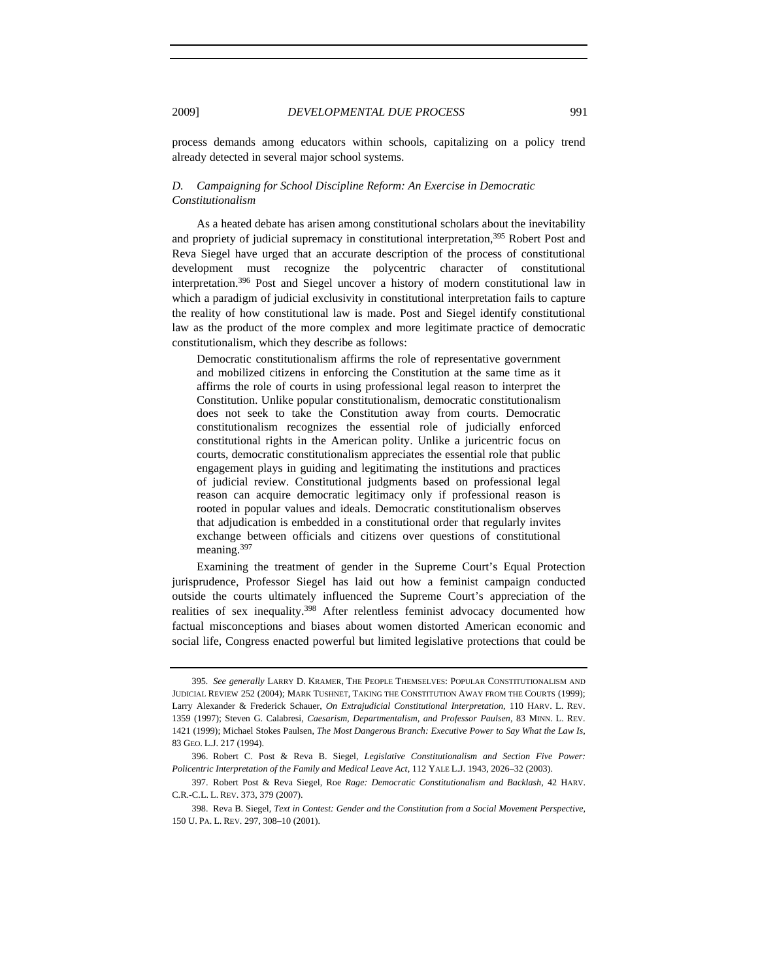process demands among educators within schools, capitalizing on a policy trend already detected in several major school systems.

## *D. Campaigning for School Discipline Reform: An Exercise in Democratic Constitutionalism*

As a heated debate has arisen among constitutional scholars about the inevitability and propriety of judicial supremacy in constitutional interpretation,<sup>395</sup> Robert Post and Reva Siegel have urged that an accurate description of the process of constitutional development must recognize the polycentric character of constitutional interpretation.396 Post and Siegel uncover a history of modern constitutional law in which a paradigm of judicial exclusivity in constitutional interpretation fails to capture the reality of how constitutional law is made. Post and Siegel identify constitutional law as the product of the more complex and more legitimate practice of democratic constitutionalism, which they describe as follows:

Democratic constitutionalism affirms the role of representative government and mobilized citizens in enforcing the Constitution at the same time as it affirms the role of courts in using professional legal reason to interpret the Constitution. Unlike popular constitutionalism, democratic constitutionalism does not seek to take the Constitution away from courts. Democratic constitutionalism recognizes the essential role of judicially enforced constitutional rights in the American polity. Unlike a juricentric focus on courts, democratic constitutionalism appreciates the essential role that public engagement plays in guiding and legitimating the institutions and practices of judicial review. Constitutional judgments based on professional legal reason can acquire democratic legitimacy only if professional reason is rooted in popular values and ideals. Democratic constitutionalism observes that adjudication is embedded in a constitutional order that regularly invites exchange between officials and citizens over questions of constitutional meaning.397

Examining the treatment of gender in the Supreme Court's Equal Protection jurisprudence, Professor Siegel has laid out how a feminist campaign conducted outside the courts ultimately influenced the Supreme Court's appreciation of the realities of sex inequality.398 After relentless feminist advocacy documented how factual misconceptions and biases about women distorted American economic and social life, Congress enacted powerful but limited legislative protections that could be

<sup>395</sup>*. See generally* LARRY D. KRAMER, THE PEOPLE THEMSELVES: POPULAR CONSTITUTIONALISM AND JUDICIAL REVIEW 252 (2004); MARK TUSHNET, TAKING THE CONSTITUTION AWAY FROM THE COURTS (1999); Larry Alexander & Frederick Schauer, *On Extrajudicial Constitutional Interpretation*, 110 HARV. L. REV. 1359 (1997); Steven G. Calabresi, *Caesarism, Departmentalism, and Professor Paulsen*, 83 MINN. L. REV. 1421 (1999); Michael Stokes Paulsen, *The Most Dangerous Branch: Executive Power to Say What the Law Is*, 83 GEO. L.J. 217 (1994).

<sup>396.</sup> Robert C. Post & Reva B. Siegel, *Legislative Constitutionalism and Section Five Power: Policentric Interpretation of the Family and Medical Leave Act*, 112 YALE L.J. 1943, 2026–32 (2003).

<sup>397.</sup> Robert Post & Reva Siegel, Roe *Rage: Democratic Constitutionalism and Backlash*, 42 HARV. C.R.-C.L. L. REV. 373, 379 (2007).

<sup>398.</sup> Reva B. Siegel, *Text in Contest: Gender and the Constitution from a Social Movement Perspective*, 150 U. PA. L. REV. 297, 308–10 (2001).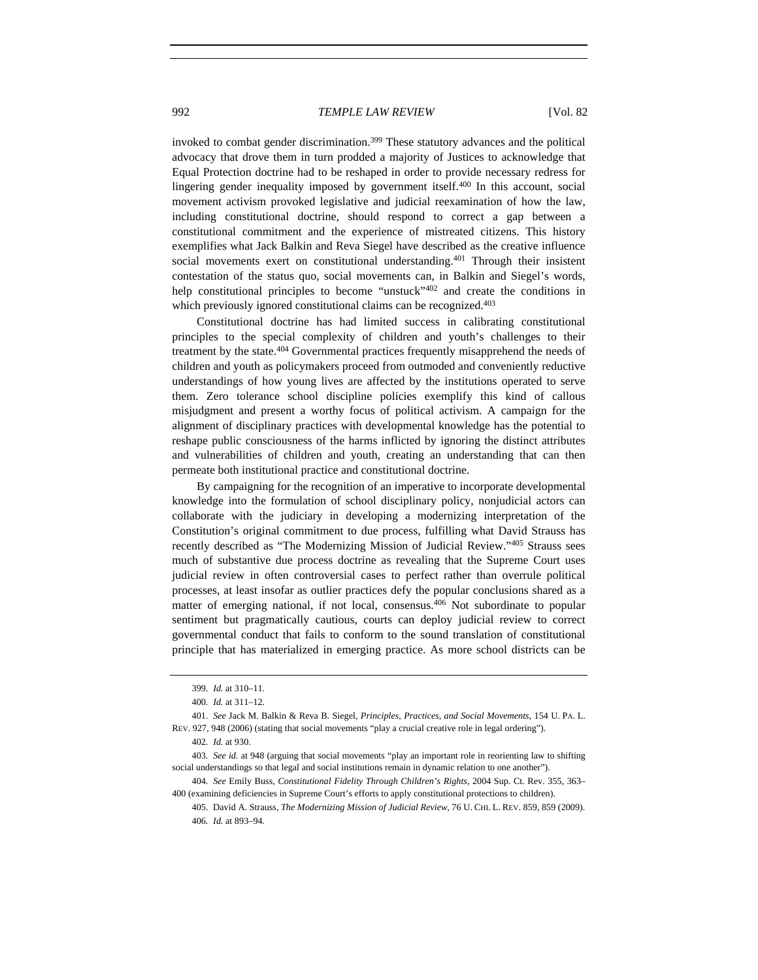invoked to combat gender discrimination.399 These statutory advances and the political advocacy that drove them in turn prodded a majority of Justices to acknowledge that Equal Protection doctrine had to be reshaped in order to provide necessary redress for lingering gender inequality imposed by government itself.400 In this account, social movement activism provoked legislative and judicial reexamination of how the law, including constitutional doctrine, should respond to correct a gap between a constitutional commitment and the experience of mistreated citizens. This history exemplifies what Jack Balkin and Reva Siegel have described as the creative influence social movements exert on constitutional understanding.<sup>401</sup> Through their insistent contestation of the status quo, social movements can, in Balkin and Siegel's words, help constitutional principles to become "unstuck"<sup>402</sup> and create the conditions in which previously ignored constitutional claims can be recognized.<sup>403</sup>

Constitutional doctrine has had limited success in calibrating constitutional principles to the special complexity of children and youth's challenges to their treatment by the state.<sup>404</sup> Governmental practices frequently misapprehend the needs of children and youth as policymakers proceed from outmoded and conveniently reductive understandings of how young lives are affected by the institutions operated to serve them. Zero tolerance school discipline policies exemplify this kind of callous misjudgment and present a worthy focus of political activism. A campaign for the alignment of disciplinary practices with developmental knowledge has the potential to reshape public consciousness of the harms inflicted by ignoring the distinct attributes and vulnerabilities of children and youth, creating an understanding that can then permeate both institutional practice and constitutional doctrine.

By campaigning for the recognition of an imperative to incorporate developmental knowledge into the formulation of school disciplinary policy, nonjudicial actors can collaborate with the judiciary in developing a modernizing interpretation of the Constitution's original commitment to due process, fulfilling what David Strauss has recently described as "The Modernizing Mission of Judicial Review."405 Strauss sees much of substantive due process doctrine as revealing that the Supreme Court uses judicial review in often controversial cases to perfect rather than overrule political processes, at least insofar as outlier practices defy the popular conclusions shared as a matter of emerging national, if not local, consensus.406 Not subordinate to popular sentiment but pragmatically cautious, courts can deploy judicial review to correct governmental conduct that fails to conform to the sound translation of constitutional principle that has materialized in emerging practice. As more school districts can be

<sup>399.</sup> *Id.* at 310–11.

<sup>400</sup>*. Id.* at 311–12.

<sup>401.</sup> *See* Jack M. Balkin & Reva B. Siegel, *Principles, Practices, and Social Movements*, 154 U. PA. L. REV. 927, 948 (2006) (stating that social movements "play a crucial creative role in legal ordering").

<sup>402</sup>*. Id.* at 930.

<sup>403</sup>*. See id.* at 948 (arguing that social movements "play an important role in reorienting law to shifting social understandings so that legal and social institutions remain in dynamic relation to one another").

<sup>404</sup>*. See* Emily Buss, *Constitutional Fidelity Through Children's Rights*, 2004 Sup. Ct. Rev. 355, 363– 400 (examining deficiencies in Supreme Court's efforts to apply constitutional protections to children).

<sup>405.</sup> David A. Strauss, *The Modernizing Mission of Judicial Review*, 76 U. CHI. L. REV. 859, 859 (2009). 406*. Id.* at 893–94.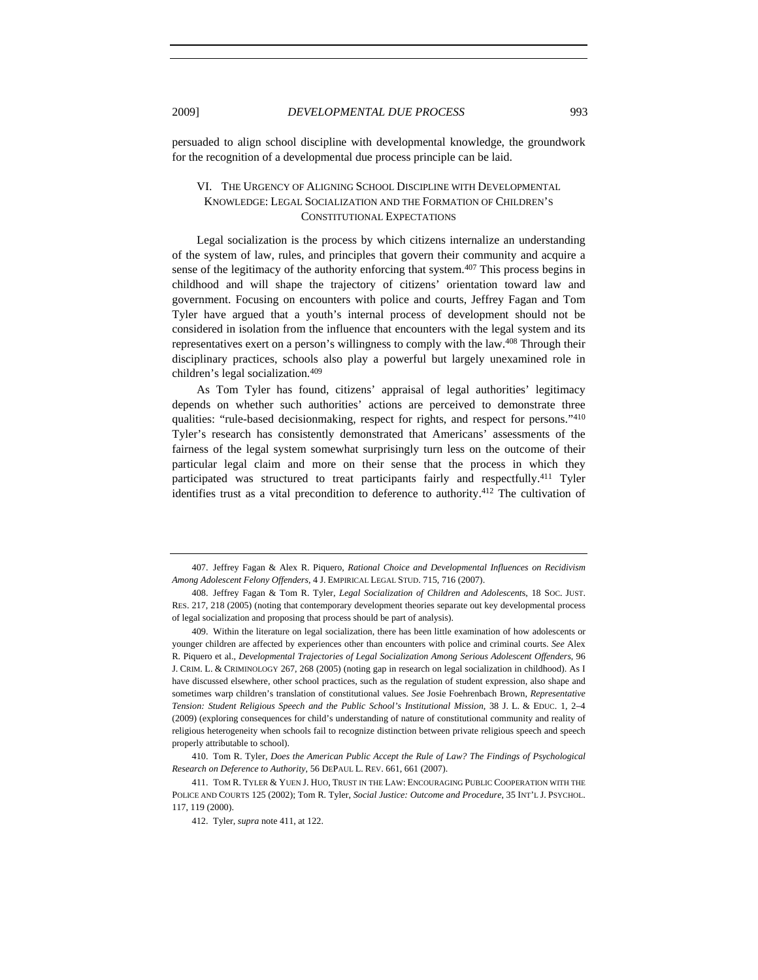persuaded to align school discipline with developmental knowledge, the groundwork for the recognition of a developmental due process principle can be laid.

# VI. THE URGENCY OF ALIGNING SCHOOL DISCIPLINE WITH DEVELOPMENTAL KNOWLEDGE: LEGAL SOCIALIZATION AND THE FORMATION OF CHILDREN'S CONSTITUTIONAL EXPECTATIONS

Legal socialization is the process by which citizens internalize an understanding of the system of law, rules, and principles that govern their community and acquire a sense of the legitimacy of the authority enforcing that system.<sup>407</sup> This process begins in childhood and will shape the trajectory of citizens' orientation toward law and government. Focusing on encounters with police and courts, Jeffrey Fagan and Tom Tyler have argued that a youth's internal process of development should not be considered in isolation from the influence that encounters with the legal system and its representatives exert on a person's willingness to comply with the law.408 Through their disciplinary practices, schools also play a powerful but largely unexamined role in children's legal socialization.409

As Tom Tyler has found, citizens' appraisal of legal authorities' legitimacy depends on whether such authorities' actions are perceived to demonstrate three qualities: "rule-based decisionmaking, respect for rights, and respect for persons."410 Tyler's research has consistently demonstrated that Americans' assessments of the fairness of the legal system somewhat surprisingly turn less on the outcome of their particular legal claim and more on their sense that the process in which they participated was structured to treat participants fairly and respectfully.411 Tyler identifies trust as a vital precondition to deference to authority.412 The cultivation of

<sup>407.</sup> Jeffrey Fagan & Alex R. Piquero, *Rational Choice and Developmental Influences on Recidivism Among Adolescent Felony Offenders*, 4 J. EMPIRICAL LEGAL STUD. 715, 716 (2007).

<sup>408.</sup> Jeffrey Fagan & Tom R. Tyler, *Legal Socialization of Children and Adolescent*s, 18 SOC. JUST. RES. 217, 218 (2005) (noting that contemporary development theories separate out key developmental process of legal socialization and proposing that process should be part of analysis).

<sup>409.</sup> Within the literature on legal socialization, there has been little examination of how adolescents or younger children are affected by experiences other than encounters with police and criminal courts. *See* Alex R. Piquero et al., *Developmental Trajectories of Legal Socialization Among Serious Adolescent Offenders*, 96 J. CRIM. L. & CRIMINOLOGY 267, 268 (2005) (noting gap in research on legal socialization in childhood). As I have discussed elsewhere, other school practices, such as the regulation of student expression, also shape and sometimes warp children's translation of constitutional values. *See* Josie Foehrenbach Brown, *Representative Tension: Student Religious Speech and the Public School's Institutional Mission*, 38 J. L. & EDUC. 1, 2–4 (2009) (exploring consequences for child's understanding of nature of constitutional community and reality of religious heterogeneity when schools fail to recognize distinction between private religious speech and speech properly attributable to school).

<sup>410.</sup> Tom R. Tyler, *Does the American Public Accept the Rule of Law? The Findings of Psychological Research on Deference to Authority*, 56 DEPAUL L. REV. 661, 661 (2007).

<sup>411.</sup> TOM R. TYLER & YUEN J. HUO, TRUST IN THE LAW: ENCOURAGING PUBLIC COOPERATION WITH THE POLICE AND COURTS 125 (2002); Tom R. Tyler, *Social Justice: Outcome and Procedure*, 35 INT'L J. PSYCHOL. 117, 119 (2000).

<sup>412.</sup> Tyler, *supra* note 411, at 122.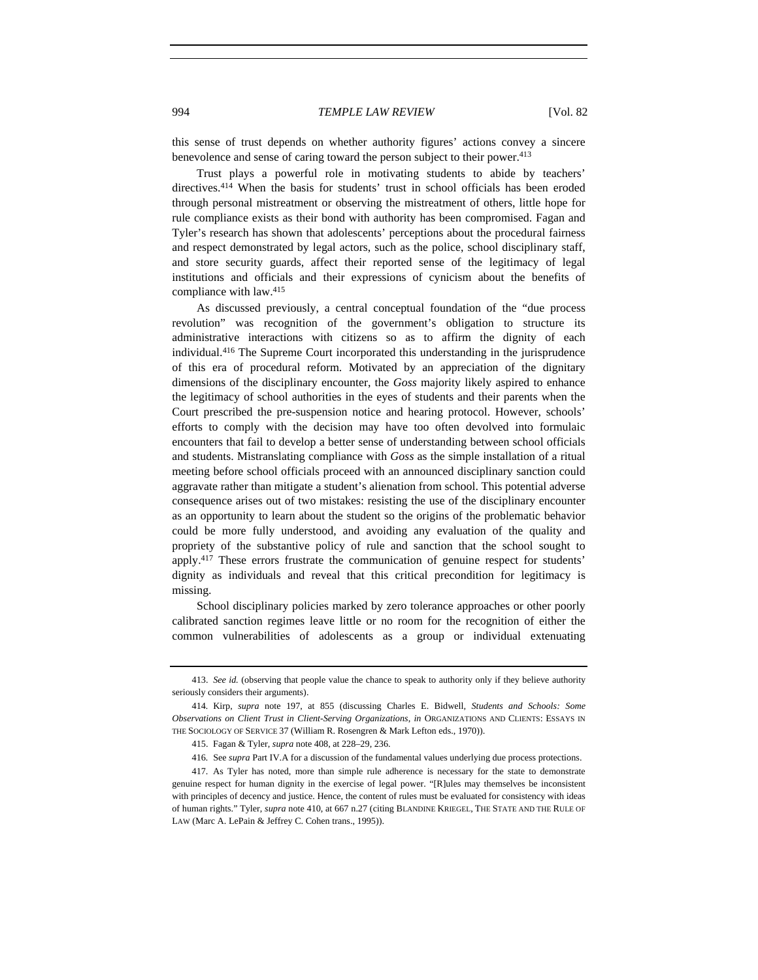this sense of trust depends on whether authority figures' actions convey a sincere benevolence and sense of caring toward the person subject to their power.<sup>413</sup>

Trust plays a powerful role in motivating students to abide by teachers' directives.414 When the basis for students' trust in school officials has been eroded through personal mistreatment or observing the mistreatment of others, little hope for rule compliance exists as their bond with authority has been compromised. Fagan and Tyler's research has shown that adolescents' perceptions about the procedural fairness and respect demonstrated by legal actors, such as the police, school disciplinary staff, and store security guards, affect their reported sense of the legitimacy of legal institutions and officials and their expressions of cynicism about the benefits of compliance with law.415

As discussed previously, a central conceptual foundation of the "due process revolution" was recognition of the government's obligation to structure its administrative interactions with citizens so as to affirm the dignity of each individual.416 The Supreme Court incorporated this understanding in the jurisprudence of this era of procedural reform. Motivated by an appreciation of the dignitary dimensions of the disciplinary encounter, the *Goss* majority likely aspired to enhance the legitimacy of school authorities in the eyes of students and their parents when the Court prescribed the pre-suspension notice and hearing protocol. However, schools' efforts to comply with the decision may have too often devolved into formulaic encounters that fail to develop a better sense of understanding between school officials and students. Mistranslating compliance with *Goss* as the simple installation of a ritual meeting before school officials proceed with an announced disciplinary sanction could aggravate rather than mitigate a student's alienation from school. This potential adverse consequence arises out of two mistakes: resisting the use of the disciplinary encounter as an opportunity to learn about the student so the origins of the problematic behavior could be more fully understood, and avoiding any evaluation of the quality and propriety of the substantive policy of rule and sanction that the school sought to apply.417 These errors frustrate the communication of genuine respect for students' dignity as individuals and reveal that this critical precondition for legitimacy is missing.

School disciplinary policies marked by zero tolerance approaches or other poorly calibrated sanction regimes leave little or no room for the recognition of either the common vulnerabilities of adolescents as a group or individual extenuating

<sup>413.</sup> *See id.* (observing that people value the chance to speak to authority only if they believe authority seriously considers their arguments).

<sup>414</sup>*.* Kirp, *supra* note 197, at 855 (discussing Charles E. Bidwell*, Students and Schools: Some Observations on Client Trust in Client-Serving Organizations*, *in* ORGANIZATIONS AND CLIENTS: ESSAYS IN THE SOCIOLOGY OF SERVICE 37 (William R. Rosengren & Mark Lefton eds., 1970)).

<sup>415.</sup> Fagan & Tyler, *supra* note 408, at 228–29, 236.

<sup>416</sup>*.* See *supra* Part IV.A for a discussion of the fundamental values underlying due process protections.

<sup>417.</sup> As Tyler has noted, more than simple rule adherence is necessary for the state to demonstrate genuine respect for human dignity in the exercise of legal power. "[R]ules may themselves be inconsistent with principles of decency and justice. Hence, the content of rules must be evaluated for consistency with ideas of human rights." Tyler, *supra* note 410, at 667 n.27 (citing BLANDINE KRIEGEL, THE STATE AND THE RULE OF LAW (Marc A. LePain & Jeffrey C. Cohen trans., 1995)).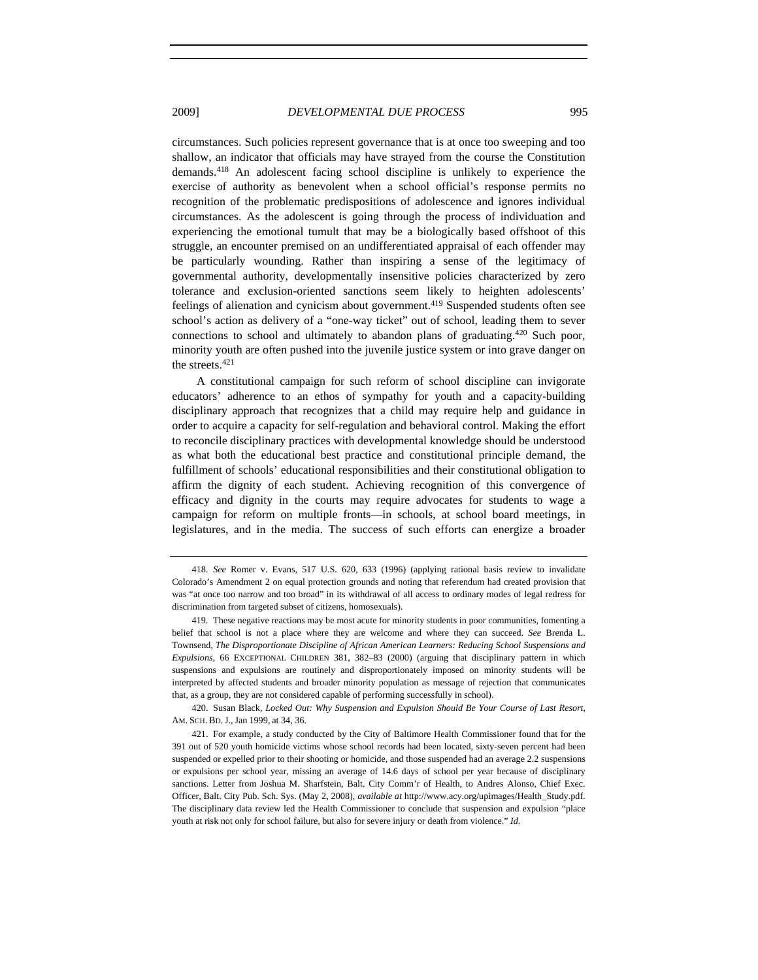circumstances. Such policies represent governance that is at once too sweeping and too shallow, an indicator that officials may have strayed from the course the Constitution demands.418 An adolescent facing school discipline is unlikely to experience the exercise of authority as benevolent when a school official's response permits no recognition of the problematic predispositions of adolescence and ignores individual circumstances. As the adolescent is going through the process of individuation and experiencing the emotional tumult that may be a biologically based offshoot of this struggle, an encounter premised on an undifferentiated appraisal of each offender may be particularly wounding. Rather than inspiring a sense of the legitimacy of governmental authority, developmentally insensitive policies characterized by zero tolerance and exclusion-oriented sanctions seem likely to heighten adolescents' feelings of alienation and cynicism about government.<sup>419</sup> Suspended students often see school's action as delivery of a "one-way ticket" out of school, leading them to sever connections to school and ultimately to abandon plans of graduating.<sup>420</sup> Such poor, minority youth are often pushed into the juvenile justice system or into grave danger on the streets.<sup>421</sup>

A constitutional campaign for such reform of school discipline can invigorate educators' adherence to an ethos of sympathy for youth and a capacity-building disciplinary approach that recognizes that a child may require help and guidance in order to acquire a capacity for self-regulation and behavioral control. Making the effort to reconcile disciplinary practices with developmental knowledge should be understood as what both the educational best practice and constitutional principle demand, the fulfillment of schools' educational responsibilities and their constitutional obligation to affirm the dignity of each student. Achieving recognition of this convergence of efficacy and dignity in the courts may require advocates for students to wage a campaign for reform on multiple fronts—in schools, at school board meetings, in legislatures, and in the media. The success of such efforts can energize a broader

420. Susan Black, *Locked Out: Why Suspension and Expulsion Should Be Your Course of Last Resort*, AM. SCH. BD. J., Jan 1999, at 34, 36.

<sup>418.</sup> *See* Romer v. Evans, 517 U.S. 620, 633 (1996) (applying rational basis review to invalidate Colorado's Amendment 2 on equal protection grounds and noting that referendum had created provision that was "at once too narrow and too broad" in its withdrawal of all access to ordinary modes of legal redress for discrimination from targeted subset of citizens, homosexuals).

<sup>419.</sup> These negative reactions may be most acute for minority students in poor communities, fomenting a belief that school is not a place where they are welcome and where they can succeed. *See* Brenda L. Townsend, *The Disproportionate Discipline of African American Learners: Reducing School Suspensions and Expulsions*, 66 EXCEPTIONAL CHILDREN 381, 382–83 (2000) (arguing that disciplinary pattern in which suspensions and expulsions are routinely and disproportionately imposed on minority students will be interpreted by affected students and broader minority population as message of rejection that communicates that, as a group, they are not considered capable of performing successfully in school).

<sup>421.</sup> For example, a study conducted by the City of Baltimore Health Commissioner found that for the 391 out of 520 youth homicide victims whose school records had been located, sixty-seven percent had been suspended or expelled prior to their shooting or homicide, and those suspended had an average 2.2 suspensions or expulsions per school year, missing an average of 14.6 days of school per year because of disciplinary sanctions. Letter from Joshua M. Sharfstein, Balt. City Comm'r of Health, to Andres Alonso, Chief Exec. Officer, Balt. City Pub. Sch. Sys. (May 2, 2008), *available at* http://www.acy.org/upimages/Health\_Study.pdf. The disciplinary data review led the Health Commissioner to conclude that suspension and expulsion "place youth at risk not only for school failure, but also for severe injury or death from violence." *Id.*